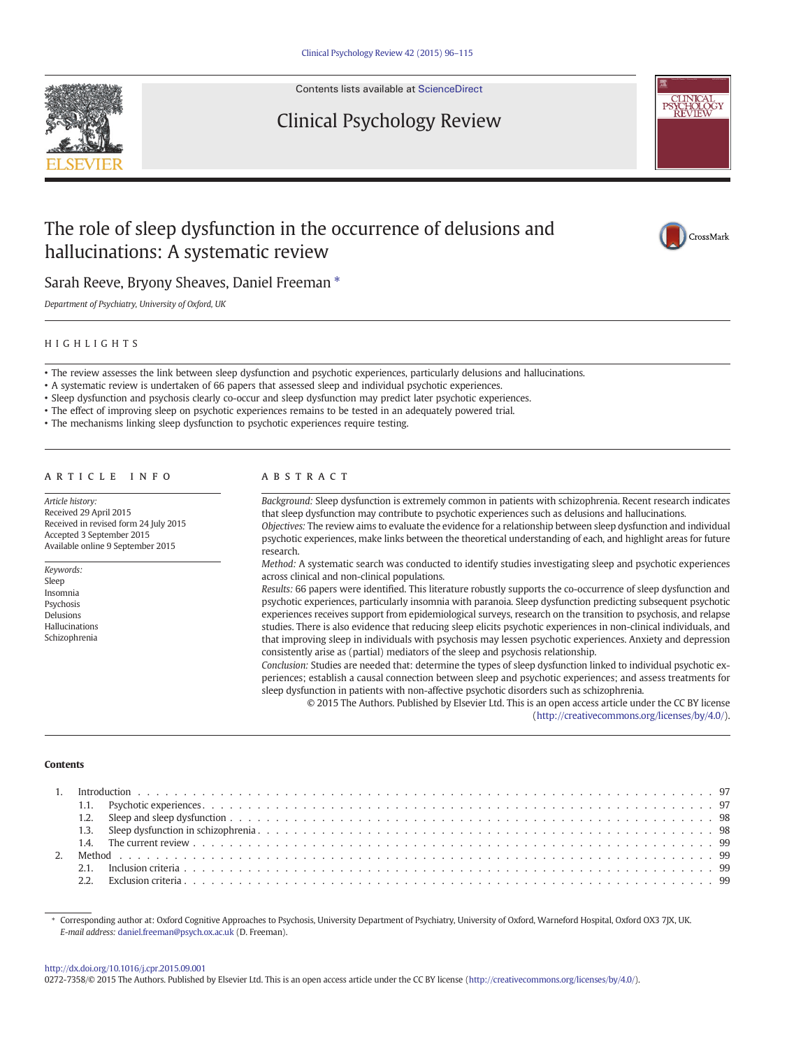

Contents lists available at [ScienceDirect](http://www.sciencedirect.com/science/journal/02727358)

# Clinical Psychology Review



# The role of sleep dysfunction in the occurrence of delusions and hallucinations: A systematic review



Sarah Reeve, Bryony Sheaves, Daniel Freeman  $*$ 

Department of Psychiatry, University of Oxford, UK

# HIGHLIGHTS

• The review assesses the link between sleep dysfunction and psychotic experiences, particularly delusions and hallucinations.

• A systematic review is undertaken of 66 papers that assessed sleep and individual psychotic experiences.

• Sleep dysfunction and psychosis clearly co-occur and sleep dysfunction may predict later psychotic experiences.

• The effect of improving sleep on psychotic experiences remains to be tested in an adequately powered trial.

• The mechanisms linking sleep dysfunction to psychotic experiences require testing.

# article info abstract

Article history: Received 29 April 2015 Received in revised form 24 July 2015 Accepted 3 September 2015 Available online 9 September 2015

Keywords: Sleep Insomnia Psychosis Delusions Hallucinations Schizophrenia

Background: Sleep dysfunction is extremely common in patients with schizophrenia. Recent research indicates that sleep dysfunction may contribute to psychotic experiences such as delusions and hallucinations. Objectives: The review aims to evaluate the evidence for a relationship between sleep dysfunction and individual

psychotic experiences, make links between the theoretical understanding of each, and highlight areas for future research.

Method: A systematic search was conducted to identify studies investigating sleep and psychotic experiences across clinical and non-clinical populations.

Results: 66 papers were identified. This literature robustly supports the co-occurrence of sleep dysfunction and psychotic experiences, particularly insomnia with paranoia. Sleep dysfunction predicting subsequent psychotic experiences receives support from epidemiological surveys, research on the transition to psychosis, and relapse studies. There is also evidence that reducing sleep elicits psychotic experiences in non-clinical individuals, and that improving sleep in individuals with psychosis may lessen psychotic experiences. Anxiety and depression consistently arise as (partial) mediators of the sleep and psychosis relationship.

Conclusion: Studies are needed that: determine the types of sleep dysfunction linked to individual psychotic experiences; establish a causal connection between sleep and psychotic experiences; and assess treatments for sleep dysfunction in patients with non-affective psychotic disorders such as schizophrenia.

© 2015 The Authors. Published by Elsevier Ltd. This is an open access article under the CC BY license [\(http://creativecommons.org/licenses/by/4.0/](http://creativecommons.org/licenses/by/4.0/)).

#### **Contents**

⁎ Corresponding author at: Oxford Cognitive Approaches to Psychosis, University Department of Psychiatry, University of Oxford, Warneford Hospital, Oxford OX3 7JX, UK. E-mail address: <daniel.freeman@psych.ox.ac.uk> (D. Freeman).

#### <http://dx.doi.org/10.1016/j.cpr.2015.09.001>

0272-7358/© 2015 The Authors. Published by Elsevier Ltd. This is an open access article under the CC BY license ([http://creativecommons.org/licenses/by/4.0/\)](http://creativecommons.org/licenses/by/4.0/).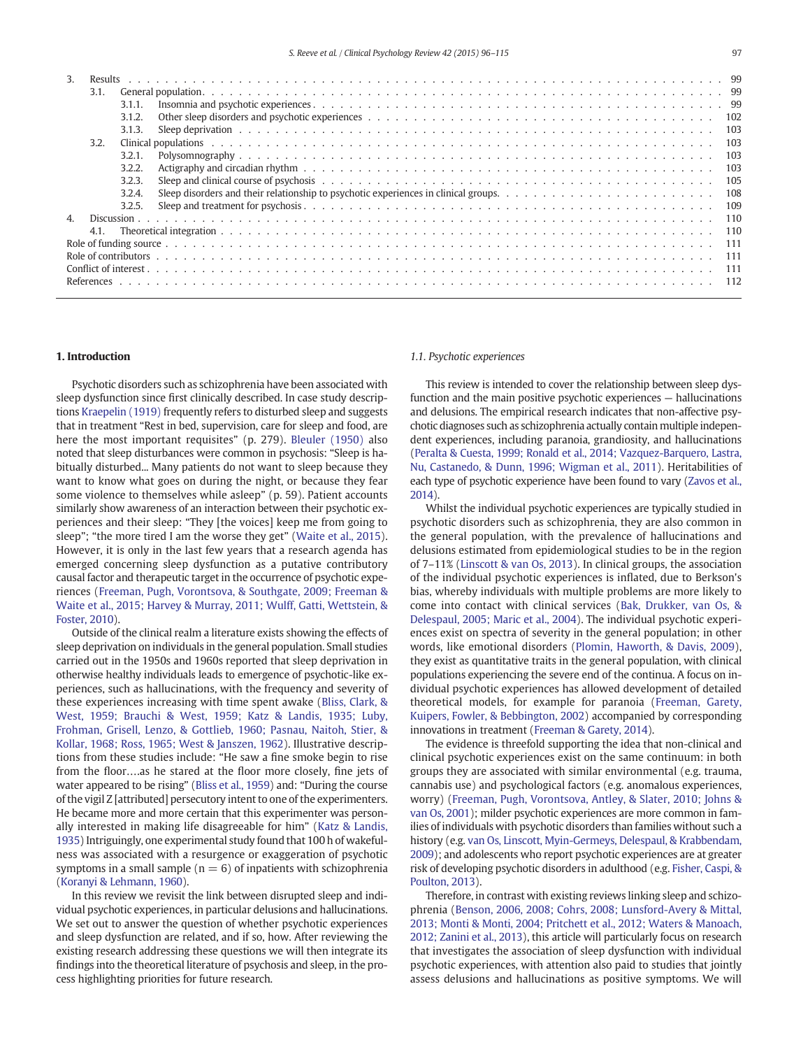| -3.          |      |        |      |  |
|--------------|------|--------|------|--|
|              | 3.1. |        |      |  |
|              |      | 3.1.1. |      |  |
|              |      | 3.1.2. |      |  |
|              |      | 3.1.3. |      |  |
|              | 3.2. |        |      |  |
|              |      | 3.2.1  | 103  |  |
|              |      | 3.2.2. | 103  |  |
|              |      | 3.2.3. | 105  |  |
|              |      | 3.2.4. | 108  |  |
|              |      | 3.2.5. | 109  |  |
| $\mathbf{4}$ |      |        | 110  |  |
|              | 4.1. |        | 110  |  |
|              |      |        | -111 |  |
|              |      |        | 111  |  |
|              |      |        |      |  |
|              |      |        |      |  |
|              |      |        |      |  |

# 1. Introduction

Psychotic disorders such as schizophrenia have been associated with sleep dysfunction since first clinically described. In case study descriptions [Kraepelin \(1919\)](#page-17-0) frequently refers to disturbed sleep and suggests that in treatment "Rest in bed, supervision, care for sleep and food, are here the most important requisites" (p. 279). [Bleuler \(1950\)](#page-16-0) also noted that sleep disturbances were common in psychosis: "Sleep is habitually disturbed... Many patients do not want to sleep because they want to know what goes on during the night, or because they fear some violence to themselves while asleep" (p. 59). Patient accounts similarly show awareness of an interaction between their psychotic experiences and their sleep: "They [the voices] keep me from going to sleep"; "the more tired I am the worse they get" [\(Waite et al., 2015](#page-18-0)). However, it is only in the last few years that a research agenda has emerged concerning sleep dysfunction as a putative contributory causal factor and therapeutic target in the occurrence of psychotic experiences ([Freeman, Pugh, Vorontsova, & Southgate, 2009; Freeman &](#page-16-0) [Waite et al., 2015; Harvey & Murray, 2011; Wulff, Gatti, Wettstein, &](#page-16-0) [Foster, 2010\)](#page-16-0).

Outside of the clinical realm a literature exists showing the effects of sleep deprivation on individuals in the general population. Small studies carried out in the 1950s and 1960s reported that sleep deprivation in otherwise healthy individuals leads to emergence of psychotic-like experiences, such as hallucinations, with the frequency and severity of these experiences increasing with time spent awake ([Bliss, Clark, &](#page-16-0) [West, 1959; Brauchi & West, 1959; Katz & Landis, 1935; Luby,](#page-16-0) [Frohman, Grisell, Lenzo, & Gottlieb, 1960; Pasnau, Naitoh, Stier, &](#page-16-0) [Kollar, 1968; Ross, 1965; West & Janszen, 1962\)](#page-16-0). Illustrative descriptions from these studies include: "He saw a fine smoke begin to rise from the floor….as he stared at the floor more closely, fine jets of water appeared to be rising" [\(Bliss et al., 1959\)](#page-16-0) and: "During the course of the vigil Z [attributed] persecutory intent to one of the experimenters. He became more and more certain that this experimenter was personally interested in making life disagreeable for him" ([Katz & Landis,](#page-17-0) [1935](#page-17-0)) Intriguingly, one experimental study found that 100 h of wakefulness was associated with a resurgence or exaggeration of psychotic symptoms in a small sample ( $n = 6$ ) of inpatients with schizophrenia [\(Koranyi & Lehmann, 1960](#page-17-0)).

In this review we revisit the link between disrupted sleep and individual psychotic experiences, in particular delusions and hallucinations. We set out to answer the question of whether psychotic experiences and sleep dysfunction are related, and if so, how. After reviewing the existing research addressing these questions we will then integrate its findings into the theoretical literature of psychosis and sleep, in the process highlighting priorities for future research.

# 1.1. Psychotic experiences

This review is intended to cover the relationship between sleep dysfunction and the main positive psychotic experiences — hallucinations and delusions. The empirical research indicates that non-affective psychotic diagnoses such as schizophrenia actually contain multiple independent experiences, including paranoia, grandiosity, and hallucinations [\(Peralta & Cuesta, 1999; Ronald et al., 2014; Vazquez-Barquero, Lastra,](#page-18-0) [Nu, Castanedo, & Dunn, 1996; Wigman et al., 2011](#page-18-0)). Heritabilities of each type of psychotic experience have been found to vary [\(Zavos et al.,](#page-19-0) [2014\)](#page-19-0).

Whilst the individual psychotic experiences are typically studied in psychotic disorders such as schizophrenia, they are also common in the general population, with the prevalence of hallucinations and delusions estimated from epidemiological studies to be in the region of 7–11% ([Linscott & van Os, 2013\)](#page-17-0). In clinical groups, the association of the individual psychotic experiences is inflated, due to Berkson's bias, whereby individuals with multiple problems are more likely to come into contact with clinical services ([Bak, Drukker, van Os, &](#page-16-0) [Delespaul, 2005; Maric et al., 2004](#page-16-0)). The individual psychotic experiences exist on spectra of severity in the general population; in other words, like emotional disorders ([Plomin, Haworth, & Davis, 2009](#page-18-0)), they exist as quantitative traits in the general population, with clinical populations experiencing the severe end of the continua. A focus on individual psychotic experiences has allowed development of detailed theoretical models, for example for paranoia [\(Freeman, Garety,](#page-16-0) [Kuipers, Fowler, & Bebbington, 2002](#page-16-0)) accompanied by corresponding innovations in treatment [\(Freeman & Garety, 2014](#page-16-0)).

The evidence is threefold supporting the idea that non-clinical and clinical psychotic experiences exist on the same continuum: in both groups they are associated with similar environmental (e.g. trauma, cannabis use) and psychological factors (e.g. anomalous experiences, worry) [\(Freeman, Pugh, Vorontsova, Antley, & Slater, 2010; Johns &](#page-16-0) [van Os, 2001\)](#page-16-0); milder psychotic experiences are more common in families of individuals with psychotic disorders than families without such a history (e.g. [van Os, Linscott, Myin-Germeys, Delespaul, & Krabbendam,](#page-18-0) [2009](#page-18-0)); and adolescents who report psychotic experiences are at greater risk of developing psychotic disorders in adulthood (e.g. [Fisher, Caspi, &](#page-16-0) [Poulton, 2013\)](#page-16-0).

Therefore, in contrast with existing reviews linking sleep and schizophrenia ([Benson, 2006, 2008; Cohrs, 2008; Lunsford-Avery & Mittal,](#page-16-0) [2013; Monti & Monti, 2004; Pritchett et al., 2012; Waters & Manoach,](#page-16-0) [2012; Zanini et al., 2013](#page-16-0)), this article will particularly focus on research that investigates the association of sleep dysfunction with individual psychotic experiences, with attention also paid to studies that jointly assess delusions and hallucinations as positive symptoms. We will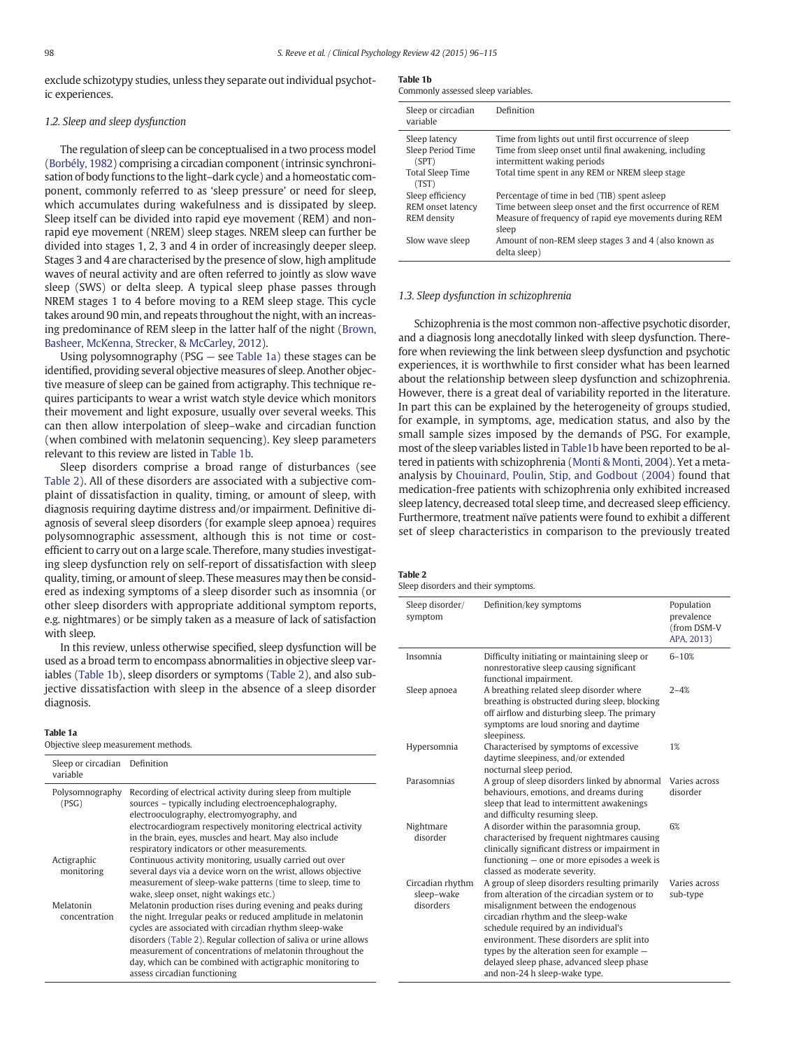<span id="page-2-0"></span>exclude schizotypy studies, unless they separate out individual psychotic experiences.

#### 1.2. Sleep and sleep dysfunction

The regulation of sleep can be conceptualised in a two process model [\(Borbély, 1982](#page-16-0)) comprising a circadian component (intrinsic synchronisation of body functions to the light–dark cycle) and a homeostatic component, commonly referred to as 'sleep pressure' or need for sleep, which accumulates during wakefulness and is dissipated by sleep. Sleep itself can be divided into rapid eye movement (REM) and nonrapid eye movement (NREM) sleep stages. NREM sleep can further be divided into stages 1, 2, 3 and 4 in order of increasingly deeper sleep. Stages 3 and 4 are characterised by the presence of slow, high amplitude waves of neural activity and are often referred to jointly as slow wave sleep (SWS) or delta sleep. A typical sleep phase passes through NREM stages 1 to 4 before moving to a REM sleep stage. This cycle takes around 90 min, and repeats throughout the night, with an increasing predominance of REM sleep in the latter half of the night [\(Brown,](#page-16-0) [Basheer, McKenna, Strecker, & McCarley, 2012\)](#page-16-0).

Using polysomnography (PSG — see Table 1a) these stages can be identified, providing several objective measures of sleep. Another objective measure of sleep can be gained from actigraphy. This technique requires participants to wear a wrist watch style device which monitors their movement and light exposure, usually over several weeks. This can then allow interpolation of sleep–wake and circadian function (when combined with melatonin sequencing). Key sleep parameters relevant to this review are listed in Table 1b.

Sleep disorders comprise a broad range of disturbances (see Table 2). All of these disorders are associated with a subjective complaint of dissatisfaction in quality, timing, or amount of sleep, with diagnosis requiring daytime distress and/or impairment. Definitive diagnosis of several sleep disorders (for example sleep apnoea) requires polysomnographic assessment, although this is not time or costefficient to carry out on a large scale. Therefore, many studies investigating sleep dysfunction rely on self-report of dissatisfaction with sleep quality, timing, or amount of sleep. These measures may then be considered as indexing symptoms of a sleep disorder such as insomnia (or other sleep disorders with appropriate additional symptom reports, e.g. nightmares) or be simply taken as a measure of lack of satisfaction with sleep.

In this review, unless otherwise specified, sleep dysfunction will be used as a broad term to encompass abnormalities in objective sleep variables (Table 1b), sleep disorders or symptoms (Table 2), and also subjective dissatisfaction with sleep in the absence of a sleep disorder diagnosis.

#### Table 1a

Objective sleep measurement methods.

| Sleep or circadian<br>variable | Definition                                                                                                                                                                                                                                                                                                                                                                                                          |
|--------------------------------|---------------------------------------------------------------------------------------------------------------------------------------------------------------------------------------------------------------------------------------------------------------------------------------------------------------------------------------------------------------------------------------------------------------------|
| Polysomnography<br>(PSG)       | Recording of electrical activity during sleep from multiple<br>sources – typically including electroencephalography,<br>electrooculography, electromyography, and<br>electrocardiogram respectively monitoring electrical activity<br>in the brain, eyes, muscles and heart. May also include<br>respiratory indicators or other measurements.                                                                      |
| Actigraphic<br>monitoring      | Continuous activity monitoring, usually carried out over<br>several days via a device worn on the wrist, allows objective<br>measurement of sleep-wake patterns (time to sleep, time to<br>wake, sleep onset, night wakings etc.)                                                                                                                                                                                   |
| Melatonin<br>concentration     | Melatonin production rises during evening and peaks during<br>the night. Irregular peaks or reduced amplitude in melatonin<br>cycles are associated with circadian rhythm sleep-wake<br>disorders (Table 2). Regular collection of saliva or urine allows<br>measurement of concentrations of melatonin throughout the<br>day, which can be combined with actigraphic monitoring to<br>assess circadian functioning |

| ł<br>- 7<br>- 4<br>c |  |
|----------------------|--|
|----------------------|--|

| Commonly assessed sleep variables.                              |                                                                                                                                                                                                  |  |  |  |  |
|-----------------------------------------------------------------|--------------------------------------------------------------------------------------------------------------------------------------------------------------------------------------------------|--|--|--|--|
| Sleep or circadian<br>variable                                  | Definition                                                                                                                                                                                       |  |  |  |  |
| Sleep latency<br>Sleep Period Time<br>(SPT)<br>Total Sleep Time | Time from lights out until first occurrence of sleep<br>Time from sleep onset until final awakening, including<br>intermittent waking periods<br>Total time spent in any REM or NREM sleep stage |  |  |  |  |
| (TST)<br>Sleep efficiency<br>REM onset latency                  | Percentage of time in bed (TIB) spent asleep<br>Time between sleep onset and the first occurrence of REM                                                                                         |  |  |  |  |
| <b>REM</b> density<br>Slow wave sleep                           | Measure of frequency of rapid eye movements during REM<br>sleep<br>Amount of non-REM sleep stages 3 and 4 (also known as<br>delta sleep)                                                         |  |  |  |  |

#### 1.3. Sleep dysfunction in schizophrenia

Schizophrenia is the most common non-affective psychotic disorder, and a diagnosis long anecdotally linked with sleep dysfunction. Therefore when reviewing the link between sleep dysfunction and psychotic experiences, it is worthwhile to first consider what has been learned about the relationship between sleep dysfunction and schizophrenia. However, there is a great deal of variability reported in the literature. In part this can be explained by the heterogeneity of groups studied, for example, in symptoms, age, medication status, and also by the small sample sizes imposed by the demands of PSG. For example, most of the sleep variables listed in Table1b have been reported to be altered in patients with schizophrenia [\(Monti & Monti, 2004\)](#page-17-0). Yet a metaanalysis by [Chouinard, Poulin, Stip, and Godbout \(2004\)](#page-16-0) found that medication-free patients with schizophrenia only exhibited increased sleep latency, decreased total sleep time, and decreased sleep efficiency. Furthermore, treatment naïve patients were found to exhibit a different set of sleep characteristics in comparison to the previously treated

# Table 2

Sleep disorders and their symptoms.

| Sleep disorder/<br>symptom                  | Definition/key symptoms                                                                                                                                                                                                                                                                                                                                                                          | Population<br>prevalence<br>(from DSM-V<br>APA, 2013) |
|---------------------------------------------|--------------------------------------------------------------------------------------------------------------------------------------------------------------------------------------------------------------------------------------------------------------------------------------------------------------------------------------------------------------------------------------------------|-------------------------------------------------------|
| Insomnia                                    | Difficulty initiating or maintaining sleep or<br>nonrestorative sleep causing significant<br>functional impairment.                                                                                                                                                                                                                                                                              | $6 - 10%$                                             |
| Sleep apnoea                                | A breathing related sleep disorder where<br>breathing is obstructed during sleep, blocking<br>off airflow and disturbing sleep. The primary<br>symptoms are loud snoring and daytime<br>sleepiness.                                                                                                                                                                                              | $2 - 4%$                                              |
| Hypersomnia                                 | Characterised by symptoms of excessive<br>daytime sleepiness, and/or extended<br>nocturnal sleep period.                                                                                                                                                                                                                                                                                         | 1%                                                    |
| Parasomnias                                 | A group of sleep disorders linked by abnormal<br>behaviours, emotions, and dreams during<br>sleep that lead to intermittent awakenings<br>and difficulty resuming sleep.                                                                                                                                                                                                                         | Varies across<br>disorder                             |
| Nightmare<br>disorder                       | A disorder within the parasomnia group,<br>characterised by frequent nightmares causing<br>clinically significant distress or impairment in<br>functioning – one or more episodes a week is<br>classed as moderate severity.                                                                                                                                                                     | 6%                                                    |
| Circadian rhythm<br>sleep-wake<br>disorders | A group of sleep disorders resulting primarily<br>from alteration of the circadian system or to<br>misalignment between the endogenous<br>circadian rhythm and the sleep-wake<br>schedule required by an individual's<br>environment. These disorders are split into<br>types by the alteration seen for example -<br>delayed sleep phase, advanced sleep phase<br>and non-24 h sleep-wake type. | Varies across<br>sub-type                             |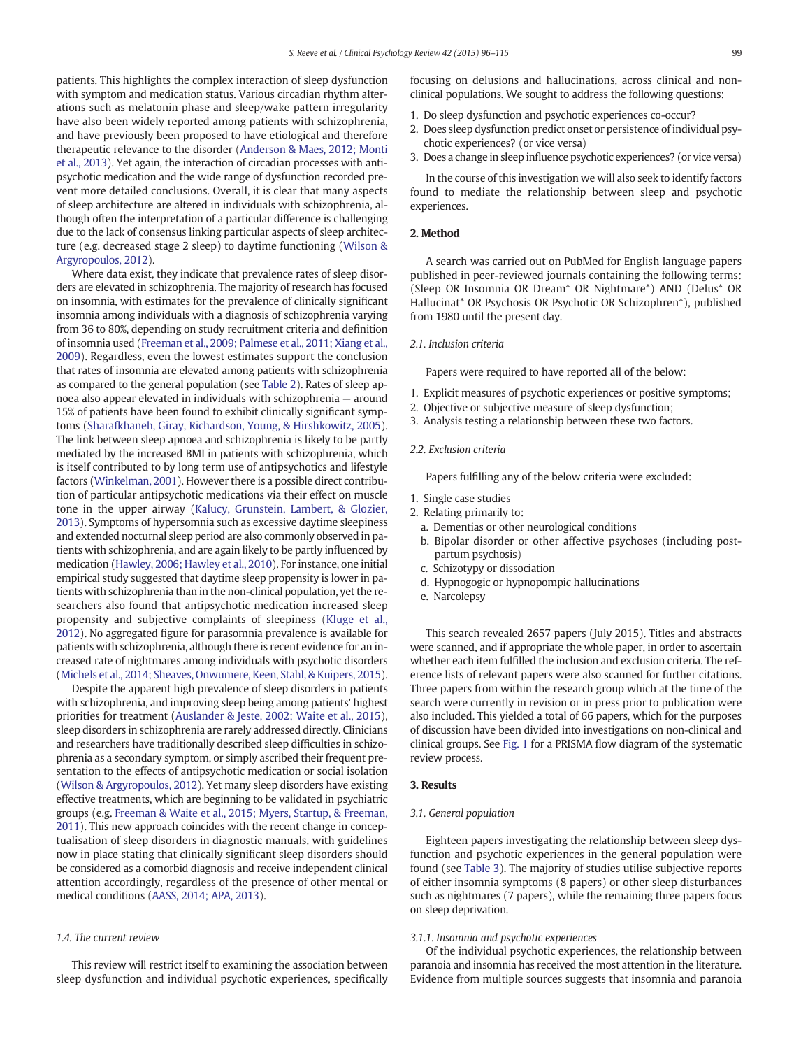patients. This highlights the complex interaction of sleep dysfunction with symptom and medication status. Various circadian rhythm alterations such as melatonin phase and sleep/wake pattern irregularity have also been widely reported among patients with schizophrenia, and have previously been proposed to have etiological and therefore therapeutic relevance to the disorder ([Anderson & Maes, 2012; Monti](#page-16-0) [et al., 2013\)](#page-16-0). Yet again, the interaction of circadian processes with antipsychotic medication and the wide range of dysfunction recorded prevent more detailed conclusions. Overall, it is clear that many aspects of sleep architecture are altered in individuals with schizophrenia, although often the interpretation of a particular difference is challenging due to the lack of consensus linking particular aspects of sleep architecture (e.g. decreased stage 2 sleep) to daytime functioning ([Wilson &](#page-18-0) [Argyropoulos, 2012\)](#page-18-0).

Where data exist, they indicate that prevalence rates of sleep disorders are elevated in schizophrenia. The majority of research has focused on insomnia, with estimates for the prevalence of clinically significant insomnia among individuals with a diagnosis of schizophrenia varying from 36 to 80%, depending on study recruitment criteria and definition of insomnia used [\(Freeman et al., 2009; Palmese et al., 2011; Xiang et al.,](#page-16-0) [2009\)](#page-16-0). Regardless, even the lowest estimates support the conclusion that rates of insomnia are elevated among patients with schizophrenia as compared to the general population (see [Table 2](#page-2-0)). Rates of sleep apnoea also appear elevated in individuals with schizophrenia — around 15% of patients have been found to exhibit clinically significant symptoms [\(Sharafkhaneh, Giray, Richardson, Young, & Hirshkowitz, 2005](#page-18-0)). The link between sleep apnoea and schizophrenia is likely to be partly mediated by the increased BMI in patients with schizophrenia, which is itself contributed to by long term use of antipsychotics and lifestyle factors [\(Winkelman, 2001](#page-18-0)). However there is a possible direct contribution of particular antipsychotic medications via their effect on muscle tone in the upper airway ([Kalucy, Grunstein, Lambert, & Glozier,](#page-17-0) [2013](#page-17-0)). Symptoms of hypersomnia such as excessive daytime sleepiness and extended nocturnal sleep period are also commonly observed in patients with schizophrenia, and are again likely to be partly influenced by medication [\(Hawley, 2006; Hawley et al., 2010\)](#page-16-0). For instance, one initial empirical study suggested that daytime sleep propensity is lower in patients with schizophrenia than in the non-clinical population, yet the researchers also found that antipsychotic medication increased sleep propensity and subjective complaints of sleepiness ([Kluge et al.,](#page-17-0) [2012](#page-17-0)). No aggregated figure for parasomnia prevalence is available for patients with schizophrenia, although there is recent evidence for an increased rate of nightmares among individuals with psychotic disorders [\(Michels et al., 2014; Sheaves, Onwumere, Keen, Stahl, & Kuipers, 2015](#page-17-0)).

Despite the apparent high prevalence of sleep disorders in patients with schizophrenia, and improving sleep being among patients' highest priorities for treatment ([Auslander & Jeste, 2002; Waite et al., 2015](#page-16-0)), sleep disorders in schizophrenia are rarely addressed directly. Clinicians and researchers have traditionally described sleep difficulties in schizophrenia as a secondary symptom, or simply ascribed their frequent presentation to the effects of antipsychotic medication or social isolation [\(Wilson & Argyropoulos, 2012](#page-18-0)). Yet many sleep disorders have existing effective treatments, which are beginning to be validated in psychiatric groups (e.g. [Freeman & Waite et al., 2015; Myers, Startup, & Freeman,](#page-16-0) [2011](#page-16-0)). This new approach coincides with the recent change in conceptualisation of sleep disorders in diagnostic manuals, with guidelines now in place stating that clinically significant sleep disorders should be considered as a comorbid diagnosis and receive independent clinical attention accordingly, regardless of the presence of other mental or medical conditions [\(AASS, 2014; APA, 2013](#page-16-0)).

# 1.4. The current review

This review will restrict itself to examining the association between sleep dysfunction and individual psychotic experiences, specifically focusing on delusions and hallucinations, across clinical and nonclinical populations. We sought to address the following questions:

- 1. Do sleep dysfunction and psychotic experiences co-occur?
- 2. Does sleep dysfunction predict onset or persistence of individual psychotic experiences? (or vice versa)
- 3. Does a change in sleep influence psychotic experiences? (or vice versa)

In the course of this investigation we will also seek to identify factors found to mediate the relationship between sleep and psychotic experiences.

# 2. Method

A search was carried out on PubMed for English language papers published in peer-reviewed journals containing the following terms: (Sleep OR Insomnia OR Dream\* OR Nightmare\*) AND (Delus\* OR Hallucinat\* OR Psychosis OR Psychotic OR Schizophren\*), published from 1980 until the present day.

#### 2.1. Inclusion criteria

Papers were required to have reported all of the below:

- 1. Explicit measures of psychotic experiences or positive symptoms;
- 2. Objective or subjective measure of sleep dysfunction;
- 3. Analysis testing a relationship between these two factors.

#### 2.2. Exclusion criteria

Papers fulfilling any of the below criteria were excluded:

- 1. Single case studies
- 2. Relating primarily to:
	- a. Dementias or other neurological conditions
	- b. Bipolar disorder or other affective psychoses (including postpartum psychosis)
	- c. Schizotypy or dissociation
	- d. Hypnogogic or hypnopompic hallucinations
	- e. Narcolepsy

This search revealed 2657 papers (July 2015). Titles and abstracts were scanned, and if appropriate the whole paper, in order to ascertain whether each item fulfilled the inclusion and exclusion criteria. The reference lists of relevant papers were also scanned for further citations. Three papers from within the research group which at the time of the search were currently in revision or in press prior to publication were also included. This yielded a total of 66 papers, which for the purposes of discussion have been divided into investigations on non-clinical and clinical groups. See [Fig. 1](#page-4-0) for a PRISMA flow diagram of the systematic review process.

# 3. Results

#### 3.1. General population

Eighteen papers investigating the relationship between sleep dysfunction and psychotic experiences in the general population were found (see [Table 3\)](#page-5-0). The majority of studies utilise subjective reports of either insomnia symptoms (8 papers) or other sleep disturbances such as nightmares (7 papers), while the remaining three papers focus on sleep deprivation.

#### 3.1.1. Insomnia and psychotic experiences

Of the individual psychotic experiences, the relationship between paranoia and insomnia has received the most attention in the literature. Evidence from multiple sources suggests that insomnia and paranoia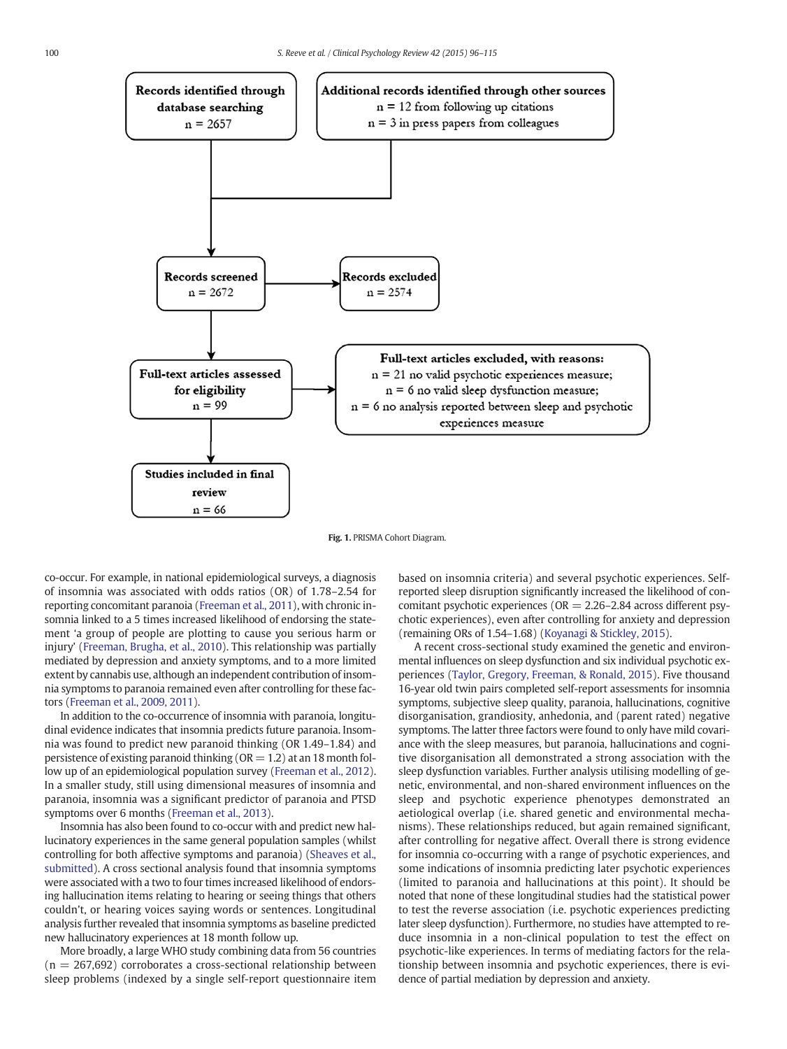<span id="page-4-0"></span>

Fig. 1. PRISMA Cohort Diagram.

co-occur. For example, in national epidemiological surveys, a diagnosis of insomnia was associated with odds ratios (OR) of 1.78–2.54 for reporting concomitant paranoia [\(Freeman et al., 2011](#page-16-0)), with chronic insomnia linked to a 5 times increased likelihood of endorsing the statement 'a group of people are plotting to cause you serious harm or injury' [\(Freeman, Brugha, et al., 2010\)](#page-16-0). This relationship was partially mediated by depression and anxiety symptoms, and to a more limited extent by cannabis use, although an independent contribution of insomnia symptoms to paranoia remained even after controlling for these factors [\(Freeman et al., 2009, 2011](#page-16-0)).

In addition to the co-occurrence of insomnia with paranoia, longitudinal evidence indicates that insomnia predicts future paranoia. Insomnia was found to predict new paranoid thinking (OR 1.49–1.84) and persistence of existing paranoid thinking ( $OR = 1.2$ ) at an 18 month follow up of an epidemiological population survey [\(Freeman et al., 2012\)](#page-16-0). In a smaller study, still using dimensional measures of insomnia and paranoia, insomnia was a significant predictor of paranoia and PTSD symptoms over 6 months [\(Freeman et al., 2013\)](#page-16-0).

Insomnia has also been found to co-occur with and predict new hallucinatory experiences in the same general population samples (whilst controlling for both affective symptoms and paranoia) ([Sheaves et al.,](#page-18-0) [submitted\)](#page-18-0). A cross sectional analysis found that insomnia symptoms were associated with a two to four times increased likelihood of endorsing hallucination items relating to hearing or seeing things that others couldn't, or hearing voices saying words or sentences. Longitudinal analysis further revealed that insomnia symptoms as baseline predicted new hallucinatory experiences at 18 month follow up.

More broadly, a large WHO study combining data from 56 countries  $(n = 267,692)$  corroborates a cross-sectional relationship between sleep problems (indexed by a single self-report questionnaire item based on insomnia criteria) and several psychotic experiences. Selfreported sleep disruption significantly increased the likelihood of concomitant psychotic experiences ( $OR = 2.26-2.84$  across different psychotic experiences), even after controlling for anxiety and depression (remaining ORs of 1.54–1.68) [\(Koyanagi & Stickley, 2015\)](#page-17-0).

A recent cross-sectional study examined the genetic and environmental influences on sleep dysfunction and six individual psychotic experiences [\(Taylor, Gregory, Freeman, & Ronald, 2015](#page-18-0)). Five thousand 16-year old twin pairs completed self-report assessments for insomnia symptoms, subjective sleep quality, paranoia, hallucinations, cognitive disorganisation, grandiosity, anhedonia, and (parent rated) negative symptoms. The latter three factors were found to only have mild covariance with the sleep measures, but paranoia, hallucinations and cognitive disorganisation all demonstrated a strong association with the sleep dysfunction variables. Further analysis utilising modelling of genetic, environmental, and non-shared environment influences on the sleep and psychotic experience phenotypes demonstrated an aetiological overlap (i.e. shared genetic and environmental mechanisms). These relationships reduced, but again remained significant, after controlling for negative affect. Overall there is strong evidence for insomnia co-occurring with a range of psychotic experiences, and some indications of insomnia predicting later psychotic experiences (limited to paranoia and hallucinations at this point). It should be noted that none of these longitudinal studies had the statistical power to test the reverse association (i.e. psychotic experiences predicting later sleep dysfunction). Furthermore, no studies have attempted to reduce insomnia in a non-clinical population to test the effect on psychotic-like experiences. In terms of mediating factors for the relationship between insomnia and psychotic experiences, there is evidence of partial mediation by depression and anxiety.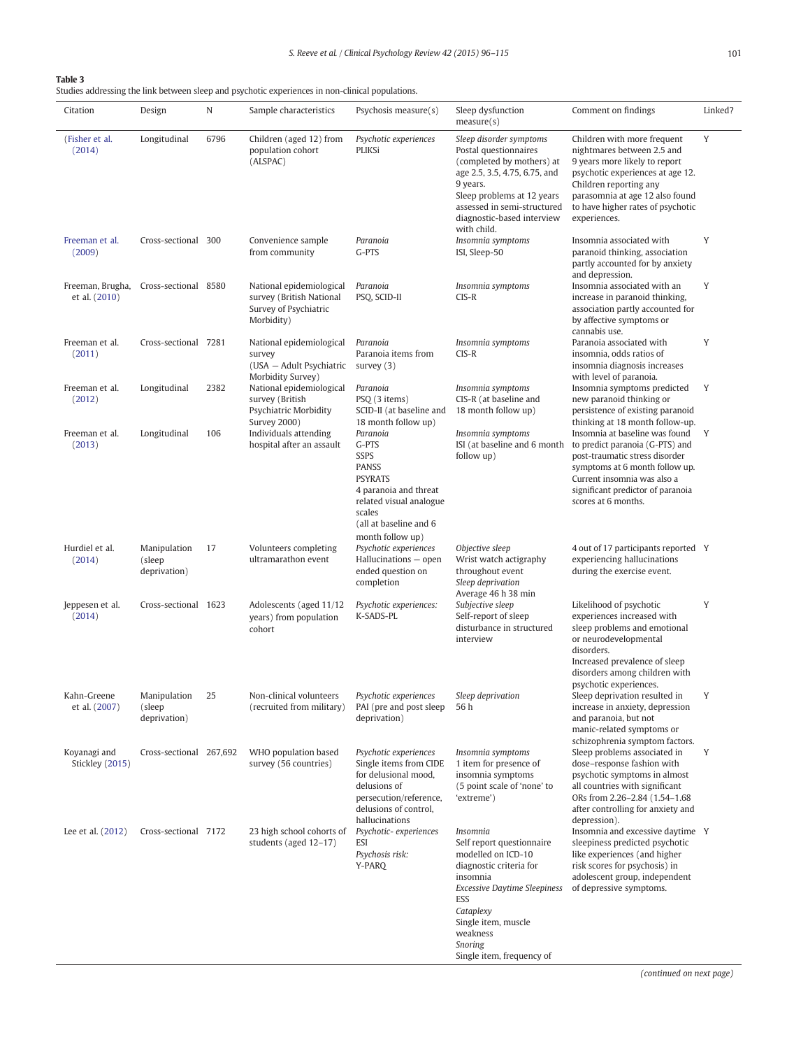<span id="page-5-0"></span>Studies addressing the link between sleep and psychotic experiences in non-clinical populations.

| Citation                          | Design                                  | N    | Sample characteristics                                                                      | Psychosis measure $(s)$                                                                                                                                                        | Sleep dysfunction<br>measure(s)                                                                                                                                                                                                          | Comment on findings                                                                                                                                                                                                                              | Linked? |
|-----------------------------------|-----------------------------------------|------|---------------------------------------------------------------------------------------------|--------------------------------------------------------------------------------------------------------------------------------------------------------------------------------|------------------------------------------------------------------------------------------------------------------------------------------------------------------------------------------------------------------------------------------|--------------------------------------------------------------------------------------------------------------------------------------------------------------------------------------------------------------------------------------------------|---------|
| (Fisher et al.<br>(2014)          | Longitudinal                            | 6796 | Children (aged 12) from<br>population cohort<br>(ALSPAC)                                    | Psychotic experiences<br><b>PLIKSi</b>                                                                                                                                         | Sleep disorder symptoms<br>Postal questionnaires<br>(completed by mothers) at<br>age 2.5, 3.5, 4.75, 6.75, and<br>9 years.<br>Sleep problems at 12 years<br>assessed in semi-structured<br>diagnostic-based interview<br>with child.     | Children with more frequent<br>nightmares between 2.5 and<br>9 years more likely to report<br>psychotic experiences at age 12.<br>Children reporting any<br>parasomnia at age 12 also found<br>to have higher rates of psychotic<br>experiences. | Y       |
| Freeman et al.<br>(2009)          | Cross-sectional 300                     |      | Convenience sample<br>from community                                                        | Paranoia<br>G-PTS                                                                                                                                                              | Insomnia symptoms<br>ISI, Sleep-50                                                                                                                                                                                                       | Insomnia associated with<br>paranoid thinking, association<br>partly accounted for by anxiety<br>and depression.                                                                                                                                 | Y       |
| Freeman, Brugha,<br>et al. (2010) | Cross-sectional 8580                    |      | National epidemiological<br>survey (British National<br>Survey of Psychiatric<br>Morbidity) | Paranoia<br>PSQ, SCID-II                                                                                                                                                       | Insomnia symptoms<br>$CIS-R$                                                                                                                                                                                                             | Insomnia associated with an<br>increase in paranoid thinking,<br>association partly accounted for<br>by affective symptoms or<br>cannabis use.                                                                                                   | Y       |
| Freeman et al.<br>(2011)          | Cross-sectional 7281                    |      | National epidemiological<br>survey<br>(USA - Adult Psychiatric<br>Morbidity Survey)         | Paranoia<br>Paranoia items from<br>survey $(3)$                                                                                                                                | Insomnia symptoms<br>$CIS-R$                                                                                                                                                                                                             | Paranoia associated with<br>insomnia, odds ratios of<br>insomnia diagnosis increases<br>with level of paranoia.                                                                                                                                  | Y       |
| Freeman et al.<br>(2012)          | Longitudinal                            | 2382 | National epidemiological<br>survey (British<br>Psychiatric Morbidity<br><b>Survey 2000)</b> | Paranoia<br>PSQ (3 items)<br>SCID-II (at baseline and<br>18 month follow up)                                                                                                   | Insomnia symptoms<br>CIS-R (at baseline and<br>18 month follow up)                                                                                                                                                                       | Insomnia symptoms predicted<br>new paranoid thinking or<br>persistence of existing paranoid<br>thinking at 18 month follow-up.                                                                                                                   | Y       |
| Freeman et al.<br>(2013)          | Longitudinal                            | 106  | Individuals attending<br>hospital after an assault                                          | Paranoia<br>G-PTS<br><b>SSPS</b><br><b>PANSS</b><br><b>PSYRATS</b><br>4 paranoia and threat<br>related visual analogue<br>scales<br>(all at baseline and 6<br>month follow up) | Insomnia symptoms<br>ISI (at baseline and 6 month<br>follow up)                                                                                                                                                                          | Insomnia at baseline was found<br>to predict paranoia (G-PTS) and<br>post-traumatic stress disorder<br>symptoms at 6 month follow up.<br>Current insomnia was also a<br>significant predictor of paranoia<br>scores at 6 months.                 | Y       |
| Hurdiel et al.<br>(2014)          | Manipulation<br>(sleep<br>deprivation)  | 17   | Volunteers completing<br>ultramarathon event                                                | Psychotic experiences<br>Hallucinations - open<br>ended question on<br>completion                                                                                              | Objective sleep<br>Wrist watch actigraphy<br>throughout event<br>Sleep deprivation<br>Average 46 h 38 min                                                                                                                                | 4 out of 17 participants reported Y<br>experiencing hallucinations<br>during the exercise event.                                                                                                                                                 |         |
| Jeppesen et al.<br>(2014)         | Cross-sectional 1623                    |      | Adolescents (aged 11/12<br>years) from population<br>cohort                                 | Psychotic experiences:<br>K-SADS-PL                                                                                                                                            | Subjective sleep<br>Self-report of sleep<br>disturbance in structured<br>interview                                                                                                                                                       | Likelihood of psychotic<br>experiences increased with<br>sleep problems and emotional<br>or neurodevelopmental<br>disorders.<br>Increased prevalence of sleep<br>disorders among children with<br>psychotic experiences.                         | Y       |
| Kahn-Greene<br>et al. (2007)      | Manipulation<br>(sleep)<br>deprivation) | 25   | Non-clinical volunteers<br>(recruited from military) PAI (pre and post sleep                | Psychotic experiences<br>deprivation)                                                                                                                                          | Sleep deprivation<br>56 h                                                                                                                                                                                                                | Sleep deprivation resulted in<br>increase in anxiety, depression<br>and paranoia, but not<br>manic-related symptoms or<br>schizophrenia symptom factors.                                                                                         | Y       |
| Koyanagi and<br>Stickley (2015)   | Cross-sectional 267,692                 |      | WHO population based<br>survey (56 countries)                                               | Psychotic experiences<br>Single items from CIDE<br>for delusional mood,<br>delusions of<br>persecution/reference,<br>delusions of control,<br>hallucinations                   | Insomnia symptoms<br>1 item for presence of<br>insomnia symptoms<br>(5 point scale of 'none' to<br>'extreme')                                                                                                                            | Sleep problems associated in<br>dose-response fashion with<br>psychotic symptoms in almost<br>all countries with significant<br>ORs from 2.26-2.84 (1.54-1.68)<br>after controlling for anxiety and<br>depression).                              | Y       |
| Lee et al. (2012)                 | Cross-sectional 7172                    |      | 23 high school cohorts of<br>students (aged 12-17)                                          | Psychotic-experiences<br>ESI<br>Psychosis risk:<br>Y-PARQ                                                                                                                      | Insomnia<br>Self report questionnaire<br>modelled on ICD-10<br>diagnostic criteria for<br>insomnia<br><b>Excessive Daytime Sleepiness</b><br>ESS<br>Cataplexy<br>Single item, muscle<br>weakness<br>Snoring<br>Single item, frequency of | Insomnia and excessive daytime Y<br>sleepiness predicted psychotic<br>like experiences (and higher<br>risk scores for psychosis) in<br>adolescent group, independent<br>of depressive symptoms.                                                  |         |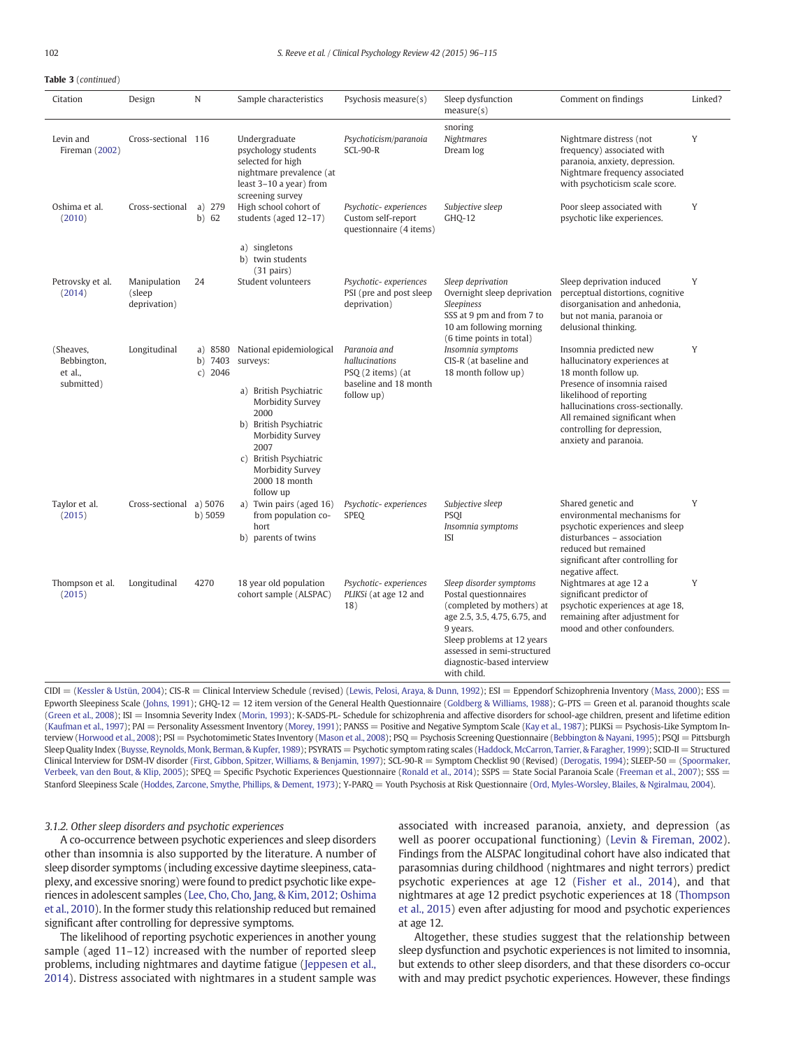# Table 3 (continued)

| Citation                                          | Design                                 | N                               | Sample characteristics                                                                                                                                                                                                       | Psychosis measure(s)                                                                       | Sleep dysfunction<br>measure(s)                                                                                                                                                                                                      | Comment on findings                                                                                                                                                                                                                                                   | Linked? |
|---------------------------------------------------|----------------------------------------|---------------------------------|------------------------------------------------------------------------------------------------------------------------------------------------------------------------------------------------------------------------------|--------------------------------------------------------------------------------------------|--------------------------------------------------------------------------------------------------------------------------------------------------------------------------------------------------------------------------------------|-----------------------------------------------------------------------------------------------------------------------------------------------------------------------------------------------------------------------------------------------------------------------|---------|
| Levin and<br>Fireman (2002)                       | Cross-sectional 116                    |                                 | Undergraduate<br>psychology students<br>selected for high<br>nightmare prevalence (at<br>least 3-10 a year) from<br>screening survey                                                                                         | Psychoticism/paranoia<br>$SCL-90-R$                                                        | snoring<br>Nightmares<br>Dream log                                                                                                                                                                                                   | Nightmare distress (not<br>frequency) associated with<br>paranoia, anxiety, depression.<br>Nightmare frequency associated<br>with psychoticism scale score.                                                                                                           | Y       |
| Oshima et al.<br>(2010)                           | Cross-sectional                        | a) $279$<br>b) 62               | High school cohort of<br>students (aged 12-17)                                                                                                                                                                               | Psychotic-experiences<br>Custom self-report<br>questionnaire (4 items)                     | Subjective sleep<br>GHO-12                                                                                                                                                                                                           | Poor sleep associated with<br>psychotic like experiences.                                                                                                                                                                                                             | Y       |
|                                                   |                                        |                                 | a) singletons<br>b) twin students<br>$(31 \text{ pairs})$                                                                                                                                                                    |                                                                                            |                                                                                                                                                                                                                                      |                                                                                                                                                                                                                                                                       |         |
| Petrovsky et al.<br>(2014)                        | Manipulation<br>(sleep<br>deprivation) | 24                              | Student volunteers                                                                                                                                                                                                           | Psychotic-experiences<br>PSI (pre and post sleep<br>deprivation)                           | Sleep deprivation<br>Overnight sleep deprivation<br>Sleepiness<br>SSS at 9 pm and from 7 to<br>10 am following morning<br>(6 time points in total)                                                                                   | Sleep deprivation induced<br>perceptual distortions, cognitive<br>disorganisation and anhedonia,<br>but not mania, paranoia or<br>delusional thinking.                                                                                                                | Y       |
| (Sheaves,<br>Bebbington,<br>et al.,<br>submitted) | Longitudinal                           | a) 8580<br>b) 7403<br>$c)$ 2046 | National epidemiological<br>surveys:<br>a) British Psychiatric<br>Morbidity Survey<br>2000<br>b) British Psychiatric<br>Morbidity Survey<br>2007<br>c) British Psychiatric<br>Morbidity Survey<br>2000 18 month<br>follow up | Paranoia and<br>hallucinations<br>PSQ (2 items) (at<br>baseline and 18 month<br>follow up) | Insomnia symptoms<br>CIS-R (at baseline and<br>18 month follow up)                                                                                                                                                                   | Insomnia predicted new<br>hallucinatory experiences at<br>18 month follow up.<br>Presence of insomnia raised<br>likelihood of reporting<br>hallucinations cross-sectionally.<br>All remained significant when<br>controlling for depression,<br>anxiety and paranoia. | Y       |
| Taylor et al.<br>(2015)                           | Cross-sectional a) 5076                | b) 5059                         | a) Twin pairs (aged 16)<br>from population co-<br>hort<br>b) parents of twins                                                                                                                                                | Psychotic-experiences<br><b>SPEQ</b>                                                       | Subjective sleep<br>PSOI<br>Insomnia symptoms<br><b>ISI</b>                                                                                                                                                                          | Shared genetic and<br>environmental mechanisms for<br>psychotic experiences and sleep<br>disturbances - association<br>reduced but remained<br>significant after controlling for<br>negative affect.                                                                  | Y       |
| Thompson et al.<br>(2015)                         | Longitudinal                           | 4270                            | 18 year old population<br>cohort sample (ALSPAC)                                                                                                                                                                             | Psychotic-experiences<br>PLIKSi (at age 12 and<br>18)                                      | Sleep disorder symptoms<br>Postal questionnaires<br>(completed by mothers) at<br>age 2.5, 3.5, 4.75, 6.75, and<br>9 years.<br>Sleep problems at 12 years<br>assessed in semi-structured<br>diagnostic-based interview<br>with child. | Nightmares at age 12 a<br>significant predictor of<br>psychotic experiences at age 18,<br>remaining after adjustment for<br>mood and other confounders.                                                                                                               | Y       |

CIDI = [\(Kessler & Ustün, 2004\)](#page-17-0); CIS-R = Clinical Interview Schedule (revised) ([Lewis, Pelosi, Araya, & Dunn, 1992](#page-17-0)); ESI = Eppendorf Schizophrenia Inventory ([Mass, 2000\)](#page-17-0); ESS = Epworth Sleepiness Scale ([Johns, 1991](#page-17-0)); GHQ-12 = 12 item version of the General Health Questionnaire ([Goldberg & Williams, 1988\)](#page-16-0); G-PTS = Green et al. paranoid thoughts scale ([Green et al., 2008](#page-16-0)); ISI = Insomnia Severity Index [\(Morin, 1993](#page-17-0)); K-SADS-PL- Schedule for schizophrenia and affective disorders for school-age children, present and lifetime edition ([Kaufman et al., 1997\)](#page-17-0); PAI = Personality Assessment Inventory [\(Morey, 1991\)](#page-17-0); PANSS = Positive and Negative Symptom Scale ([Kay et al., 1987](#page-17-0)); PLIKSi = Psychosis-Like Symptom In-terview ([Horwood et al., 2008\)](#page-17-0); PSI = Psychotomimetic States Inventory [\(Mason et al., 2008\)](#page-17-0); PSQ = Psychosis Screening Questionnaire [\(Bebbington & Nayani, 1995](#page-16-0)); PSQI = Pittsburgh Sleep Quality Index ([Buysse, Reynolds, Monk, Berman, & Kupfer, 1989](#page-16-0)); PSYRATS = Psychotic symptom rating scales ([Haddock, McCarron, Tarrier, & Faragher, 1999\)](#page-16-0); SCID-II = Structured Clinical Interview for DSM-IV disorder ([First, Gibbon, Spitzer, Williams, & Benjamin, 1997](#page-16-0)); SCL-90-R = Symptom Checklist 90 (Revised) [\(Derogatis, 1994](#page-16-0)); SLEEP-50 = ([Spoormaker,](#page-18-0) [Verbeek, van den Bout, & Klip, 2005\)](#page-18-0); SPEQ = Specific Psychotic Experiences Questionnaire [\(Ronald et al., 2014\)](#page-18-0); SSPS = State Social Paranoia Scale [\(Freeman et al., 2007\)](#page-16-0); SSS = Stanford Sleepiness Scale [\(Hoddes, Zarcone, Smythe, Phillips, & Dement, 1973](#page-17-0)); Y-PARQ = Youth Psychosis at Risk Questionnaire ([Ord, Myles-Worsley, Blailes, & Ngiralmau, 2004\)](#page-18-0).

#### 3.1.2. Other sleep disorders and psychotic experiences

A co-occurrence between psychotic experiences and sleep disorders other than insomnia is also supported by the literature. A number of sleep disorder symptoms (including excessive daytime sleepiness, cataplexy, and excessive snoring) were found to predict psychotic like experiences in adolescent samples ([Lee, Cho, Cho, Jang, & Kim, 2012; Oshima](#page-17-0) [et al., 2010](#page-17-0)). In the former study this relationship reduced but remained significant after controlling for depressive symptoms.

The likelihood of reporting psychotic experiences in another young sample (aged 11–12) increased with the number of reported sleep problems, including nightmares and daytime fatigue ([Jeppesen et al.,](#page-17-0) [2014](#page-17-0)). Distress associated with nightmares in a student sample was

associated with increased paranoia, anxiety, and depression (as well as poorer occupational functioning) [\(Levin & Fireman, 2002](#page-17-0)). Findings from the ALSPAC longitudinal cohort have also indicated that parasomnias during childhood (nightmares and night terrors) predict psychotic experiences at age 12 ([Fisher et al., 2014](#page-16-0)), and that nightmares at age 12 predict psychotic experiences at 18 [\(Thompson](#page-18-0) [et al., 2015](#page-18-0)) even after adjusting for mood and psychotic experiences at age 12.

Altogether, these studies suggest that the relationship between sleep dysfunction and psychotic experiences is not limited to insomnia, but extends to other sleep disorders, and that these disorders co-occur with and may predict psychotic experiences. However, these findings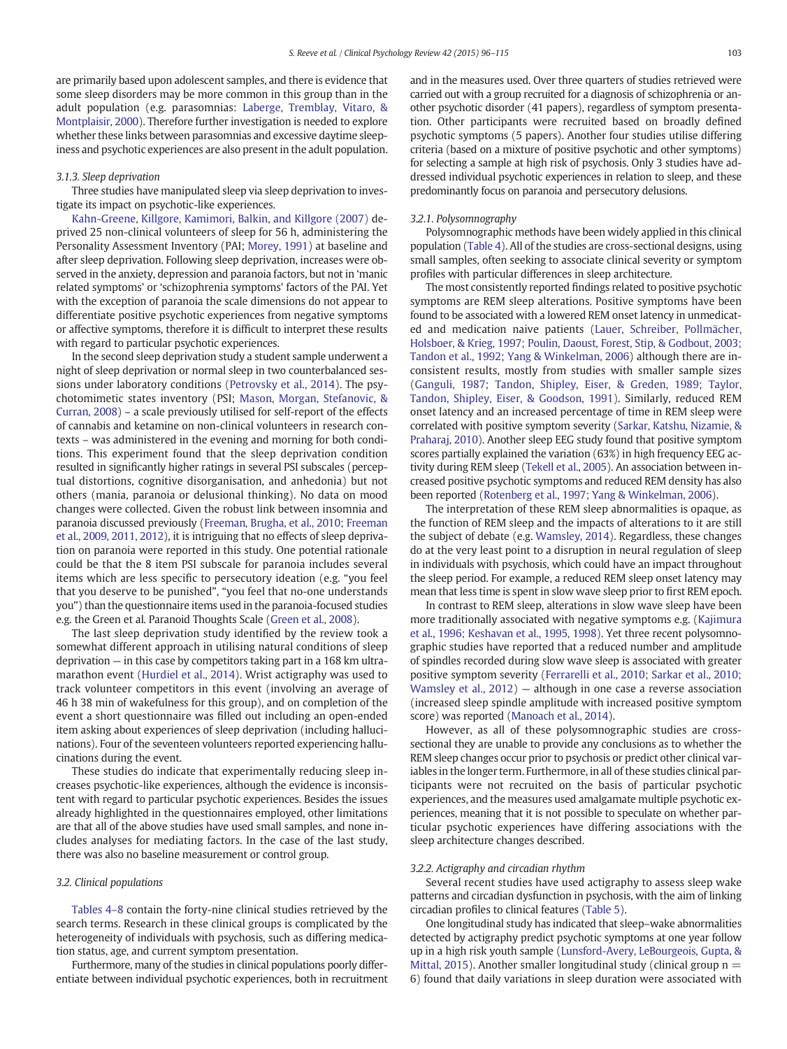are primarily based upon adolescent samples, and there is evidence that some sleep disorders may be more common in this group than in the adult population (e.g. parasomnias: [Laberge, Tremblay, Vitaro, &](#page-17-0) [Montplaisir, 2000\)](#page-17-0). Therefore further investigation is needed to explore whether these links between parasomnias and excessive daytime sleepiness and psychotic experiences are also present in the adult population.

### 3.1.3. Sleep deprivation

Three studies have manipulated sleep via sleep deprivation to investigate its impact on psychotic-like experiences.

[Kahn-Greene, Killgore, Kamimori, Balkin, and Killgore \(2007\)](#page-17-0) deprived 25 non-clinical volunteers of sleep for 56 h, administering the Personality Assessment Inventory (PAI; [Morey, 1991](#page-17-0)) at baseline and after sleep deprivation. Following sleep deprivation, increases were observed in the anxiety, depression and paranoia factors, but not in 'manic related symptoms' or 'schizophrenia symptoms' factors of the PAI. Yet with the exception of paranoia the scale dimensions do not appear to differentiate positive psychotic experiences from negative symptoms or affective symptoms, therefore it is difficult to interpret these results with regard to particular psychotic experiences.

In the second sleep deprivation study a student sample underwent a night of sleep deprivation or normal sleep in two counterbalanced sessions under laboratory conditions ([Petrovsky et al., 2014\)](#page-18-0). The psychotomimetic states inventory (PSI; [Mason, Morgan, Stefanovic, &](#page-17-0) [Curran, 2008\)](#page-17-0) – a scale previously utilised for self-report of the effects of cannabis and ketamine on non-clinical volunteers in research contexts – was administered in the evening and morning for both conditions. This experiment found that the sleep deprivation condition resulted in significantly higher ratings in several PSI subscales (perceptual distortions, cognitive disorganisation, and anhedonia) but not others (mania, paranoia or delusional thinking). No data on mood changes were collected. Given the robust link between insomnia and paranoia discussed previously ([Freeman, Brugha, et al., 2010; Freeman](#page-16-0) [et al., 2009, 2011, 2012\)](#page-16-0), it is intriguing that no effects of sleep deprivation on paranoia were reported in this study. One potential rationale could be that the 8 item PSI subscale for paranoia includes several items which are less specific to persecutory ideation (e.g. "you feel that you deserve to be punished", "you feel that no-one understands you") than the questionnaire items used in the paranoia-focused studies e.g. the Green et al. Paranoid Thoughts Scale ([Green et al., 2008\)](#page-16-0).

The last sleep deprivation study identified by the review took a somewhat different approach in utilising natural conditions of sleep deprivation — in this case by competitors taking part in a 168 km ultramarathon event [\(Hurdiel et al., 2014\)](#page-17-0). Wrist actigraphy was used to track volunteer competitors in this event (involving an average of 46 h 38 min of wakefulness for this group), and on completion of the event a short questionnaire was filled out including an open-ended item asking about experiences of sleep deprivation (including hallucinations). Four of the seventeen volunteers reported experiencing hallucinations during the event.

These studies do indicate that experimentally reducing sleep increases psychotic-like experiences, although the evidence is inconsistent with regard to particular psychotic experiences. Besides the issues already highlighted in the questionnaires employed, other limitations are that all of the above studies have used small samples, and none includes analyses for mediating factors. In the case of the last study, there was also no baseline measurement or control group.

### 3.2. Clinical populations

[Tables 4](#page-8-0)–8 contain the forty-nine clinical studies retrieved by the search terms. Research in these clinical groups is complicated by the heterogeneity of individuals with psychosis, such as differing medication status, age, and current symptom presentation.

Furthermore, many of the studies in clinical populations poorly differentiate between individual psychotic experiences, both in recruitment and in the measures used. Over three quarters of studies retrieved were carried out with a group recruited for a diagnosis of schizophrenia or another psychotic disorder (41 papers), regardless of symptom presentation. Other participants were recruited based on broadly defined psychotic symptoms (5 papers). Another four studies utilise differing criteria (based on a mixture of positive psychotic and other symptoms) for selecting a sample at high risk of psychosis. Only 3 studies have addressed individual psychotic experiences in relation to sleep, and these predominantly focus on paranoia and persecutory delusions.

#### 3.2.1. Polysomnography

Polysomnographic methods have been widely applied in this clinical population [\(Table 4](#page-8-0)). All of the studies are cross-sectional designs, using small samples, often seeking to associate clinical severity or symptom profiles with particular differences in sleep architecture.

The most consistently reported findings related to positive psychotic symptoms are REM sleep alterations. Positive symptoms have been found to be associated with a lowered REM onset latency in unmedicated and medication naive patients [\(Lauer, Schreiber, Pollmächer,](#page-17-0) [Holsboer, & Krieg, 1997; Poulin, Daoust, Forest, Stip, & Godbout, 2003;](#page-17-0) [Tandon et al., 1992; Yang & Winkelman, 2006](#page-17-0)) although there are inconsistent results, mostly from studies with smaller sample sizes [\(Ganguli, 1987; Tandon, Shipley, Eiser, & Greden, 1989; Taylor,](#page-16-0) [Tandon, Shipley, Eiser, & Goodson, 1991](#page-16-0)). Similarly, reduced REM onset latency and an increased percentage of time in REM sleep were correlated with positive symptom severity ([Sarkar, Katshu, Nizamie, &](#page-18-0) [Praharaj, 2010\)](#page-18-0). Another sleep EEG study found that positive symptom scores partially explained the variation (63%) in high frequency EEG activity during REM sleep [\(Tekell et al., 2005](#page-18-0)). An association between increased positive psychotic symptoms and reduced REM density has also been reported [\(Rotenberg et al., 1997; Yang & Winkelman, 2006\)](#page-18-0).

The interpretation of these REM sleep abnormalities is opaque, as the function of REM sleep and the impacts of alterations to it are still the subject of debate (e.g. [Wamsley, 2014](#page-18-0)). Regardless, these changes do at the very least point to a disruption in neural regulation of sleep in individuals with psychosis, which could have an impact throughout the sleep period. For example, a reduced REM sleep onset latency may mean that less time is spent in slow wave sleep prior to first REM epoch.

In contrast to REM sleep, alterations in slow wave sleep have been more traditionally associated with negative symptoms e.g. [\(Kajimura](#page-17-0) [et al., 1996; Keshavan et al., 1995, 1998\)](#page-17-0). Yet three recent polysomnographic studies have reported that a reduced number and amplitude of spindles recorded during slow wave sleep is associated with greater positive symptom severity [\(Ferrarelli et al., 2010; Sarkar et al., 2010;](#page-16-0) [Wamsley et al., 2012\)](#page-16-0) — although in one case a reverse association (increased sleep spindle amplitude with increased positive symptom score) was reported [\(Manoach et al., 2014](#page-17-0)).

However, as all of these polysomnographic studies are crosssectional they are unable to provide any conclusions as to whether the REM sleep changes occur prior to psychosis or predict other clinical variables in the longer term. Furthermore, in all of these studies clinical participants were not recruited on the basis of particular psychotic experiences, and the measures used amalgamate multiple psychotic experiences, meaning that it is not possible to speculate on whether particular psychotic experiences have differing associations with the sleep architecture changes described.

### 3.2.2. Actigraphy and circadian rhythm

Several recent studies have used actigraphy to assess sleep wake patterns and circadian dysfunction in psychosis, with the aim of linking circadian profiles to clinical features ([Table 5](#page-9-0)).

One longitudinal study has indicated that sleep–wake abnormalities detected by actigraphy predict psychotic symptoms at one year follow up in a high risk youth sample ([Lunsford-Avery, LeBourgeois, Gupta, &](#page-17-0) [Mittal, 2015\)](#page-17-0). Another smaller longitudinal study (clinical group  $n =$ 6) found that daily variations in sleep duration were associated with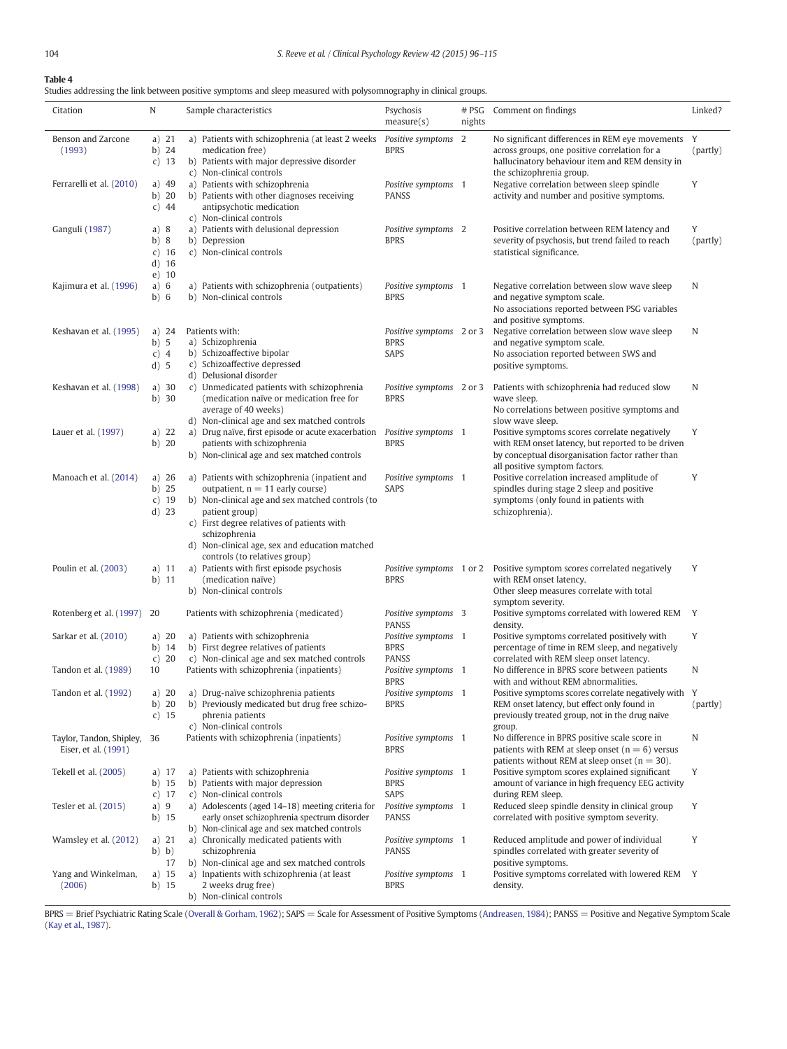<span id="page-8-0"></span>Studies addressing the link between positive symptoms and sleep measured with polysomnography in clinical groups.

| Citation                                         | N                                            | Sample characteristics                                                                                                                                                                                                                                                                                      | Psychosis<br>measure(s)                                    | # PSG<br>nights | Comment on findings                                                                                                                                                                                   | Linked?       |
|--------------------------------------------------|----------------------------------------------|-------------------------------------------------------------------------------------------------------------------------------------------------------------------------------------------------------------------------------------------------------------------------------------------------------------|------------------------------------------------------------|-----------------|-------------------------------------------------------------------------------------------------------------------------------------------------------------------------------------------------------|---------------|
| Benson and Zarcone<br>(1993)                     | a) $21$<br>b) $24$<br>$c)$ 13                | a) Patients with schizophrenia (at least 2 weeks<br>medication free)<br>b) Patients with major depressive disorder<br>c) Non-clinical controls                                                                                                                                                              | Positive symptoms 2<br><b>BPRS</b>                         |                 | No significant differences in REM eye movements<br>across groups, one positive correlation for a<br>hallucinatory behaviour item and REM density in<br>the schizophrenia group.                       | Y<br>(partly) |
| Ferrarelli et al. (2010)                         | a) $49$<br>$b)$ 20<br>c) $44$                | a) Patients with schizophrenia<br>b) Patients with other diagnoses receiving<br>antipsychotic medication<br>c) Non-clinical controls                                                                                                                                                                        | Positive symptoms 1<br><b>PANSS</b>                        |                 | Negative correlation between sleep spindle<br>activity and number and positive symptoms.                                                                                                              | Y             |
| Ganguli (1987)                                   | a) 8<br>b)8<br>c) $16$<br>$d)$ 16<br>$e)$ 10 | a) Patients with delusional depression<br>b) Depression<br>c) Non-clinical controls                                                                                                                                                                                                                         | Positive symptoms 2<br><b>BPRS</b>                         |                 | Positive correlation between REM latency and<br>severity of psychosis, but trend failed to reach<br>statistical significance.                                                                         | Y<br>(partly) |
| Kajimura et al. (1996)                           | a) $6$<br>b) 6                               | a) Patients with schizophrenia (outpatients)<br>b) Non-clinical controls                                                                                                                                                                                                                                    | Positive symptoms 1<br><b>BPRS</b>                         |                 | Negative correlation between slow wave sleep<br>and negative symptom scale.<br>No associations reported between PSG variables<br>and positive symptoms.                                               | N             |
| Keshavan et al. (1995)                           | a) $24$<br>b) 5<br>c) 4<br>d) 5              | Patients with:<br>a) Schizophrenia<br>b) Schizoaffective bipolar<br>c) Schizoaffective depressed<br>d) Delusional disorder                                                                                                                                                                                  | Positive symptoms 2 or 3<br><b>BPRS</b><br>SAPS            |                 | Negative correlation between slow wave sleep<br>and negative symptom scale.<br>No association reported between SWS and<br>positive symptoms.                                                          | N             |
| Keshavan et al. (1998)                           | a) $30$<br>$b)$ 30                           | c) Unmedicated patients with schizophrenia<br>(medication naïve or medication free for<br>average of 40 weeks)<br>d) Non-clinical age and sex matched controls                                                                                                                                              | Positive symptoms 2 or 3<br><b>BPRS</b>                    |                 | Patients with schizophrenia had reduced slow<br>wave sleep.<br>No correlations between positive symptoms and<br>slow wave sleep.                                                                      | N             |
| Lauer et al. (1997)                              | a) $22$<br>b) $20$                           | a) Drug naïve, first episode or acute exacerbation Positive symptoms 1<br>patients with schizophrenia<br>b) Non-clinical age and sex matched controls                                                                                                                                                       | <b>BPRS</b>                                                |                 | Positive symptoms scores correlate negatively<br>with REM onset latency, but reported to be driven<br>by conceptual disorganisation factor rather than<br>all positive symptom factors.               | Y             |
| Manoach et al. (2014)                            | a) $26$<br>$b)$ 25<br>$c)$ 19<br>$d)$ 23     | a) Patients with schizophrenia (inpatient and<br>outpatient, $n = 11$ early course)<br>b) Non-clinical age and sex matched controls (to<br>patient group)<br>c) First degree relatives of patients with<br>schizophrenia<br>d) Non-clinical age, sex and education matched<br>controls (to relatives group) | Positive symptoms 1<br>SAPS                                |                 | Positive correlation increased amplitude of<br>spindles during stage 2 sleep and positive<br>symptoms (only found in patients with<br>schizophrenia).                                                 | Y             |
| Poulin et al. (2003)                             | a) $11$<br>$b)$ 11                           | a) Patients with first episode psychosis<br>(medication naïve)<br>b) Non-clinical controls                                                                                                                                                                                                                  | <b>BPRS</b>                                                |                 | Positive symptoms 1 or 2 Positive symptom scores correlated negatively<br>with REM onset latency.<br>Other sleep measures correlate with total<br>symptom severity.                                   | Y             |
| Rotenberg et al. (1997) 20                       |                                              | Patients with schizophrenia (medicated)<br>a) Patients with schizophrenia                                                                                                                                                                                                                                   | Positive symptoms 3<br><b>PANSS</b><br>Positive symptoms 1 |                 | Positive symptoms correlated with lowered REM<br>density.                                                                                                                                             | Y             |
| Sarkar et al. (2010)<br>Tandon et al. (1989)     | a) $20$<br>b) 14<br>c) $20$<br>10            | b) First degree relatives of patients<br>c) Non-clinical age and sex matched controls<br>Patients with schizophrenia (inpatients)                                                                                                                                                                           | <b>BPRS</b><br><b>PANSS</b><br>Positive symptoms 1         |                 | Positive symptoms correlated positively with<br>percentage of time in REM sleep, and negatively<br>correlated with REM sleep onset latency.<br>No difference in BPRS score between patients           | Y<br>N        |
| Tandon et al. (1992)                             | a) 20<br>b) 20<br>c) $15$                    | a) Drug-naïve schizophrenia patients<br>b) Previously medicated but drug free schizo-<br>phrenia patients<br>c) Non-clinical controls                                                                                                                                                                       | <b>BPRS</b><br>Positive symptoms 1<br><b>BPRS</b>          |                 | with and without REM abnormalities.<br>Positive symptoms scores correlate negatively with<br>REM onset latency, but effect only found in<br>previously treated group, not in the drug naïve<br>group. | Y<br>(partly) |
| Taylor, Tandon, Shipley,<br>Eiser, et al. (1991) | 36                                           | Patients with schizophrenia (inpatients)                                                                                                                                                                                                                                                                    | Positive symptoms 1<br><b>BPRS</b>                         |                 | No difference in BPRS positive scale score in<br>patients with REM at sleep onset ( $n = 6$ ) versus<br>patients without REM at sleep onset ( $n = 30$ ).                                             | N             |
| Tekell et al. (2005)                             | a) 17<br>b) 15<br>c) $17$                    | a) Patients with schizophrenia<br>b) Patients with major depression<br>c) Non-clinical controls                                                                                                                                                                                                             | Positive symptoms 1<br><b>BPRS</b><br>SAPS                 |                 | Positive symptom scores explained significant<br>amount of variance in high frequency EEG activity<br>during REM sleep.                                                                               | Y             |
| Tesler et al. (2015)                             | a) 9<br>b) 15                                | a) Adolescents (aged 14-18) meeting criteria for<br>early onset schizophrenia spectrum disorder<br>b) Non-clinical age and sex matched controls                                                                                                                                                             | Positive symptoms 1<br>PANSS                               |                 | Reduced sleep spindle density in clinical group<br>correlated with positive symptom severity.                                                                                                         | Y             |
| Wamsley et al. (2012)                            | a) $21$<br>b) b)<br>17                       | a) Chronically medicated patients with<br>schizophrenia<br>b) Non-clinical age and sex matched controls                                                                                                                                                                                                     | Positive symptoms 1<br>PANSS                               |                 | Reduced amplitude and power of individual<br>spindles correlated with greater severity of<br>positive symptoms.                                                                                       | Y             |
| Yang and Winkelman,<br>(2006)                    | a) $15$<br>b) 15                             | a) Inpatients with schizophrenia (at least<br>2 weeks drug free)<br>b) Non-clinical controls                                                                                                                                                                                                                | Positive symptoms 1<br><b>BPRS</b>                         |                 | Positive symptoms correlated with lowered REM<br>density.                                                                                                                                             | Y             |

BPRS = Brief Psychiatric Rating Scale ([Overall & Gorham, 1962](#page-18-0)); SAPS = Scale for Assessment of Positive Symptoms [\(Andreasen, 1984\)](#page-16-0); PANSS = Positive and Negative Symptom Scale ([Kay et al., 1987](#page-17-0)).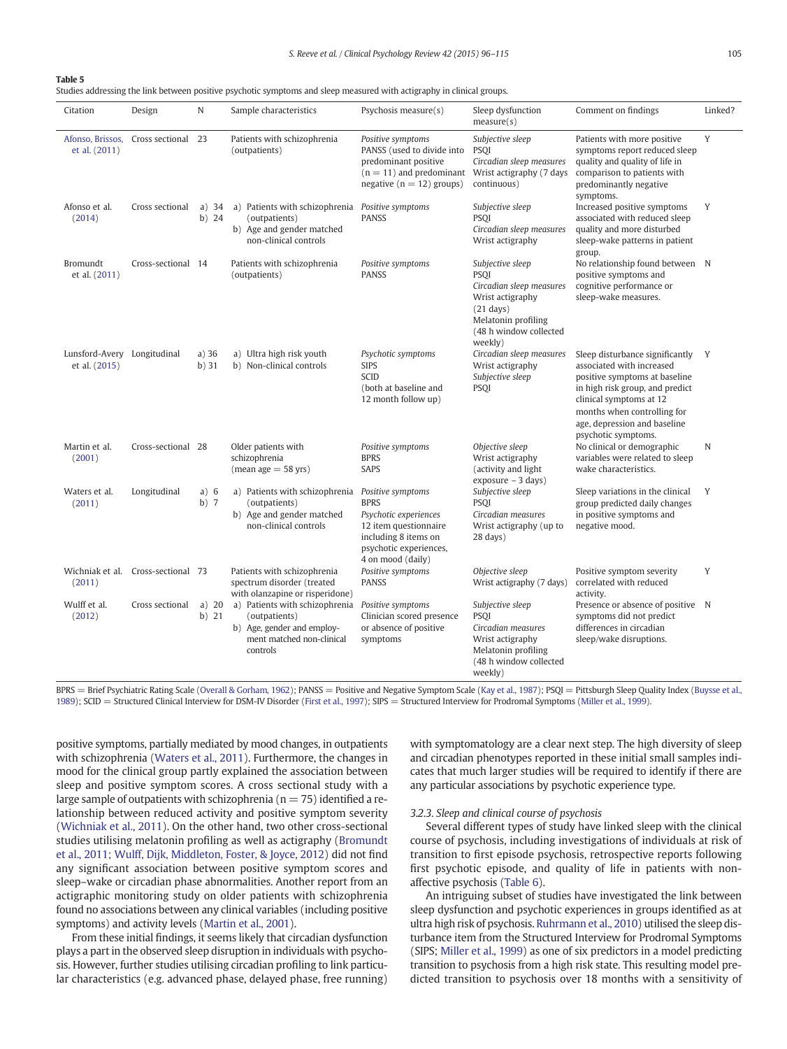<span id="page-9-0"></span>Studies addressing the link between positive psychotic symptoms and sleep measured with actigraphy in clinical groups.

| Citation                                     | Design                              | $\mathbb N$        | Sample characteristics                                                                                                                   | Psychosis measure(s)                                                                                                                 | Sleep dysfunction<br>measure(s)                                                                                                                            | Comment on findings                                                                                                                                                                                                                               | Linked? |
|----------------------------------------------|-------------------------------------|--------------------|------------------------------------------------------------------------------------------------------------------------------------------|--------------------------------------------------------------------------------------------------------------------------------------|------------------------------------------------------------------------------------------------------------------------------------------------------------|---------------------------------------------------------------------------------------------------------------------------------------------------------------------------------------------------------------------------------------------------|---------|
| et al. (2011)                                | Afonso, Brissos, Cross sectional 23 |                    | Patients with schizophrenia<br>(outpatients)                                                                                             | Positive symptoms<br>PANSS (used to divide into<br>predominant positive<br>$(n = 11)$ and predominant<br>negative $(n = 12)$ groups) | Subjective sleep<br><b>PSOI</b><br>Circadian sleep measures<br>Wrist actigraphy (7 days<br>continuous)                                                     | Patients with more positive<br>symptoms report reduced sleep<br>quality and quality of life in<br>comparison to patients with<br>predominantly negative<br>symptoms.                                                                              | Y       |
| Afonso et al.<br>(2014)                      | Cross sectional                     | a) $34$<br>$b)$ 24 | a) Patients with schizophrenia Positive symptoms<br>(outpatients)<br>Age and gender matched<br>b)<br>non-clinical controls               | <b>PANSS</b>                                                                                                                         | Subjective sleep<br><b>PSOI</b><br>Circadian sleep measures<br>Wrist actigraphy                                                                            | Increased positive symptoms<br>associated with reduced sleep<br>quality and more disturbed<br>sleep-wake patterns in patient<br>group.                                                                                                            | Y       |
| Bromundt<br>et al. (2011)                    | Cross-sectional 14                  |                    | Patients with schizophrenia<br>(outpatients)                                                                                             | Positive symptoms<br><b>PANSS</b>                                                                                                    | Subjective sleep<br><b>PSOI</b><br>Circadian sleep measures<br>Wrist actigraphy<br>$(21$ days)<br>Melatonin profiling<br>(48 h window collected<br>weekly) | No relationship found between N<br>positive symptoms and<br>cognitive performance or<br>sleep-wake measures.                                                                                                                                      |         |
| Lunsford-Avery Longitudinal<br>et al. (2015) |                                     | $a)$ 36<br>b)31    | a) Ultra high risk youth<br>b) Non-clinical controls                                                                                     | Psychotic symptoms<br><b>SIPS</b><br><b>SCID</b><br>(both at baseline and<br>12 month follow up)                                     | Circadian sleep measures<br>Wrist actigraphy<br>Subjective sleep<br><b>PSOI</b>                                                                            | Sleep disturbance significantly<br>associated with increased<br>positive symptoms at baseline<br>in high risk group, and predict<br>clinical symptoms at 12<br>months when controlling for<br>age, depression and baseline<br>psychotic symptoms. | Y       |
| Martin et al.<br>(2001)                      | Cross-sectional 28                  |                    | Older patients with<br>schizophrenia<br>$(mean age = 58 yrs)$                                                                            | Positive symptoms<br><b>BPRS</b><br><b>SAPS</b>                                                                                      | Objective sleep<br>Wrist actigraphy<br>(activity and light<br>$exposure - 3 days)$                                                                         | No clinical or demographic<br>variables were related to sleep<br>wake characteristics.                                                                                                                                                            | N       |
| Waters et al.<br>(2011)                      | Longitudinal                        | a) 6<br>$b)$ 7     | a) Patients with schizophrenia Positive symptoms<br>(outpatients)<br>b) Age and gender matched<br>non-clinical controls                  | <b>BPRS</b><br>Psychotic experiences<br>12 item questionnaire<br>including 8 items on<br>psychotic experiences,<br>4 on mood (daily) | Subjective sleep<br>PSOI<br>Circadian measures<br>Wrist actigraphy (up to<br>$28$ days)                                                                    | Sleep variations in the clinical<br>group predicted daily changes<br>in positive symptoms and<br>negative mood.                                                                                                                                   | Y       |
| (2011)                                       | Wichniak et al. Cross-sectional 73  |                    | Patients with schizophrenia<br>spectrum disorder (treated<br>with olanzapine or risperidone)                                             | Positive symptoms<br><b>PANSS</b>                                                                                                    | Objective sleep<br>Wrist actigraphy (7 days)                                                                                                               | Positive symptom severity<br>correlated with reduced<br>activity.                                                                                                                                                                                 | Y       |
| Wulff et al.<br>(2012)                       | Cross sectional                     | a) $20$<br>$b)$ 21 | a) Patients with schizophrenia Positive symptoms<br>(outpatients)<br>b) Age, gender and employ-<br>ment matched non-clinical<br>controls | Clinician scored presence<br>or absence of positive<br>symptoms                                                                      | Subjective sleep<br><b>PSOI</b><br>Circadian measures<br>Wrist actigraphy<br>Melatonin profiling<br>(48 h window collected<br>weekly)                      | Presence or absence of positive N<br>symptoms did not predict<br>differences in circadian<br>sleep/wake disruptions.                                                                                                                              |         |

BPRS = Brief Psychiatric Rating Scale ([Overall & Gorham, 1962](#page-18-0)); PANSS = Positive and Negative Symptom Scale [\(Kay et al., 1987\)](#page-17-0); PSQI = Pittsburgh Sleep Quality Index ([Buysse et al.,](#page-16-0) [1989\)](#page-16-0); SCID = Structured Clinical Interview for DSM-IV Disorder ([First et al., 1997\)](#page-16-0); SIPS = Structured Interview for Prodromal Symptoms [\(Miller et al., 1999](#page-17-0)).

positive symptoms, partially mediated by mood changes, in outpatients with schizophrenia [\(Waters et al., 2011](#page-18-0)). Furthermore, the changes in mood for the clinical group partly explained the association between sleep and positive symptom scores. A cross sectional study with a large sample of outpatients with schizophrenia ( $n = 75$ ) identified a relationship between reduced activity and positive symptom severity [\(Wichniak et al., 2011\)](#page-18-0). On the other hand, two other cross-sectional studies utilising melatonin profiling as well as actigraphy ([Bromundt](#page-16-0) [et al., 2011; Wulff, Dijk, Middleton, Foster, & Joyce, 2012](#page-16-0)) did not find any significant association between positive symptom scores and sleep–wake or circadian phase abnormalities. Another report from an actigraphic monitoring study on older patients with schizophrenia found no associations between any clinical variables (including positive symptoms) and activity levels [\(Martin et al., 2001](#page-17-0)).

From these initial findings, it seems likely that circadian dysfunction plays a part in the observed sleep disruption in individuals with psychosis. However, further studies utilising circadian profiling to link particular characteristics (e.g. advanced phase, delayed phase, free running) with symptomatology are a clear next step. The high diversity of sleep and circadian phenotypes reported in these initial small samples indicates that much larger studies will be required to identify if there are any particular associations by psychotic experience type.

#### 3.2.3. Sleep and clinical course of psychosis

Several different types of study have linked sleep with the clinical course of psychosis, including investigations of individuals at risk of transition to first episode psychosis, retrospective reports following first psychotic episode, and quality of life in patients with nonaffective psychosis [\(Table 6\)](#page-10-0).

An intriguing subset of studies have investigated the link between sleep dysfunction and psychotic experiences in groups identified as at ultra high risk of psychosis. [Ruhrmann et al., 2010\)](#page-18-0) utilised the sleep disturbance item from the Structured Interview for Prodromal Symptoms (SIPS; [Miller et al., 1999\)](#page-17-0) as one of six predictors in a model predicting transition to psychosis from a high risk state. This resulting model predicted transition to psychosis over 18 months with a sensitivity of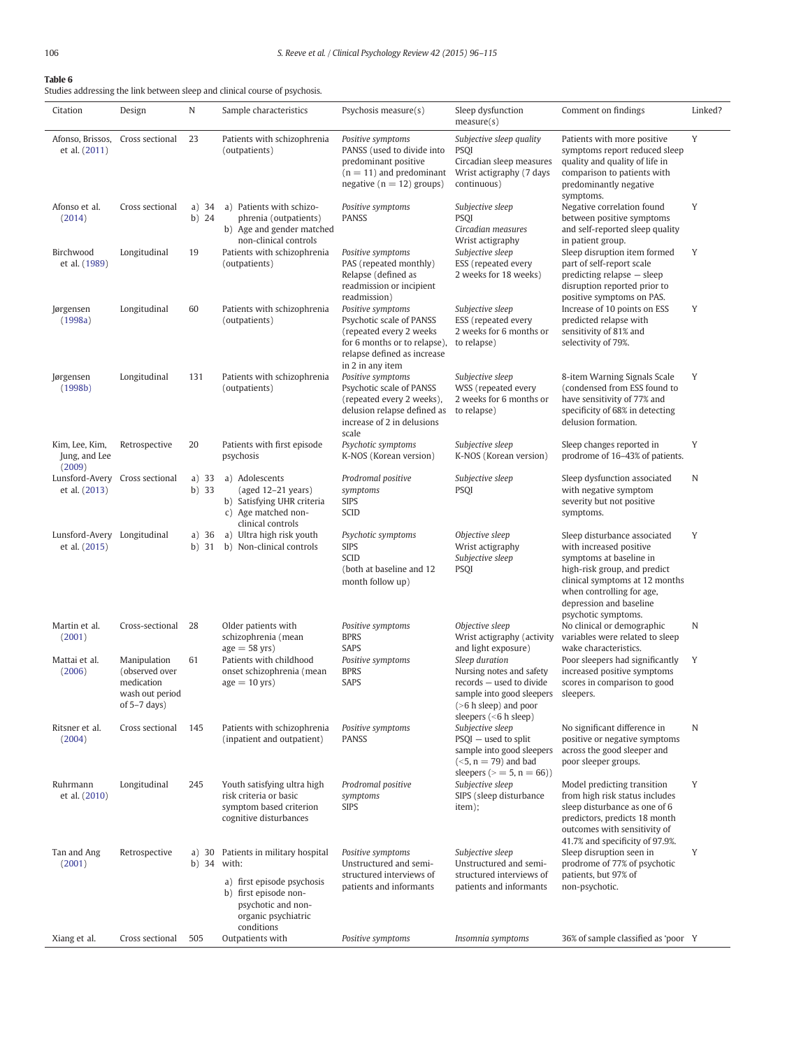<span id="page-10-0"></span>Studies addressing the link between sleep and clinical course of psychosis.

| Citation                                     | Design                                                                            | N                  | Sample characteristics                                                                                                                     | Psychosis measure(s)                                                                                                                                        | Sleep dysfunction<br>measure(s)                                                                                                                                       | Comment on findings                                                                                                                                                                                                                 | Linked?     |
|----------------------------------------------|-----------------------------------------------------------------------------------|--------------------|--------------------------------------------------------------------------------------------------------------------------------------------|-------------------------------------------------------------------------------------------------------------------------------------------------------------|-----------------------------------------------------------------------------------------------------------------------------------------------------------------------|-------------------------------------------------------------------------------------------------------------------------------------------------------------------------------------------------------------------------------------|-------------|
| et al. (2011)                                | Afonso, Brissos, Cross sectional                                                  | 23                 | Patients with schizophrenia<br>(outpatients)                                                                                               | Positive symptoms<br>PANSS (used to divide into<br>predominant positive<br>$(n = 11)$ and predominant<br>negative ( $n = 12$ ) groups)                      | Subjective sleep quality<br>PSOI<br>Circadian sleep measures<br>Wrist actigraphy (7 days<br>continuous)                                                               | Patients with more positive<br>symptoms report reduced sleep<br>quality and quality of life in<br>comparison to patients with<br>predominantly negative<br>symptoms.                                                                | Y           |
| Afonso et al.<br>(2014)                      | Cross sectional                                                                   | a) $34$<br>$b)$ 24 | a) Patients with schizo-<br>phrenia (outpatients)<br>b) Age and gender matched<br>non-clinical controls                                    | Positive symptoms<br><b>PANSS</b>                                                                                                                           | Subjective sleep<br><b>PSOI</b><br>Circadian measures<br>Wrist actigraphy                                                                                             | Negative correlation found<br>between positive symptoms<br>and self-reported sleep quality<br>in patient group.                                                                                                                     | Y           |
| Birchwood<br>et al. (1989)                   | Longitudinal                                                                      | 19                 | Patients with schizophrenia<br>(outpatients)                                                                                               | Positive symptoms<br>PAS (repeated monthly)<br>Relapse (defined as<br>readmission or incipient<br>readmission)                                              | Subjective sleep<br>ESS (repeated every<br>2 weeks for 18 weeks)                                                                                                      | Sleep disruption item formed<br>part of self-report scale<br>predicting relapse - sleep<br>disruption reported prior to<br>positive symptoms on PAS.                                                                                | Y           |
| Jørgensen<br>(1998a)                         | Longitudinal                                                                      | 60                 | Patients with schizophrenia<br>(outpatients)                                                                                               | Positive symptoms<br>Psychotic scale of PANSS<br>(repeated every 2 weeks<br>for 6 months or to relapse),<br>relapse defined as increase<br>in 2 in any item | Subjective sleep<br>ESS (repeated every<br>2 weeks for 6 months or<br>to relapse)                                                                                     | Increase of 10 points on ESS<br>predicted relapse with<br>sensitivity of 81% and<br>selectivity of 79%.                                                                                                                             | Y           |
| Jørgensen<br>(1998b)                         | Longitudinal                                                                      | 131                | Patients with schizophrenia<br>(outpatients)                                                                                               | Positive symptoms<br>Psychotic scale of PANSS<br>(repeated every 2 weeks),<br>delusion relapse defined as<br>increase of 2 in delusions<br>scale            | Subjective sleep<br>WSS (repeated every<br>2 weeks for 6 months or<br>to relapse)                                                                                     | 8-item Warning Signals Scale<br>(condensed from ESS found to<br>have sensitivity of 77% and<br>specificity of 68% in detecting<br>delusion formation.                                                                               | Y           |
| Kim, Lee, Kim,<br>Jung, and Lee<br>(2009)    | Retrospective                                                                     | 20                 | Patients with first episode<br>psychosis                                                                                                   | Psychotic symptoms<br>K-NOS (Korean version)                                                                                                                | Subjective sleep<br>K-NOS (Korean version)                                                                                                                            | Sleep changes reported in<br>prodrome of 16-43% of patients.                                                                                                                                                                        | Y           |
| et al. (2013)                                | Lunsford-Avery Cross sectional                                                    | a) $33$<br>$b)$ 33 | a) Adolescents<br>(aged 12-21 years)<br>b) Satisfying UHR criteria<br>c) Age matched non-<br>clinical controls                             | Prodromal positive<br>symptoms<br><b>SIPS</b><br><b>SCID</b>                                                                                                | Subjective sleep<br><b>PSQI</b>                                                                                                                                       | Sleep dysfunction associated<br>with negative symptom<br>severity but not positive<br>symptoms.                                                                                                                                     | N           |
| Lunsford-Avery Longitudinal<br>et al. (2015) |                                                                                   | a) $36$<br>$b)$ 31 | a) Ultra high risk youth<br>b) Non-clinical controls                                                                                       | Psychotic symptoms<br><b>SIPS</b><br><b>SCID</b><br>(both at baseline and 12)<br>month follow up)                                                           | Objective sleep<br>Wrist actigraphy<br>Subjective sleep<br><b>PSQI</b>                                                                                                | Sleep disturbance associated<br>with increased positive<br>symptoms at baseline in<br>high-risk group, and predict<br>clinical symptoms at 12 months<br>when controlling for age,<br>depression and baseline<br>psychotic symptoms. | Y           |
| Martin et al.<br>(2001)                      | Cross-sectional                                                                   | 28                 | Older patients with<br>schizophrenia (mean<br>$age = 58 yrs)$                                                                              | Positive symptoms<br><b>BPRS</b><br><b>SAPS</b>                                                                                                             | Objective sleep<br>Wrist actigraphy (activity<br>and light exposure)                                                                                                  | No clinical or demographic<br>variables were related to sleep<br>wake characteristics.                                                                                                                                              | $\mathbb N$ |
| Mattai et al.<br>(2006)                      | Manipulation<br>(observed over<br>medication<br>wash out period<br>of $5-7$ days) | 61                 | Patients with childhood<br>onset schizophrenia (mean<br>$age = 10 yrs)$                                                                    | Positive symptoms<br><b>BPRS</b><br>SAPS                                                                                                                    | Sleep duration<br>Nursing notes and safety<br>records - used to divide<br>sample into good sleepers sleepers.<br>$(>6 h$ sleep) and poor<br>sleepers $(< 6 h s = 6$ ) | Poor sleepers had significantly<br>increased positive symptoms<br>scores in comparison to good                                                                                                                                      | Y           |
| Ritsner et al.<br>(2004)                     | Cross sectional                                                                   | 145                | Patients with schizophrenia<br>(inpatient and outpatient)                                                                                  | Positive symptoms<br><b>PANSS</b>                                                                                                                           | Subjective sleep<br>$PSQI$ – used to split<br>sample into good sleepers<br>$(<5, n = 79)$ and bad<br>sleepers ( $>$ = 5, n = 66))                                     | No significant difference in<br>positive or negative symptoms<br>across the good sleeper and<br>poor sleeper groups.                                                                                                                | N           |
| Ruhrmann<br>et al. (2010)                    | Longitudinal                                                                      | 245                | Youth satisfying ultra high<br>risk criteria or basic<br>symptom based criterion<br>cognitive disturbances                                 | Prodromal positive<br>symptoms<br><b>SIPS</b>                                                                                                               | Subjective sleep<br>SIPS (sleep disturbance<br>item);                                                                                                                 | Model predicting transition<br>from high risk status includes<br>sleep disturbance as one of 6<br>predictors, predicts 18 month<br>outcomes with sensitivity of<br>41.7% and specificity of 97.9%.                                  | Y           |
| Tan and Ang<br>(2001)                        | Retrospective                                                                     | a) $30$<br>b) $34$ | Patients in military hospital<br>with:<br>a) first episode psychosis<br>b) first episode non-<br>psychotic and non-<br>organic psychiatric | Positive symptoms<br>Unstructured and semi-<br>structured interviews of<br>patients and informants                                                          | Subjective sleep<br>Unstructured and semi-<br>structured interviews of<br>patients and informants                                                                     | Sleep disruption seen in<br>prodrome of 77% of psychotic<br>patients, but 97% of<br>non-psychotic.                                                                                                                                  | Y           |
| Xiang et al.                                 | Cross sectional                                                                   | 505                | conditions<br>Outpatients with                                                                                                             | Positive symptoms                                                                                                                                           | Insomnia symptoms                                                                                                                                                     | 36% of sample classified as 'poor Y                                                                                                                                                                                                 |             |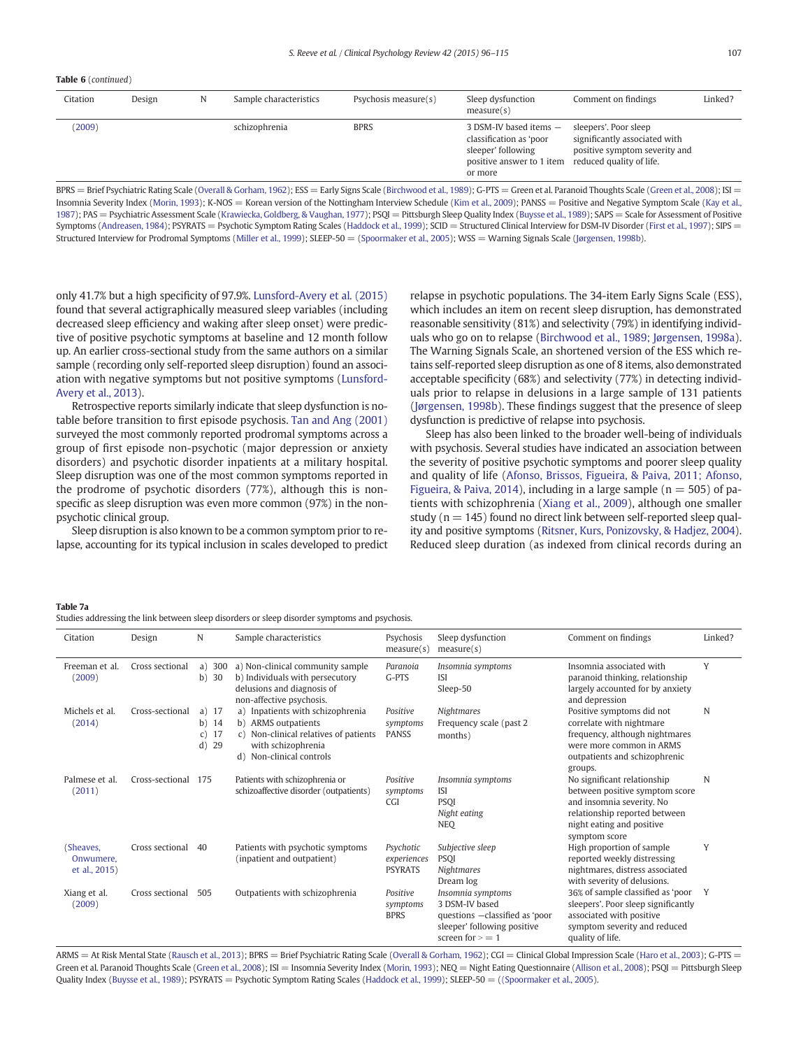# <span id="page-11-0"></span>Table 6 (continued)

| Citation | Design | N | Sample characteristics | Psychosis measure(s) | Sleep dysfunction                                                                                               | Comment on findings                                                                                                 | Linked? |
|----------|--------|---|------------------------|----------------------|-----------------------------------------------------------------------------------------------------------------|---------------------------------------------------------------------------------------------------------------------|---------|
|          |        |   |                        |                      | measure(s)                                                                                                      |                                                                                                                     |         |
| (2009)   |        |   | schizophrenia          | <b>BPRS</b>          | 3 DSM-IV based items -<br>classification as 'poor<br>sleeper' following<br>positive answer to 1 item<br>or more | sleepers'. Poor sleep<br>significantly associated with<br>positive symptom severity and<br>reduced quality of life. |         |

 $BPRS =$  Brief Psychiatric Rating Scale [\(Overall & Gorham, 1962](#page-18-0)); ESS = Early Signs Scale ([Birchwood et al., 1989\)](#page-16-0); G-PTS = Green et al. Paranoid Thoughts Scale [\(Green et al., 2008\)](#page-16-0); ISI = Insomnia Severity Index ([Morin, 1993\)](#page-17-0); K-NOS = Korean version of the Nottingham Interview Schedule ([Kim et al., 2009](#page-17-0)); PANSS = Positive and Negative Symptom Scale [\(Kay et al.,](#page-17-0) [1987\)](#page-17-0); PAS = Psychiatric Assessment Scale [\(Krawiecka, Goldberg, & Vaughan, 1977\)](#page-17-0); PSQI = Pittsburgh Sleep Quality Index [\(Buysse et al., 1989\)](#page-16-0); SAPS = Scale for Assessment of Positive Symptoms [\(Andreasen, 1984](#page-16-0)); PSYRATS = Psychotic Symptom Rating Scales ([Haddock et al., 1999](#page-16-0)); SCID = Structured Clinical Interview for DSM-IV Disorder ([First et al., 1997\)](#page-16-0); SIPS = Structured Interview for Prodromal Symptoms ([Miller et al., 1999](#page-17-0)); SLEEP-50 = [\(Spoormaker et al., 2005](#page-18-0)); WSS = Warning Signals Scale [\(Jørgensen, 1998b\)](#page-17-0).

only 41.7% but a high specificity of 97.9%. [Lunsford-Avery et al. \(2015\)](#page-17-0) found that several actigraphically measured sleep variables (including decreased sleep efficiency and waking after sleep onset) were predictive of positive psychotic symptoms at baseline and 12 month follow up. An earlier cross-sectional study from the same authors on a similar sample (recording only self-reported sleep disruption) found an association with negative symptoms but not positive symptoms ([Lunsford-](#page-17-0)[Avery et al., 2013\)](#page-17-0).

Retrospective reports similarly indicate that sleep dysfunction is notable before transition to first episode psychosis. [Tan and Ang \(2001\)](#page-18-0) surveyed the most commonly reported prodromal symptoms across a group of first episode non-psychotic (major depression or anxiety disorders) and psychotic disorder inpatients at a military hospital. Sleep disruption was one of the most common symptoms reported in the prodrome of psychotic disorders (77%), although this is nonspecific as sleep disruption was even more common (97%) in the nonpsychotic clinical group.

Sleep disruption is also known to be a common symptom prior to relapse, accounting for its typical inclusion in scales developed to predict relapse in psychotic populations. The 34-item Early Signs Scale (ESS), which includes an item on recent sleep disruption, has demonstrated reasonable sensitivity (81%) and selectivity (79%) in identifying individuals who go on to relapse [\(Birchwood et al., 1989; Jørgensen, 1998a](#page-16-0)). The Warning Signals Scale, an shortened version of the ESS which retains self-reported sleep disruption as one of 8 items, also demonstrated acceptable specificity (68%) and selectivity (77%) in detecting individuals prior to relapse in delusions in a large sample of 131 patients [\(Jørgensen, 1998b](#page-17-0)). These findings suggest that the presence of sleep dysfunction is predictive of relapse into psychosis.

Sleep has also been linked to the broader well-being of individuals with psychosis. Several studies have indicated an association between the severity of positive psychotic symptoms and poorer sleep quality and quality of life [\(Afonso, Brissos, Figueira, & Paiva, 2011; Afonso,](#page-16-0) [Figueira, & Paiva, 2014\)](#page-16-0), including in a large sample ( $n = 505$ ) of patients with schizophrenia ([Xiang et al., 2009](#page-18-0)), although one smaller study ( $n = 145$ ) found no direct link between self-reported sleep quality and positive symptoms [\(Ritsner, Kurs, Ponizovsky, & Hadjez, 2004](#page-18-0)). Reduced sleep duration (as indexed from clinical records during an

#### Table 7a

Studies addressing the link between sleep disorders or sleep disorder symptoms and psychosis.

| Citation                                | Design          | N                                                        | Sample characteristics                                                                                                                             | Psychosis<br>measure(s)                    | Sleep dysfunction<br>measure(s)                                                                                            | Comment on findings                                                                                                                                                       | Linked? |
|-----------------------------------------|-----------------|----------------------------------------------------------|----------------------------------------------------------------------------------------------------------------------------------------------------|--------------------------------------------|----------------------------------------------------------------------------------------------------------------------------|---------------------------------------------------------------------------------------------------------------------------------------------------------------------------|---------|
| Freeman et al.<br>(2009)                | Cross sectional | a) $300$<br>$b)$ 30                                      | a) Non-clinical community sample<br>b) Individuals with persecutory<br>delusions and diagnosis of<br>non-affective psychosis.                      | Paranoia<br>G-PTS                          | Insomnia symptoms<br><b>ISI</b><br>Sleep-50                                                                                | Insomnia associated with<br>paranoid thinking, relationship<br>largely accounted for by anxiety<br>and depression                                                         | Y       |
| Michels et al.<br>(2014)                | Cross-sectional | 17<br>a)<br>14<br>b)<br>17<br>$\mathsf{C}$ )<br>29<br>d) | a) Inpatients with schizophrenia<br>b) ARMS outpatients<br>c) Non-clinical relatives of patients<br>with schizophrenia<br>d) Non-clinical controls | Positive<br>symptoms<br><b>PANSS</b>       | <b>Nightmares</b><br>Frequency scale (past 2)<br>months)                                                                   | Positive symptoms did not<br>correlate with nightmare<br>frequency, although nightmares<br>were more common in ARMS<br>outpatients and schizophrenic<br>groups.           | N       |
| Palmese et al.<br>(2011)                | Cross-sectional | 175                                                      | Patients with schizophrenia or<br>schizoaffective disorder (outpatients)                                                                           | Positive<br>symptoms<br><b>CGI</b>         | Insomnia symptoms<br><b>ISI</b><br><b>PSOI</b><br>Night eating<br><b>NEQ</b>                                               | No significant relationship<br>between positive symptom score<br>and insomnia severity. No<br>relationship reported between<br>night eating and positive<br>symptom score | N       |
| (Sheaves,<br>Onwumere.<br>et al., 2015) | Cross sectional | 40                                                       | Patients with psychotic symptoms<br>(inpatient and outpatient)                                                                                     | Psychotic<br>experiences<br><b>PSYRATS</b> | Subjective sleep<br><b>PSQI</b><br>Nightmares<br>Dream log                                                                 | High proportion of sample<br>reported weekly distressing<br>nightmares, distress associated<br>with severity of delusions.                                                | Y       |
| Xiang et al.<br>(2009)                  | Cross sectional | 505                                                      | Outpatients with schizophrenia                                                                                                                     | Positive<br>symptoms<br><b>BPRS</b>        | Insomnia symptoms<br>3 DSM-IV based<br>questions -classified as 'poor<br>sleeper' following positive<br>screen for $>$ = 1 | 36% of sample classified as 'poor<br>sleepers'. Poor sleep significantly<br>associated with positive<br>symptom severity and reduced<br>quality of life.                  | Y       |

ARMS = At Risk Mental State [\(Rausch et al., 2013](#page-18-0)); BPRS = Brief Psychiatric Rating Scale [\(Overall & Gorham, 1962](#page-18-0)); CGI = Clinical Global Impression Scale [\(Haro et al., 2003](#page-16-0)); G-PTS = Green et al. Paranoid Thoughts Scale ([Green et al., 2008\)](#page-16-0); ISI = Insomnia Severity Index ([Morin, 1993](#page-17-0)); NEQ = Night Eating Questionnaire ([Allison et al., 2008\)](#page-16-0); PSQI = Pittsburgh Sleep Quality Index [\(Buysse et al., 1989\)](#page-16-0); PSYRATS = Psychotic Symptom Rating Scales ([Haddock et al., 1999](#page-16-0)); SLEEP-50 = ([\(Spoormaker et al., 2005](#page-18-0)).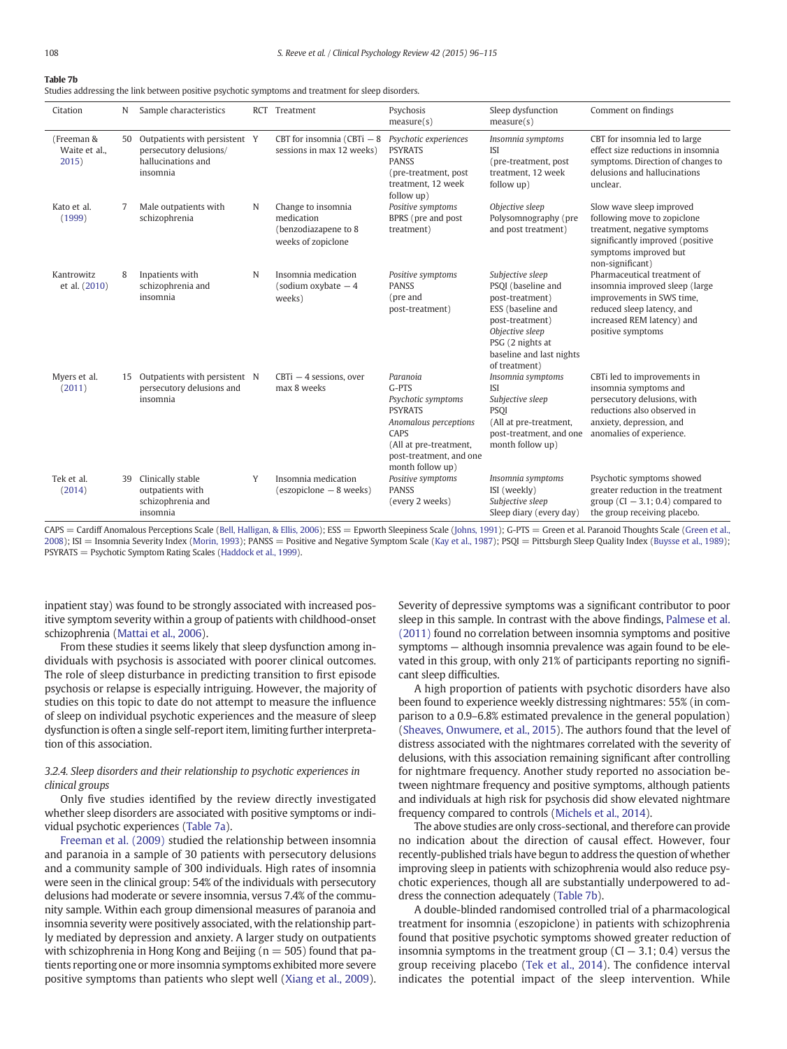|--|--|

| Citation                             | N  | Sample characteristics                                                                    |   | RCT Treatment                                                                  | Psychosis<br>measure(s)                                                                                                                                               | Sleep dysfunction<br>measure(s)                                                                                                                                                       | Comment on findings                                                                                                                                                         |
|--------------------------------------|----|-------------------------------------------------------------------------------------------|---|--------------------------------------------------------------------------------|-----------------------------------------------------------------------------------------------------------------------------------------------------------------------|---------------------------------------------------------------------------------------------------------------------------------------------------------------------------------------|-----------------------------------------------------------------------------------------------------------------------------------------------------------------------------|
| (Freeman &<br>Waite et al.,<br>2015) | 50 | Outpatients with persistent Y<br>persecutory delusions/<br>hallucinations and<br>insomnia |   | CBT for insomnia (CBTi $-8$<br>sessions in max 12 weeks)                       | Psychotic experiences<br><b>PSYRATS</b><br><b>PANSS</b><br>(pre-treatment, post)<br>treatment, 12 week<br>follow up)                                                  | Insomnia symptoms<br><b>ISI</b><br>(pre-treatment, post<br>treatment. 12 week<br>follow up)                                                                                           | CBT for insomnia led to large<br>effect size reductions in insomnia<br>symptoms. Direction of changes to<br>delusions and hallucinations<br>unclear.                        |
| Kato et al.<br>(1999)                | 7  | Male outpatients with<br>schizophrenia                                                    | N | Change to insomnia<br>medication<br>(benzodiazapene to 8<br>weeks of zopiclone | Positive symptoms<br>BPRS (pre and post<br>treatment)                                                                                                                 | Objective sleep<br>Polysomnography (pre<br>and post treatment)                                                                                                                        | Slow wave sleep improved<br>following move to zopiclone<br>treatment, negative symptoms<br>significantly improved (positive<br>symptoms improved but<br>non-significant)    |
| Kantrowitz<br>et al. (2010)          | 8  | Inpatients with<br>schizophrenia and<br>insomnia                                          | N | Insomnia medication<br>(sodium oxybate $-4$<br>weeks)                          | Positive symptoms<br><b>PANSS</b><br>(pre and<br>post-treatment)                                                                                                      | Subjective sleep<br>PSQI (baseline and<br>post-treatment)<br>ESS (baseline and<br>post-treatment)<br>Objective sleep<br>PSG (2 nights at<br>baseline and last nights<br>of treatment) | Pharmaceutical treatment of<br>insomnia improved sleep (large<br>improvements in SWS time,<br>reduced sleep latency, and<br>increased REM latency) and<br>positive symptoms |
| Myers et al.<br>(2011)               | 15 | Outpatients with persistent N<br>persecutory delusions and<br>insomnia                    |   | $CBTi - 4$ sessions, over<br>max 8 weeks                                       | Paranoia<br>$G-PTS$<br>Psychotic symptoms<br><b>PSYRATS</b><br>Anomalous perceptions<br>CAPS<br>(All at pre-treatment,<br>post-treatment, and one<br>month follow up) | Insomnia symptoms<br><b>ISI</b><br>Subjective sleep<br><b>PSOI</b><br>(All at pre-treatment,<br>post-treatment, and one<br>month follow up)                                           | CBTi led to improvements in<br>insomnia symptoms and<br>persecutory delusions, with<br>reductions also observed in<br>anxiety, depression, and<br>anomalies of experience.  |
| Tek et al.<br>(2014)                 | 39 | Clinically stable<br>outpatients with<br>schizophrenia and<br>insomnia                    | Y | Insomnia medication<br>(eszopiclone - 8 weeks)                                 | Positive symptoms<br><b>PANSS</b><br>(every 2 weeks)                                                                                                                  | Insomnia symptoms<br>ISI (weekly)<br>Subjective sleep<br>Sleep diary (every day)                                                                                                      | Psychotic symptoms showed<br>greater reduction in the treatment<br>group $(Cl - 3.1; 0.4)$ compared to<br>the group receiving placebo.                                      |

CAPS = Cardiff Anomalous Perceptions Scale [\(Bell, Halligan, & Ellis, 2006](#page-16-0)); ESS = Epworth Sleepiness Scale [\(Johns, 1991](#page-17-0)); G-PTS = Green et al. Paranoid Thoughts Scale ([Green et al.,](#page-16-0) [2008](#page-16-0)); ISI = Insomnia Severity Index [\(Morin, 1993](#page-17-0)); PANSS = Positive and Negative Symptom Scale [\(Kay et al., 1987](#page-17-0)); PSQI = Pittsburgh Sleep Quality Index ([Buysse et al., 1989\)](#page-16-0); PSYRATS = Psychotic Symptom Rating Scales [\(Haddock et al., 1999\)](#page-16-0).

inpatient stay) was found to be strongly associated with increased positive symptom severity within a group of patients with childhood-onset schizophrenia ([Mattai et al., 2006\)](#page-17-0).

From these studies it seems likely that sleep dysfunction among individuals with psychosis is associated with poorer clinical outcomes. The role of sleep disturbance in predicting transition to first episode psychosis or relapse is especially intriguing. However, the majority of studies on this topic to date do not attempt to measure the influence of sleep on individual psychotic experiences and the measure of sleep dysfunction is often a single self-report item, limiting further interpretation of this association.

# 3.2.4. Sleep disorders and their relationship to psychotic experiences in clinical groups

Only five studies identified by the review directly investigated whether sleep disorders are associated with positive symptoms or individual psychotic experiences [\(Table 7a\)](#page-11-0).

[Freeman et al. \(2009\)](#page-16-0) studied the relationship between insomnia and paranoia in a sample of 30 patients with persecutory delusions and a community sample of 300 individuals. High rates of insomnia were seen in the clinical group: 54% of the individuals with persecutory delusions had moderate or severe insomnia, versus 7.4% of the community sample. Within each group dimensional measures of paranoia and insomnia severity were positively associated, with the relationship partly mediated by depression and anxiety. A larger study on outpatients with schizophrenia in Hong Kong and Beijing ( $n = 505$ ) found that patients reporting one or more insomnia symptoms exhibited more severe positive symptoms than patients who slept well [\(Xiang et al., 2009](#page-18-0)). Severity of depressive symptoms was a significant contributor to poor sleep in this sample. In contrast with the above findings, [Palmese et al.](#page-18-0) [\(2011\)](#page-18-0) found no correlation between insomnia symptoms and positive symptoms — although insomnia prevalence was again found to be elevated in this group, with only 21% of participants reporting no significant sleep difficulties.

A high proportion of patients with psychotic disorders have also been found to experience weekly distressing nightmares: 55% (in comparison to a 0.9–6.8% estimated prevalence in the general population) [\(Sheaves, Onwumere, et al., 2015](#page-18-0)). The authors found that the level of distress associated with the nightmares correlated with the severity of delusions, with this association remaining significant after controlling for nightmare frequency. Another study reported no association between nightmare frequency and positive symptoms, although patients and individuals at high risk for psychosis did show elevated nightmare frequency compared to controls [\(Michels et al., 2014\)](#page-17-0).

The above studies are only cross-sectional, and therefore can provide no indication about the direction of causal effect. However, four recently-published trials have begun to address the question of whether improving sleep in patients with schizophrenia would also reduce psychotic experiences, though all are substantially underpowered to address the connection adequately (Table 7b).

A double-blinded randomised controlled trial of a pharmacological treatment for insomnia (eszopiclone) in patients with schizophrenia found that positive psychotic symptoms showed greater reduction of insomnia symptoms in the treatment group  $(Cl - 3.1; 0.4)$  versus the group receiving placebo [\(Tek et al., 2014](#page-18-0)). The confidence interval indicates the potential impact of the sleep intervention. While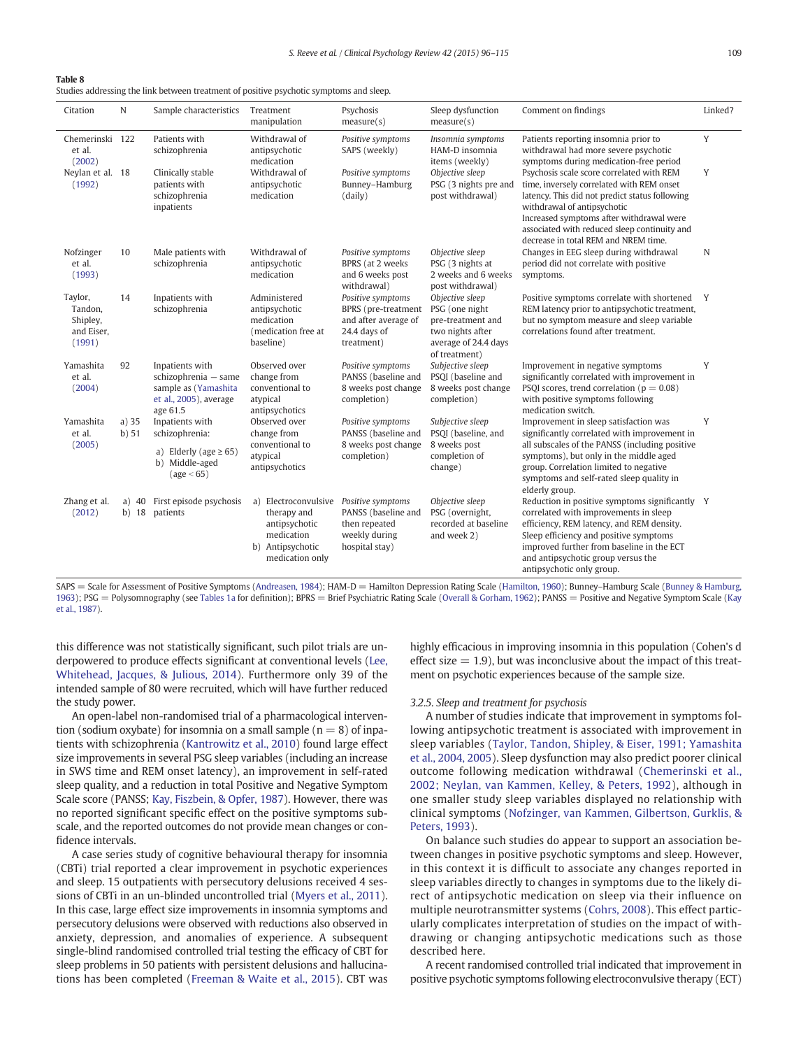|--|

Studies addressing the link between treatment of positive psychotic symptoms and sleep.

| Citation                                               | N                  | Sample characteristics                                                                                | Treatment<br>manipulation                                                                                    | Psychosis<br>measure(s)                                                                        | Sleep dysfunction<br>measure(s)                                                                                     | Comment on findings                                                                                                                                                                                                                                                                                         | Linked? |
|--------------------------------------------------------|--------------------|-------------------------------------------------------------------------------------------------------|--------------------------------------------------------------------------------------------------------------|------------------------------------------------------------------------------------------------|---------------------------------------------------------------------------------------------------------------------|-------------------------------------------------------------------------------------------------------------------------------------------------------------------------------------------------------------------------------------------------------------------------------------------------------------|---------|
| Chemerinski 122<br>et al.<br>(2002)                    |                    | Patients with<br>schizophrenia                                                                        | Withdrawal of<br>antipsychotic<br>medication                                                                 | Positive symptoms<br>SAPS (weekly)                                                             | Insomnia symptoms<br>HAM-D insomnia<br>items (weekly)                                                               | Patients reporting insomnia prior to<br>withdrawal had more severe psychotic<br>symptoms during medication-free period                                                                                                                                                                                      | Y       |
| Neylan et al. 18<br>(1992)                             |                    | Clinically stable<br>patients with<br>schizophrenia<br>inpatients                                     | Withdrawal of<br>antipsychotic<br>medication                                                                 | Positive symptoms<br>Bunney-Hamburg<br>(daily)                                                 | Objective sleep<br>PSG (3 nights pre and<br>post withdrawal)                                                        | Psychosis scale score correlated with REM<br>time, inversely correlated with REM onset<br>latency. This did not predict status following<br>withdrawal of antipsychotic<br>Increased symptoms after withdrawal were<br>associated with reduced sleep continuity and<br>decrease in total REM and NREM time. | Y       |
| Nofzinger<br>et al.<br>(1993)                          | 10                 | Male patients with<br>schizophrenia                                                                   | Withdrawal of<br>antipsychotic<br>medication                                                                 | Positive symptoms<br>BPRS (at 2 weeks<br>and 6 weeks post<br>withdrawal)                       | Objective sleep<br>PSG (3 nights at<br>2 weeks and 6 weeks<br>post withdrawal)                                      | Changes in EEG sleep during withdrawal<br>period did not correlate with positive<br>symptoms.                                                                                                                                                                                                               | N       |
| Taylor,<br>Tandon,<br>Shipley,<br>and Eiser,<br>(1991) | 14                 | Inpatients with<br>schizophrenia                                                                      | Administered<br>antipsychotic<br>medication<br>(medication free at<br>baseline)                              | Positive symptoms<br>BPRS (pre-treatment<br>and after average of<br>24.4 days of<br>treatment) | Objective sleep<br>PSG (one night<br>pre-treatment and<br>two nights after<br>average of 24.4 days<br>of treatment) | Positive symptoms correlate with shortened<br>REM latency prior to antipsychotic treatment,<br>but no symptom measure and sleep variable<br>correlations found after treatment.                                                                                                                             | Y       |
| Yamashita<br>et al.<br>(2004)                          | 92                 | Inpatients with<br>schizophrenia - same<br>sample as (Yamashita<br>et al., 2005), average<br>age 61.5 | Observed over<br>change from<br>conventional to<br>atypical<br>antipsychotics                                | Positive symptoms<br>PANSS (baseline and<br>8 weeks post change<br>completion)                 | Subjective sleep<br>PSQI (baseline and<br>8 weeks post change<br>completion)                                        | Improvement in negative symptoms<br>significantly correlated with improvement in<br>PSQI scores, trend correlation ( $p = 0.08$ )<br>with positive symptoms following<br>medication switch.                                                                                                                 | Y       |
| Yamashita<br>et al.                                    | $a)$ 35<br>b) 51   | Inpatients with<br>schizophrenia:                                                                     | Observed over<br>change from                                                                                 | Positive symptoms<br>PANSS (baseline and                                                       | Subjective sleep<br>PSQI (baseline, and                                                                             | Improvement in sleep satisfaction was<br>significantly correlated with improvement in                                                                                                                                                                                                                       | Y       |
| (2005)                                                 |                    | a) Elderly (age $\geq 65$ )<br>b) Middle-aged<br>(age < 65)                                           | conventional to<br>atypical<br>antipsychotics                                                                | 8 weeks post change<br>completion)                                                             | 8 weeks post<br>completion of<br>change)                                                                            | all subscales of the PANSS (including positive<br>symptoms), but only in the middle aged<br>group. Correlation limited to negative<br>symptoms and self-rated sleep quality in<br>elderly group.                                                                                                            |         |
| Zhang et al.<br>(2012)                                 | a) $40$<br>$b)$ 18 | First episode psychosis<br>patients                                                                   | Electroconvulsive<br>a)<br>therapy and<br>antipsychotic<br>medication<br>b) Antipsychotic<br>medication only | Positive symptoms<br>PANSS (baseline and<br>then repeated<br>weekly during<br>hospital stay)   | Objective sleep<br>PSG (overnight,<br>recorded at baseline<br>and week 2)                                           | Reduction in positive symptoms significantly Y<br>correlated with improvements in sleep<br>efficiency, REM latency, and REM density.<br>Sleep efficiency and positive symptoms<br>improved further from baseline in the ECT<br>and antipsychotic group versus the<br>antipsychotic only group.              |         |

SAPS = Scale for Assessment of Positive Symptoms ([Andreasen, 1984](#page-16-0)); HAM-D = Hamilton Depression Rating Scale [\(Hamilton, 1960\)](#page-16-0); Bunney-Hamburg Scale ([Bunney & Hamburg,](#page-16-0) [1963\)](#page-16-0); PSG = Polysomnography (see [Tables 1a](#page-2-0) for definition); BPRS = Brief Psychiatric Rating Scale ([Overall & Gorham, 1962\)](#page-18-0); PANSS = Positive and Negative Symptom Scale ([Kay](#page-17-0) [et al., 1987](#page-17-0)).

this difference was not statistically significant, such pilot trials are underpowered to produce effects significant at conventional levels ([Lee,](#page-17-0) [Whitehead, Jacques, & Julious, 2014](#page-17-0)). Furthermore only 39 of the intended sample of 80 were recruited, which will have further reduced the study power.

An open-label non-randomised trial of a pharmacological intervention (sodium oxybate) for insomnia on a small sample ( $n = 8$ ) of inpatients with schizophrenia [\(Kantrowitz et al., 2010\)](#page-17-0) found large effect size improvements in several PSG sleep variables (including an increase in SWS time and REM onset latency), an improvement in self-rated sleep quality, and a reduction in total Positive and Negative Symptom Scale score (PANSS; [Kay, Fiszbein, & Opfer, 1987\)](#page-17-0). However, there was no reported significant specific effect on the positive symptoms subscale, and the reported outcomes do not provide mean changes or confidence intervals.

A case series study of cognitive behavioural therapy for insomnia (CBTi) trial reported a clear improvement in psychotic experiences and sleep. 15 outpatients with persecutory delusions received 4 sessions of CBTi in an un-blinded uncontrolled trial ([Myers et al., 2011](#page-17-0)). In this case, large effect size improvements in insomnia symptoms and persecutory delusions were observed with reductions also observed in anxiety, depression, and anomalies of experience. A subsequent single-blind randomised controlled trial testing the efficacy of CBT for sleep problems in 50 patients with persistent delusions and hallucinations has been completed ([Freeman & Waite et al., 2015](#page-16-0)). CBT was

highly efficacious in improving insomnia in this population (Cohen's d effect size  $= 1.9$ ), but was inconclusive about the impact of this treatment on psychotic experiences because of the sample size.

### 3.2.5. Sleep and treatment for psychosis

A number of studies indicate that improvement in symptoms following antipsychotic treatment is associated with improvement in sleep variables ([Taylor, Tandon, Shipley, & Eiser, 1991; Yamashita](#page-18-0) [et al., 2004, 2005](#page-18-0)). Sleep dysfunction may also predict poorer clinical outcome following medication withdrawal [\(Chemerinski et al.,](#page-16-0) [2002; Neylan, van Kammen, Kelley, & Peters, 1992](#page-16-0)), although in one smaller study sleep variables displayed no relationship with clinical symptoms ([Nofzinger, van Kammen, Gilbertson, Gurklis, &](#page-18-0) [Peters, 1993](#page-18-0)).

On balance such studies do appear to support an association between changes in positive psychotic symptoms and sleep. However, in this context it is difficult to associate any changes reported in sleep variables directly to changes in symptoms due to the likely direct of antipsychotic medication on sleep via their influence on multiple neurotransmitter systems ([Cohrs, 2008](#page-16-0)). This effect particularly complicates interpretation of studies on the impact of withdrawing or changing antipsychotic medications such as those described here.

A recent randomised controlled trial indicated that improvement in positive psychotic symptoms following electroconvulsive therapy (ECT)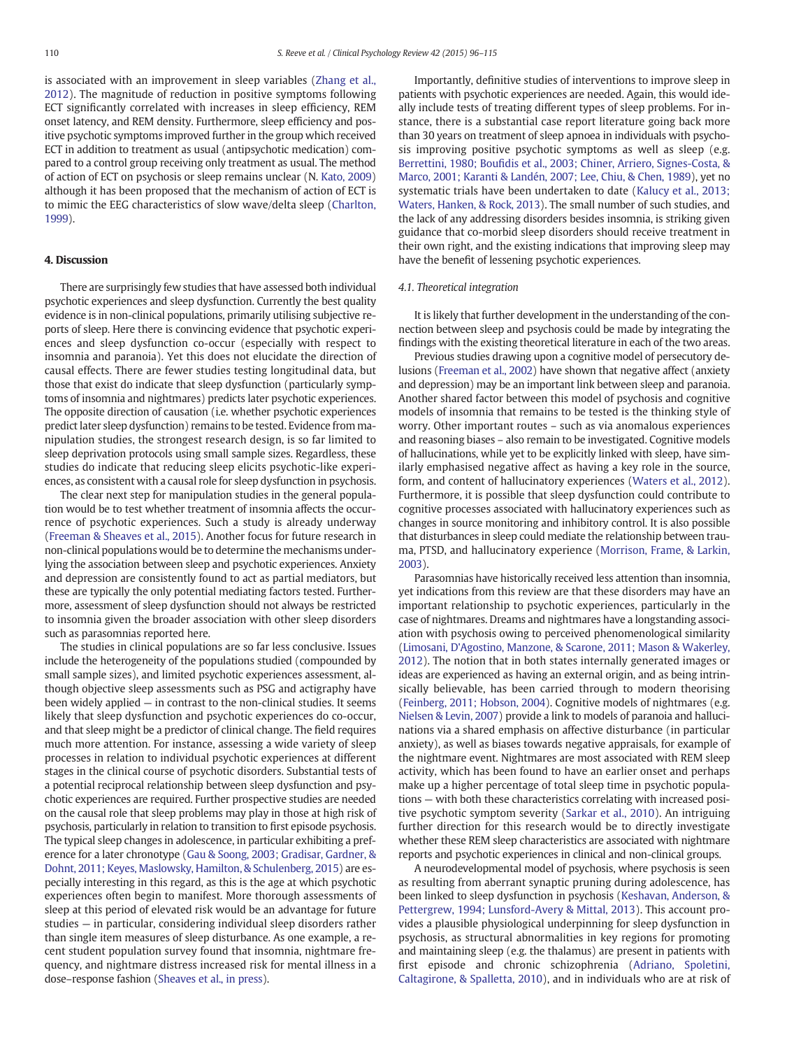is associated with an improvement in sleep variables [\(Zhang et al.,](#page-19-0) [2012](#page-19-0)). The magnitude of reduction in positive symptoms following ECT significantly correlated with increases in sleep efficiency, REM onset latency, and REM density. Furthermore, sleep efficiency and positive psychotic symptoms improved further in the group which received ECT in addition to treatment as usual (antipsychotic medication) compared to a control group receiving only treatment as usual. The method of action of ECT on psychosis or sleep remains unclear (N. [Kato, 2009](#page-17-0)) although it has been proposed that the mechanism of action of ECT is to mimic the EEG characteristics of slow wave/delta sleep [\(Charlton,](#page-16-0) [1999\)](#page-16-0).

# 4. Discussion

There are surprisingly few studies that have assessed both individual psychotic experiences and sleep dysfunction. Currently the best quality evidence is in non-clinical populations, primarily utilising subjective reports of sleep. Here there is convincing evidence that psychotic experiences and sleep dysfunction co-occur (especially with respect to insomnia and paranoia). Yet this does not elucidate the direction of causal effects. There are fewer studies testing longitudinal data, but those that exist do indicate that sleep dysfunction (particularly symptoms of insomnia and nightmares) predicts later psychotic experiences. The opposite direction of causation (i.e. whether psychotic experiences predict later sleep dysfunction) remains to be tested. Evidence from manipulation studies, the strongest research design, is so far limited to sleep deprivation protocols using small sample sizes. Regardless, these studies do indicate that reducing sleep elicits psychotic-like experiences, as consistent with a causal role for sleep dysfunction in psychosis.

The clear next step for manipulation studies in the general population would be to test whether treatment of insomnia affects the occurrence of psychotic experiences. Such a study is already underway [\(Freeman & Sheaves et al., 2015\)](#page-16-0). Another focus for future research in non-clinical populations would be to determine the mechanisms underlying the association between sleep and psychotic experiences. Anxiety and depression are consistently found to act as partial mediators, but these are typically the only potential mediating factors tested. Furthermore, assessment of sleep dysfunction should not always be restricted to insomnia given the broader association with other sleep disorders such as parasomnias reported here.

The studies in clinical populations are so far less conclusive. Issues include the heterogeneity of the populations studied (compounded by small sample sizes), and limited psychotic experiences assessment, although objective sleep assessments such as PSG and actigraphy have been widely applied — in contrast to the non-clinical studies. It seems likely that sleep dysfunction and psychotic experiences do co-occur, and that sleep might be a predictor of clinical change. The field requires much more attention. For instance, assessing a wide variety of sleep processes in relation to individual psychotic experiences at different stages in the clinical course of psychotic disorders. Substantial tests of a potential reciprocal relationship between sleep dysfunction and psychotic experiences are required. Further prospective studies are needed on the causal role that sleep problems may play in those at high risk of psychosis, particularly in relation to transition to first episode psychosis. The typical sleep changes in adolescence, in particular exhibiting a preference for a later chronotype ([Gau & Soong, 2003; Gradisar, Gardner, &](#page-16-0) [Dohnt, 2011; Keyes, Maslowsky, Hamilton, & Schulenberg, 2015](#page-16-0)) are especially interesting in this regard, as this is the age at which psychotic experiences often begin to manifest. More thorough assessments of sleep at this period of elevated risk would be an advantage for future studies — in particular, considering individual sleep disorders rather than single item measures of sleep disturbance. As one example, a recent student population survey found that insomnia, nightmare frequency, and nightmare distress increased risk for mental illness in a dose–response fashion ([Sheaves et al., in press\)](#page-18-0).

Importantly, definitive studies of interventions to improve sleep in patients with psychotic experiences are needed. Again, this would ideally include tests of treating different types of sleep problems. For instance, there is a substantial case report literature going back more than 30 years on treatment of sleep apnoea in individuals with psychosis improving positive psychotic symptoms as well as sleep (e.g. Berrettini, 1980; Boufi[dis et al., 2003; Chiner, Arriero, Signes-Costa, &](#page-16-0) [Marco, 2001; Karanti & Landén, 2007; Lee, Chiu, & Chen, 1989\)](#page-16-0), yet no systematic trials have been undertaken to date [\(Kalucy et al., 2013;](#page-17-0) [Waters, Hanken, & Rock, 2013\)](#page-17-0). The small number of such studies, and the lack of any addressing disorders besides insomnia, is striking given guidance that co-morbid sleep disorders should receive treatment in their own right, and the existing indications that improving sleep may have the benefit of lessening psychotic experiences.

#### 4.1. Theoretical integration

It is likely that further development in the understanding of the connection between sleep and psychosis could be made by integrating the findings with the existing theoretical literature in each of the two areas.

Previous studies drawing upon a cognitive model of persecutory delusions [\(Freeman et al., 2002](#page-16-0)) have shown that negative affect (anxiety and depression) may be an important link between sleep and paranoia. Another shared factor between this model of psychosis and cognitive models of insomnia that remains to be tested is the thinking style of worry. Other important routes – such as via anomalous experiences and reasoning biases – also remain to be investigated. Cognitive models of hallucinations, while yet to be explicitly linked with sleep, have similarly emphasised negative affect as having a key role in the source, form, and content of hallucinatory experiences ([Waters et al., 2012](#page-18-0)). Furthermore, it is possible that sleep dysfunction could contribute to cognitive processes associated with hallucinatory experiences such as changes in source monitoring and inhibitory control. It is also possible that disturbances in sleep could mediate the relationship between trauma, PTSD, and hallucinatory experience [\(Morrison, Frame, & Larkin,](#page-17-0) [2003\)](#page-17-0).

Parasomnias have historically received less attention than insomnia, yet indications from this review are that these disorders may have an important relationship to psychotic experiences, particularly in the case of nightmares. Dreams and nightmares have a longstanding association with psychosis owing to perceived phenomenological similarity [\(Limosani, D'Agostino, Manzone, & Scarone, 2011; Mason & Wakerley,](#page-17-0) [2012](#page-17-0)). The notion that in both states internally generated images or ideas are experienced as having an external origin, and as being intrinsically believable, has been carried through to modern theorising [\(Feinberg, 2011; Hobson, 2004\)](#page-16-0). Cognitive models of nightmares (e.g. [Nielsen & Levin, 2007](#page-18-0)) provide a link to models of paranoia and hallucinations via a shared emphasis on affective disturbance (in particular anxiety), as well as biases towards negative appraisals, for example of the nightmare event. Nightmares are most associated with REM sleep activity, which has been found to have an earlier onset and perhaps make up a higher percentage of total sleep time in psychotic populations — with both these characteristics correlating with increased positive psychotic symptom severity ([Sarkar et al., 2010\)](#page-18-0). An intriguing further direction for this research would be to directly investigate whether these REM sleep characteristics are associated with nightmare reports and psychotic experiences in clinical and non-clinical groups.

A neurodevelopmental model of psychosis, where psychosis is seen as resulting from aberrant synaptic pruning during adolescence, has been linked to sleep dysfunction in psychosis [\(Keshavan, Anderson, &](#page-17-0) [Pettergrew, 1994; Lunsford-Avery & Mittal, 2013](#page-17-0)). This account provides a plausible physiological underpinning for sleep dysfunction in psychosis, as structural abnormalities in key regions for promoting and maintaining sleep (e.g. the thalamus) are present in patients with first episode and chronic schizophrenia ([Adriano, Spoletini,](#page-16-0) [Caltagirone, & Spalletta, 2010\)](#page-16-0), and in individuals who are at risk of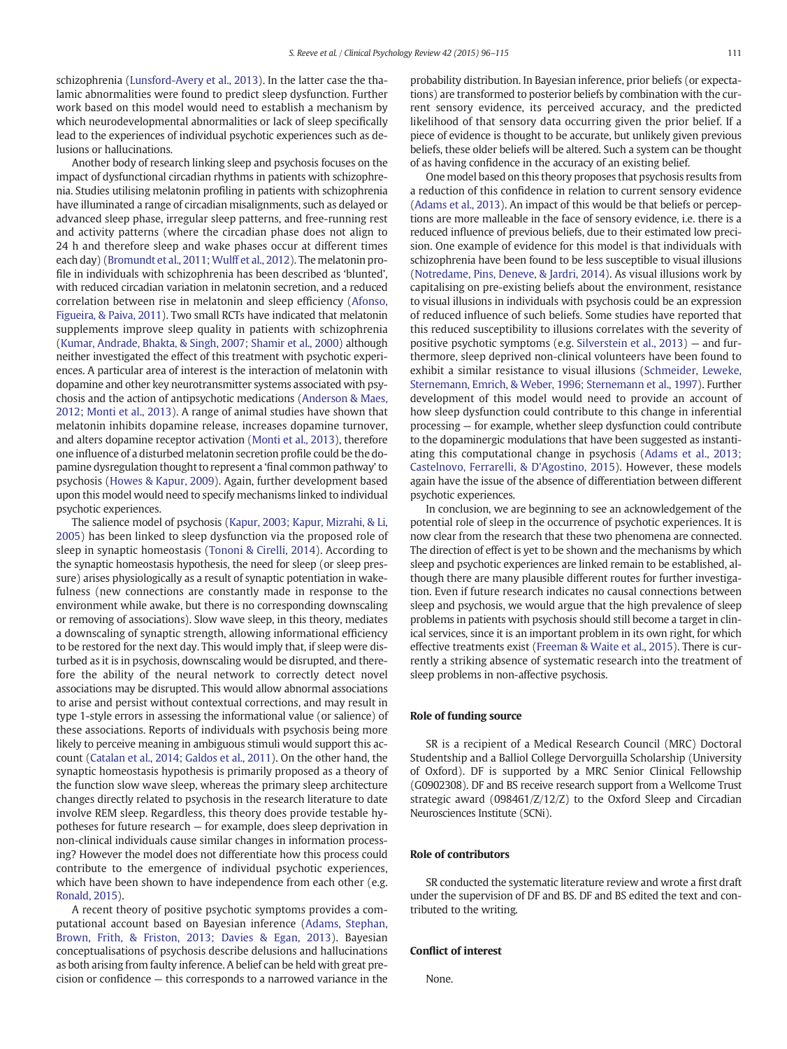schizophrenia [\(Lunsford-Avery et al., 2013](#page-17-0)). In the latter case the thalamic abnormalities were found to predict sleep dysfunction. Further work based on this model would need to establish a mechanism by which neurodevelopmental abnormalities or lack of sleep specifically lead to the experiences of individual psychotic experiences such as delusions or hallucinations.

Another body of research linking sleep and psychosis focuses on the impact of dysfunctional circadian rhythms in patients with schizophrenia. Studies utilising melatonin profiling in patients with schizophrenia have illuminated a range of circadian misalignments, such as delayed or advanced sleep phase, irregular sleep patterns, and free-running rest and activity patterns (where the circadian phase does not align to 24 h and therefore sleep and wake phases occur at different times each day) ([Bromundt et al., 2011; Wulff et al., 2012](#page-16-0)). The melatonin profile in individuals with schizophrenia has been described as 'blunted', with reduced circadian variation in melatonin secretion, and a reduced correlation between rise in melatonin and sleep efficiency [\(Afonso,](#page-16-0) [Figueira, & Paiva, 2011](#page-16-0)). Two small RCTs have indicated that melatonin supplements improve sleep quality in patients with schizophrenia [\(Kumar, Andrade, Bhakta, & Singh, 2007; Shamir et al., 2000](#page-17-0)) although neither investigated the effect of this treatment with psychotic experiences. A particular area of interest is the interaction of melatonin with dopamine and other key neurotransmitter systems associated with psychosis and the action of antipsychotic medications ([Anderson & Maes,](#page-16-0) [2012; Monti et al., 2013\)](#page-16-0). A range of animal studies have shown that melatonin inhibits dopamine release, increases dopamine turnover, and alters dopamine receptor activation ([Monti et al., 2013](#page-17-0)), therefore one influence of a disturbed melatonin secretion profile could be the dopamine dysregulation thought to represent a 'final common pathway' to psychosis [\(Howes & Kapur, 2009](#page-17-0)). Again, further development based upon this model would need to specify mechanisms linked to individual psychotic experiences.

The salience model of psychosis ([Kapur, 2003; Kapur, Mizrahi, & Li,](#page-17-0) [2005\)](#page-17-0) has been linked to sleep dysfunction via the proposed role of sleep in synaptic homeostasis [\(Tononi & Cirelli, 2014\)](#page-18-0). According to the synaptic homeostasis hypothesis, the need for sleep (or sleep pressure) arises physiologically as a result of synaptic potentiation in wakefulness (new connections are constantly made in response to the environment while awake, but there is no corresponding downscaling or removing of associations). Slow wave sleep, in this theory, mediates a downscaling of synaptic strength, allowing informational efficiency to be restored for the next day. This would imply that, if sleep were disturbed as it is in psychosis, downscaling would be disrupted, and therefore the ability of the neural network to correctly detect novel associations may be disrupted. This would allow abnormal associations to arise and persist without contextual corrections, and may result in type 1-style errors in assessing the informational value (or salience) of these associations. Reports of individuals with psychosis being more likely to perceive meaning in ambiguous stimuli would support this account [\(Catalan et al., 2014; Galdos et al., 2011](#page-16-0)). On the other hand, the synaptic homeostasis hypothesis is primarily proposed as a theory of the function slow wave sleep, whereas the primary sleep architecture changes directly related to psychosis in the research literature to date involve REM sleep. Regardless, this theory does provide testable hypotheses for future research — for example, does sleep deprivation in non-clinical individuals cause similar changes in information processing? However the model does not differentiate how this process could contribute to the emergence of individual psychotic experiences, which have been shown to have independence from each other (e.g. [Ronald, 2015\)](#page-18-0).

A recent theory of positive psychotic symptoms provides a computational account based on Bayesian inference [\(Adams, Stephan,](#page-16-0) [Brown, Frith, & Friston, 2013; Davies & Egan, 2013\)](#page-16-0). Bayesian conceptualisations of psychosis describe delusions and hallucinations as both arising from faulty inference. A belief can be held with great precision or confidence — this corresponds to a narrowed variance in the

probability distribution. In Bayesian inference, prior beliefs (or expectations) are transformed to posterior beliefs by combination with the current sensory evidence, its perceived accuracy, and the predicted likelihood of that sensory data occurring given the prior belief. If a piece of evidence is thought to be accurate, but unlikely given previous beliefs, these older beliefs will be altered. Such a system can be thought of as having confidence in the accuracy of an existing belief.

One model based on this theory proposes that psychosis results from a reduction of this confidence in relation to current sensory evidence [\(Adams et al., 2013\)](#page-16-0). An impact of this would be that beliefs or perceptions are more malleable in the face of sensory evidence, i.e. there is a reduced influence of previous beliefs, due to their estimated low precision. One example of evidence for this model is that individuals with schizophrenia have been found to be less susceptible to visual illusions [\(Notredame, Pins, Deneve, & Jardri, 2014](#page-18-0)). As visual illusions work by capitalising on pre-existing beliefs about the environment, resistance to visual illusions in individuals with psychosis could be an expression of reduced influence of such beliefs. Some studies have reported that this reduced susceptibility to illusions correlates with the severity of positive psychotic symptoms (e.g. [Silverstein et al., 2013](#page-18-0)) — and furthermore, sleep deprived non-clinical volunteers have been found to exhibit a similar resistance to visual illusions ([Schmeider, Leweke,](#page-18-0) [Sternemann, Emrich, & Weber, 1996; Sternemann et al., 1997\)](#page-18-0). Further development of this model would need to provide an account of how sleep dysfunction could contribute to this change in inferential processing — for example, whether sleep dysfunction could contribute to the dopaminergic modulations that have been suggested as instantiating this computational change in psychosis [\(Adams et al., 2013;](#page-16-0) [Castelnovo, Ferrarelli, & D'Agostino, 2015\)](#page-16-0). However, these models again have the issue of the absence of differentiation between different psychotic experiences.

In conclusion, we are beginning to see an acknowledgement of the potential role of sleep in the occurrence of psychotic experiences. It is now clear from the research that these two phenomena are connected. The direction of effect is yet to be shown and the mechanisms by which sleep and psychotic experiences are linked remain to be established, although there are many plausible different routes for further investigation. Even if future research indicates no causal connections between sleep and psychosis, we would argue that the high prevalence of sleep problems in patients with psychosis should still become a target in clinical services, since it is an important problem in its own right, for which effective treatments exist [\(Freeman & Waite et al., 2015](#page-16-0)). There is currently a striking absence of systematic research into the treatment of sleep problems in non-affective psychosis.

#### Role of funding source

SR is a recipient of a Medical Research Council (MRC) Doctoral Studentship and a Balliol College Dervorguilla Scholarship (University of Oxford). DF is supported by a MRC Senior Clinical Fellowship (G0902308). DF and BS receive research support from a Wellcome Trust strategic award (098461/Z/12/Z) to the Oxford Sleep and Circadian Neurosciences Institute (SCNi).

# Role of contributors

SR conducted the systematic literature review and wrote a first draft under the supervision of DF and BS. DF and BS edited the text and contributed to the writing.

#### Conflict of interest

None.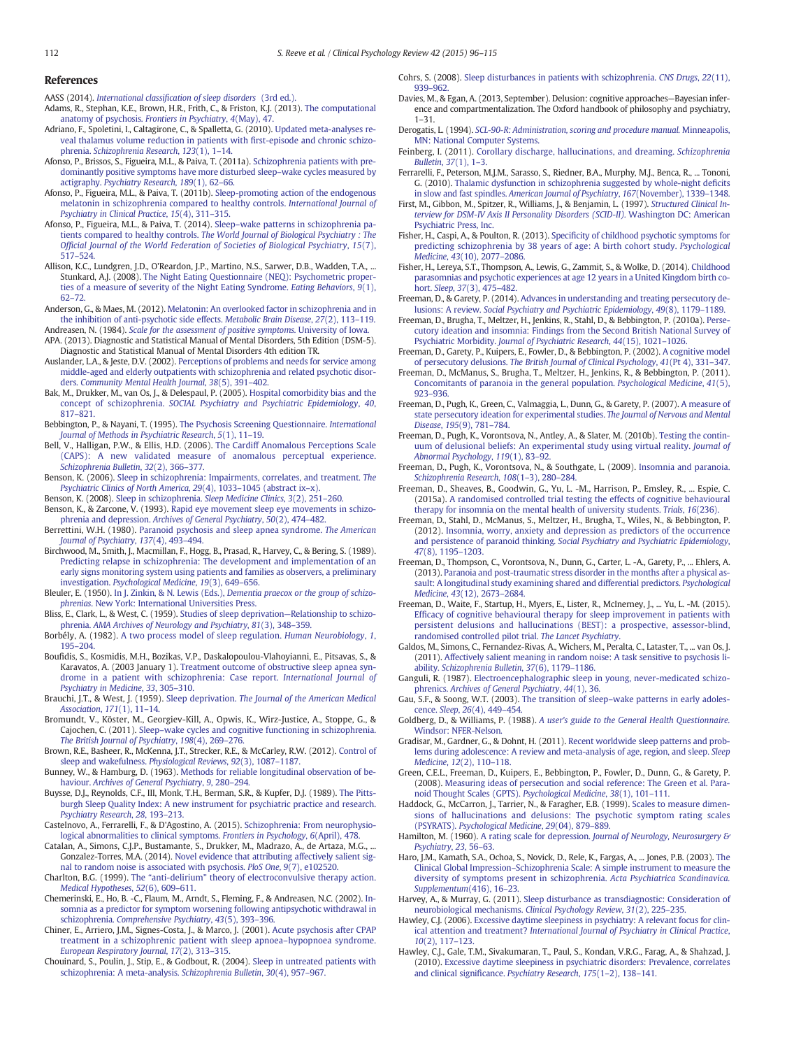# <span id="page-16-0"></span>References

AASS (2014). International classifi[cation of sleep disorders](http://refhub.elsevier.com/S0272-7358(15)00119-1/rf0005) (3rd ed.).

- Adams, R., Stephan, K.E., Brown, H.R., Frith, C., & Friston, K.J. (2013). [The computational](http://refhub.elsevier.com/S0272-7358(15)00119-1/rf0010) [anatomy of psychosis.](http://refhub.elsevier.com/S0272-7358(15)00119-1/rf0010) Frontiers in Psychiatry, 4(May), 47.
- Adriano, F., Spoletini, I., Caltagirone, C., & Spalletta, G. (2010). [Updated meta-analyses re](http://refhub.elsevier.com/S0272-7358(15)00119-1/rf0015)[veal thalamus volume reduction in patients with](http://refhub.elsevier.com/S0272-7358(15)00119-1/rf0015) first-episode and chronic schizophrenia. [Schizophrenia Research](http://refhub.elsevier.com/S0272-7358(15)00119-1/rf0015), 123(1), 1–14.
- Afonso, P., Brissos, S., Figueira, M.L., & Paiva, T. (2011a). [Schizophrenia patients with pre](http://refhub.elsevier.com/S0272-7358(15)00119-1/rf0020)[dominantly positive symptoms have more disturbed sleep](http://refhub.elsevier.com/S0272-7358(15)00119-1/rf0020)–wake cycles measured by actigraphy. [Psychiatry Research](http://refhub.elsevier.com/S0272-7358(15)00119-1/rf0020), 189(1), 62–66.
- Afonso, P., Figueira, M.L., & Paiva, T. (2011b). [Sleep-promoting action of the endogenous](http://refhub.elsevier.com/S0272-7358(15)00119-1/rf0025) [melatonin in schizophrenia compared to healthy controls.](http://refhub.elsevier.com/S0272-7358(15)00119-1/rf0025) International Journal of [Psychiatry in Clinical Practice](http://refhub.elsevier.com/S0272-7358(15)00119-1/rf0025), 15(4), 311–315.
- Afonso, P., Figueira, M.L., & Paiva, T. (2014). Sleep–[wake patterns in schizophrenia pa](http://refhub.elsevier.com/S0272-7358(15)00119-1/rf0030)tients compared to healthy controls. [The World Journal of Biological Psychiatry : The](http://refhub.elsevier.com/S0272-7358(15)00119-1/rf0030) Offi[cial Journal of the World Federation of Societies of Biological Psychiatry](http://refhub.elsevier.com/S0272-7358(15)00119-1/rf0030), 15(7), 517–[524.](http://refhub.elsevier.com/S0272-7358(15)00119-1/rf0030)
- Allison, K.C., Lundgren, J.D., O'Reardon, J.P., Martino, N.S., Sarwer, D.B., Wadden, T.A., ... Stunkard, A.J. (2008). [The Night Eating Questionnaire \(NEQ\): Psychometric proper](http://refhub.elsevier.com/S0272-7358(15)00119-1/rf0035)[ties of a measure of severity of the Night Eating Syndrome.](http://refhub.elsevier.com/S0272-7358(15)00119-1/rf0035) Eating Behaviors, 9(1), 62–[72.](http://refhub.elsevier.com/S0272-7358(15)00119-1/rf0035)
- Anderson, G., & Maes, M. (2012). [Melatonin: An overlooked factor in schizophrenia and in](http://refhub.elsevier.com/S0272-7358(15)00119-1/rf0040) [the inhibition of anti-psychotic side effects.](http://refhub.elsevier.com/S0272-7358(15)00119-1/rf0040) Metabolic Brain Disease,  $27(2)$ , 113-119.

Andreasen, N. (1984). [Scale for the assessment of positive symptoms.](http://refhub.elsevier.com/S0272-7358(15)00119-1/rf0045) University of Iowa. APA. (2013). Diagnostic and Statistical Manual of Mental Disorders, 5th Edition (DSM-5).

- Diagnostic and Statistical Manual of Mental Disorders 4th edition TR. Auslander, L.A., & Jeste, D.V. (2002). [Perceptions of problems and needs for service among](http://refhub.elsevier.com/S0272-7358(15)00119-1/rf0050) [middle-aged and elderly outpatients with schizophrenia and related psychotic disor-](http://refhub.elsevier.com/S0272-7358(15)00119-1/rf0050)
- ders. [Community Mental Health Journal](http://refhub.elsevier.com/S0272-7358(15)00119-1/rf0050), 38(5), 391–402. Bak, M., Drukker, M., van Os, J., & Delespaul, P. (2005). [Hospital comorbidity bias and the](http://refhub.elsevier.com/S0272-7358(15)00119-1/rf0055)
- concept of schizophrenia. [SOCIAL Psychiatry and Psychiatric Epidemiology](http://refhub.elsevier.com/S0272-7358(15)00119-1/rf0055), 40, 817–[821.](http://refhub.elsevier.com/S0272-7358(15)00119-1/rf0055)
- Bebbington, P., & Nayani, T. (1995). [The Psychosis Screening Questionnaire.](http://refhub.elsevier.com/S0272-7358(15)00119-1/rf0060) International [Journal of Methods in Psychiatric Research](http://refhub.elsevier.com/S0272-7358(15)00119-1/rf0060), 5(1), 11–19.
- Bell, V., Halligan, P.W., & Ellis, H.D. (2006). [The Cardiff Anomalous Perceptions Scale](http://refhub.elsevier.com/S0272-7358(15)00119-1/rf0065) [\(CAPS\): A new validated measure of anomalous perceptual experience.](http://refhub.elsevier.com/S0272-7358(15)00119-1/rf0065) [Schizophrenia Bulletin](http://refhub.elsevier.com/S0272-7358(15)00119-1/rf0065), 32(2), 366–377.
- Benson, K. (2006). [Sleep in schizophrenia: Impairments, correlates, and treatment.](http://refhub.elsevier.com/S0272-7358(15)00119-1/rf0070) The [Psychiatric Clinics of North America](http://refhub.elsevier.com/S0272-7358(15)00119-1/rf0070), 29(4), 1033-1045 (abstract ix-x)
- Benson, K. (2008). [Sleep in schizophrenia.](http://refhub.elsevier.com/S0272-7358(15)00119-1/rf0075) Sleep Medicine Clinics, 3(2), 251–260. Benson, K., & Zarcone, V. (1993). [Rapid eye movement sleep eye movements in schizo-](http://refhub.elsevier.com/S0272-7358(15)00119-1/rf0080)
- phrenia and depression. [Archives of General Psychiatry](http://refhub.elsevier.com/S0272-7358(15)00119-1/rf0080), 50(2), 474–482. Berrettini, W.H. (1980). [Paranoid psychosis and sleep apnea syndrome.](http://refhub.elsevier.com/S0272-7358(15)00119-1/rf0085) The American
- [Journal of Psychiatry](http://refhub.elsevier.com/S0272-7358(15)00119-1/rf0085), 137(4), 493–494.
- Birchwood, M., Smith, J., Macmillan, F., Hogg, B., Prasad, R., Harvey, C., & Bering, S. (1989). [Predicting relapse in schizophrenia: The development and implementation of an](http://refhub.elsevier.com/S0272-7358(15)00119-1/rf0090) [early signs monitoring system using patients and families as observers, a preliminary](http://refhub.elsevier.com/S0272-7358(15)00119-1/rf0090) investigation. [Psychological Medicine](http://refhub.elsevier.com/S0272-7358(15)00119-1/rf0090), 19(3), 649–656.
- Bleuler, E. (1950). In J. Zinkin, & N. Lewis (Eds.), [Dementia praecox or the group of schizo](http://refhub.elsevier.com/S0272-7358(15)00119-1/rf0095)phrenias[. New York: International Universities Press.](http://refhub.elsevier.com/S0272-7358(15)00119-1/rf0095)
- Bliss, E., Clark, L., & West, C. (1959). [Studies of sleep deprivation](http://refhub.elsevier.com/S0272-7358(15)00119-1/rf0100)—Relationship to schizophrenia. [AMA Archives of Neurology and Psychiatry](http://refhub.elsevier.com/S0272-7358(15)00119-1/rf0100), 81(3), 348–359.
- Borbély, A. (1982). [A two process model of sleep regulation.](http://refhub.elsevier.com/S0272-7358(15)00119-1/rf0105) Human Neurobiology, 1, 195–[204.](http://refhub.elsevier.com/S0272-7358(15)00119-1/rf0105)
- Boufidis, S., Kosmidis, M.H., Bozikas, V.P., Daskalopoulou-Vlahoyianni, E., Pitsavas, S., & Karavatos, A. (2003 January 1). [Treatment outcome of obstructive sleep apnea syn](http://refhub.elsevier.com/S0272-7358(15)00119-1/rf0110)[drome in a patient with schizophrenia: Case report.](http://refhub.elsevier.com/S0272-7358(15)00119-1/rf0110) International Journal of [Psychiatry in Medicine](http://refhub.elsevier.com/S0272-7358(15)00119-1/rf0110), 33, 305–310.
- Brauchi, J.T., & West, J. (1959). Sleep deprivation. [The Journal of the American Medical](http://refhub.elsevier.com/S0272-7358(15)00119-1/rf0115) [Association](http://refhub.elsevier.com/S0272-7358(15)00119-1/rf0115), 171(1), 11–14.
- Bromundt, V., Köster, M., Georgiev-Kill, A., Opwis, K., Wirz-Justice, A., Stoppe, G., & Cajochen, C. (2011). Sleep–[wake cycles and cognitive functioning in schizophrenia.](http://refhub.elsevier.com/S0272-7358(15)00119-1/rf0120) [The British Journal of Psychiatry](http://refhub.elsevier.com/S0272-7358(15)00119-1/rf0120), 198(4), 269–276.
- Brown, R.E., Basheer, R., McKenna, J.T., Strecker, R.E., & McCarley, R.W. (2012). [Control of](http://refhub.elsevier.com/S0272-7358(15)00119-1/rf0125) [sleep and wakefulness.](http://refhub.elsevier.com/S0272-7358(15)00119-1/rf0125) Physiological Reviews, 92(3), 1087–1187.
- Bunney, W., & Hamburg, D. (1963). [Methods for reliable longitudinal observation of be](http://refhub.elsevier.com/S0272-7358(15)00119-1/rf0130)haviour. [Archives of General Psychiatry](http://refhub.elsevier.com/S0272-7358(15)00119-1/rf0130), 9, 280–294.
- Buysse, D.J., Reynolds, C.F., III, Monk, T.H., Berman, S.R., & Kupfer, D.J. (1989). [The Pitts](http://refhub.elsevier.com/S0272-7358(15)00119-1/rf0135)[burgh Sleep Quality Index: A new instrument for psychiatric practice and research.](http://refhub.elsevier.com/S0272-7358(15)00119-1/rf0135) [Psychiatry Research](http://refhub.elsevier.com/S0272-7358(15)00119-1/rf0135), 28, 193–213.
- Castelnovo, A., Ferrarelli, F., & D'Agostino, A. (2015). [Schizophrenia: From neurophysio](http://refhub.elsevier.com/S0272-7358(15)00119-1/rf0140)[logical abnormalities to clinical symptoms.](http://refhub.elsevier.com/S0272-7358(15)00119-1/rf0140) Frontiers in Psychology, 6(April), 478.
- Catalan, A., Simons, C.J.P., Bustamante, S., Drukker, M., Madrazo, A., de Artaza, M.G., ... Gonzalez-Torres, M.A. (2014). [Novel evidence that attributing affectively salient sig](http://refhub.elsevier.com/S0272-7358(15)00119-1/rf0145)[nal to random noise is associated with psychosis.](http://refhub.elsevier.com/S0272-7358(15)00119-1/rf0145) PloS One, 9(7), e102520.
- Charlton, B.G. (1999). The "anti-delirium" [theory of electroconvulsive therapy action.](http://refhub.elsevier.com/S0272-7358(15)00119-1/rf0150) [Medical Hypotheses](http://refhub.elsevier.com/S0272-7358(15)00119-1/rf0150), 52(6), 609–611.
- Chemerinski, E., Ho, B. -C., Flaum, M., Arndt, S., Fleming, F., & Andreasen, N.C. (2002). [In](http://refhub.elsevier.com/S0272-7358(15)00119-1/rf0155)[somnia as a predictor for symptom worsening following antipsychotic withdrawal in](http://refhub.elsevier.com/S0272-7358(15)00119-1/rf0155) schizophrenia. [Comprehensive Psychiatry](http://refhub.elsevier.com/S0272-7358(15)00119-1/rf0155), 43(5), 393–396.
- Chiner, E., Arriero, J.M., Signes-Costa, J., & Marco, J. (2001). [Acute psychosis after CPAP](http://refhub.elsevier.com/S0272-7358(15)00119-1/rf0160) [treatment in a schizophrenic patient with sleep apnoea](http://refhub.elsevier.com/S0272-7358(15)00119-1/rf0160)–hypopnoea syndrome. [European Respiratory Journal](http://refhub.elsevier.com/S0272-7358(15)00119-1/rf0160), 17(2), 313–315.
- Chouinard, S., Poulin, J., Stip, E., & Godbout, R. (2004). [Sleep in untreated patients with](http://refhub.elsevier.com/S0272-7358(15)00119-1/rf0165) [schizophrenia: A meta-analysis.](http://refhub.elsevier.com/S0272-7358(15)00119-1/rf0165) Schizophrenia Bulletin, 30(4), 957–967.
- Cohrs, S. (2008). [Sleep disturbances in patients with schizophrenia.](http://refhub.elsevier.com/S0272-7358(15)00119-1/rf0170) CNS Drugs, 22(11), 939–[962.](http://refhub.elsevier.com/S0272-7358(15)00119-1/rf0170)
- Davies, M., & Egan, A. (2013, September). Delusion: cognitive approaches—Bayesian inference and compartmentalization. The Oxford handbook of philosophy and psychiatry, 1–31.
- Derogatis, L. (1994). [SCL-90-R: Administration, scoring and procedure manual.](http://refhub.elsevier.com/S0272-7358(15)00119-1/rf0175) Minneapolis, [MN: National Computer Systems.](http://refhub.elsevier.com/S0272-7358(15)00119-1/rf0175)
- Feinberg, I. (2011). [Corollary discharge, hallucinations, and dreaming.](http://refhub.elsevier.com/S0272-7358(15)00119-1/rf0180) Schizophrenia
- [Bulletin](http://refhub.elsevier.com/S0272-7358(15)00119-1/rf0180), 37(1), 1–3. Ferrarelli, F., Peterson, M.J.M., Sarasso, S., Riedner, B.A., Murphy, M.J., Benca, R., ... Tononi, G. (2010). [Thalamic dysfunction in schizophrenia suggested by whole-night de](http://refhub.elsevier.com/S0272-7358(15)00119-1/rf0185)ficits in slow and fast spindles. [American Journal of Psychiatry](http://refhub.elsevier.com/S0272-7358(15)00119-1/rf0185), 167(November), 1339–1348.
- First, M., Gibbon, M., Spitzer, R., Williams, J., & Benjamin, L. (1997). [Structured Clinical In](http://refhub.elsevier.com/S0272-7358(15)00119-1/rf0190)[terview for DSM-IV Axis II Personality Disorders \(SCID-II\).](http://refhub.elsevier.com/S0272-7358(15)00119-1/rf0190) Washington DC: American [Psychiatric Press, Inc.](http://refhub.elsevier.com/S0272-7358(15)00119-1/rf0190)
- Fisher, H., Caspi, A., & Poulton, R. (2013). Specifi[city of childhood psychotic symptoms for](http://refhub.elsevier.com/S0272-7358(15)00119-1/rf0195) [predicting schizophrenia by 38 years of age: A birth cohort study.](http://refhub.elsevier.com/S0272-7358(15)00119-1/rf0195) Psychological Medicine, 43[\(10\), 2077](http://refhub.elsevier.com/S0272-7358(15)00119-1/rf0195)–2086.
- Fisher, H., Lereya, S.T., Thompson, A., Lewis, G., Zammit, S., & Wolke, D. (2014). [Childhood](http://refhub.elsevier.com/S0272-7358(15)00119-1/rf0200) [parasomnias and psychotic experiences at age 12 years in a United Kingdom birth co](http://refhub.elsevier.com/S0272-7358(15)00119-1/rf0200)hort. Sleep, 37[\(3\), 475](http://refhub.elsevier.com/S0272-7358(15)00119-1/rf0200)–482.
- Freeman, D., & Garety, P. (2014). [Advances in understanding and treating persecutory de](http://refhub.elsevier.com/S0272-7358(15)00119-1/rf0205)lusions: A review. [Social Psychiatry and Psychiatric Epidemiology](http://refhub.elsevier.com/S0272-7358(15)00119-1/rf0205), 49(8), 1179–1189.
- Freeman, D., Brugha, T., Meltzer, H., Jenkins, R., Stahl, D., & Bebbington, P. (2010a). [Perse](http://refhub.elsevier.com/S0272-7358(15)00119-1/rf0210)[cutory ideation and insomnia: Findings from the Second British National Survey of](http://refhub.elsevier.com/S0272-7358(15)00119-1/rf0210) Psychiatric Morbidity. [Journal of Psychiatric Research](http://refhub.elsevier.com/S0272-7358(15)00119-1/rf0210), 44(15), 1021–1026.
- Freeman, D., Garety, P., Kuipers, E., Fowler, D., & Bebbington, P. (2002). [A cognitive model](http://refhub.elsevier.com/S0272-7358(15)00119-1/rf0215) of persecutory delusions. [The British Journal of Clinical Psychology](http://refhub.elsevier.com/S0272-7358(15)00119-1/rf0215), 41(Pt 4), 331–347.
- Freeman, D., McManus, S., Brugha, T., Meltzer, H., Jenkins, R., & Bebbington, P. (2011). [Concomitants of paranoia in the general population.](http://refhub.elsevier.com/S0272-7358(15)00119-1/rf0220) Psychological Medicine, 41(5), 923–[936.](http://refhub.elsevier.com/S0272-7358(15)00119-1/rf0220)
- Freeman, D., Pugh, K., Green, C., Valmaggia, L., Dunn, G., & Garety, P. (2007). [A measure of](http://refhub.elsevier.com/S0272-7358(15)00119-1/rf0225) [state persecutory ideation for experimental studies.](http://refhub.elsevier.com/S0272-7358(15)00119-1/rf0225) The Journal of Nervous and Mental Disease, 195[\(9\), 781](http://refhub.elsevier.com/S0272-7358(15)00119-1/rf0225)–784.
- Freeman, D., Pugh, K., Vorontsova, N., Antley, A., & Slater, M. (2010b). [Testing the contin](http://refhub.elsevier.com/S0272-7358(15)00119-1/rf0230)[uum of delusional beliefs: An experimental study using virtual reality.](http://refhub.elsevier.com/S0272-7358(15)00119-1/rf0230) Journal of [Abnormal Psychology](http://refhub.elsevier.com/S0272-7358(15)00119-1/rf0230), 119(1), 83–92.
- Freeman, D., Pugh, K., Vorontsova, N., & Southgate, L. (2009). [Insomnia and paranoia.](http://refhub.elsevier.com/S0272-7358(15)00119-1/rf0235) [Schizophrenia Research](http://refhub.elsevier.com/S0272-7358(15)00119-1/rf0235), 108(1–3), 280–284.
- Freeman, D., Sheaves, B., Goodwin, G., Yu, L. -M., Harrison, P., Emsley, R., ... Espie, C. (2015a). [A randomised controlled trial testing the effects of cognitive behavioural](http://refhub.elsevier.com/S0272-7358(15)00119-1/rf0240) [therapy for insomnia on the mental health of university students.](http://refhub.elsevier.com/S0272-7358(15)00119-1/rf0240) Trials, 16(236).
- Freeman, D., Stahl, D., McManus, S., Meltzer, H., Brugha, T., Wiles, N., & Bebbington, P. (2012). [Insomnia, worry, anxiety and depression as predictors of the occurrence](http://refhub.elsevier.com/S0272-7358(15)00119-1/rf0245) and persistence of paranoid thinking. [Social Psychiatry and Psychiatric Epidemiology](http://refhub.elsevier.com/S0272-7358(15)00119-1/rf0245), 47[\(8\), 1195](http://refhub.elsevier.com/S0272-7358(15)00119-1/rf0245)–1203.
- Freeman, D., Thompson, C., Vorontsova, N., Dunn, G., Carter, L. -A., Garety, P., ... Ehlers, A. (2013). [Paranoia and post-traumatic stress disorder in the months after a physical as](http://refhub.elsevier.com/S0272-7358(15)00119-1/rf0250)[sault: A longitudinal study examining shared and differential predictors.](http://refhub.elsevier.com/S0272-7358(15)00119-1/rf0250) Psychological Medicine, 43[\(12\), 2673](http://refhub.elsevier.com/S0272-7358(15)00119-1/rf0250)–2684.
- Freeman, D., Waite, F., Startup, H., Myers, E., Lister, R., McInerney, J., ... Yu, L. -M. (2015). Effi[cacy of cognitive behavioural therapy for sleep improvement in patients with](http://refhub.elsevier.com/S0272-7358(15)00119-1/rf5250) [persistent delusions and hallucinations \(BEST\): a prospective, assessor-blind,](http://refhub.elsevier.com/S0272-7358(15)00119-1/rf5250) [randomised controlled pilot trial.](http://refhub.elsevier.com/S0272-7358(15)00119-1/rf5250) The Lancet Psychiatry
- Galdos, M., Simons, C., Fernandez-Rivas, A., Wichers, M., Peralta, C., Lataster, T., ... van Os, J. (2011). [Affectively salient meaning in random noise: A task sensitive to psychosis li](http://refhub.elsevier.com/S0272-7358(15)00119-1/rf0260)ability. [Schizophrenia Bulletin](http://refhub.elsevier.com/S0272-7358(15)00119-1/rf0260), 37(6), 1179–1186.
- Ganguli, R. (1987). [Electroencephalographic sleep in young, never-medicated schizo](http://refhub.elsevier.com/S0272-7358(15)00119-1/rf0265)phrenics. [Archives of General Psychiatry](http://refhub.elsevier.com/S0272-7358(15)00119-1/rf0265), 44(1), 36.
- Gau, S.F., & Soong, W.T. (2003). The transition of sleep–[wake patterns in early adoles](http://refhub.elsevier.com/S0272-7358(15)00119-1/rf0270)cence. Sleep, 26[\(4\), 449](http://refhub.elsevier.com/S0272-7358(15)00119-1/rf0270)–454.
- Goldberg, D., & Williams, P. (1988). [A user's guide to the General Health Questionnaire.](http://refhub.elsevier.com/S0272-7358(15)00119-1/rf0275) [Windsor: NFER-Nelson.](http://refhub.elsevier.com/S0272-7358(15)00119-1/rf0275)
- Gradisar, M., Gardner, G., & Dohnt, H. (2011). [Recent worldwide sleep patterns and prob](http://refhub.elsevier.com/S0272-7358(15)00119-1/rf0280)[lems during adolescence: A review and meta-analysis of age, region, and sleep.](http://refhub.elsevier.com/S0272-7358(15)00119-1/rf0280) Sleep [Medicine](http://refhub.elsevier.com/S0272-7358(15)00119-1/rf0280), 12(2), 110–118.
- Green, C.E.L., Freeman, D., Kuipers, E., Bebbington, P., Fowler, D., Dunn, G., & Garety, P. (2008). [Measuring ideas of persecution and social reference: The Green et al. Para](http://refhub.elsevier.com/S0272-7358(15)00119-1/rf0285)[noid Thought Scales \(GPTS\).](http://refhub.elsevier.com/S0272-7358(15)00119-1/rf0285) Psychological Medicine, 38(1), 101–111.
- Haddock, G., McCarron, J., Tarrier, N., & Faragher, E.B. (1999). [Scales to measure dimen](http://refhub.elsevier.com/S0272-7358(15)00119-1/rf0290)[sions of hallucinations and delusions: The psychotic symptom rating scales](http://refhub.elsevier.com/S0272-7358(15)00119-1/rf0290) (PSYRATS). [Psychological Medicine](http://refhub.elsevier.com/S0272-7358(15)00119-1/rf0290), 29(04), 879–889.
- Hamilton, M. (1960). A rating scale for depression. [Journal of Neurology, Neurosurgery &](http://refhub.elsevier.com/S0272-7358(15)00119-1/rf0295) [Psychiatry](http://refhub.elsevier.com/S0272-7358(15)00119-1/rf0295), 23, 56–63.
- Haro, J.M., Kamath, S.A., Ochoa, S., Novick, D., Rele, K., Fargas, A., ... Jones, P.B. (2003). [The](http://refhub.elsevier.com/S0272-7358(15)00119-1/rf0300) Clinical Global Impression–[Schizophrenia Scale: A simple instrument to measure the](http://refhub.elsevier.com/S0272-7358(15)00119-1/rf0300) [diversity of symptoms present in schizophrenia.](http://refhub.elsevier.com/S0272-7358(15)00119-1/rf0300) Acta Psychiatrica Scandinavica. [Supplementum](http://refhub.elsevier.com/S0272-7358(15)00119-1/rf0300)(416), 16–23.
- Harvey, A., & Murray, G. (2011). [Sleep disturbance as transdiagnostic: Consideration of](http://refhub.elsevier.com/S0272-7358(15)00119-1/rf0305) [neurobiological mechanisms.](http://refhub.elsevier.com/S0272-7358(15)00119-1/rf0305) Clinical Psychology Review, 31(2), 225–235.
- Hawley, C.J. (2006). [Excessive daytime sleepiness in psychiatry: A relevant focus for clin](http://refhub.elsevier.com/S0272-7358(15)00119-1/rf0310)ical attention and treatment? [International Journal of Psychiatry in Clinical Practice](http://refhub.elsevier.com/S0272-7358(15)00119-1/rf0310), 10[\(2\), 117](http://refhub.elsevier.com/S0272-7358(15)00119-1/rf0310)–123.
- Hawley, C.J., Gale, T.M., Sivakumaran, T., Paul, S., Kondan, V.R.G., Farag, A., & Shahzad, J. (2010). [Excessive daytime sleepiness in psychiatric disorders: Prevalence, correlates](http://refhub.elsevier.com/S0272-7358(15)00119-1/rf0315) and clinical significance. [Psychiatry Research](http://refhub.elsevier.com/S0272-7358(15)00119-1/rf0315), 175(1–2), 138–141.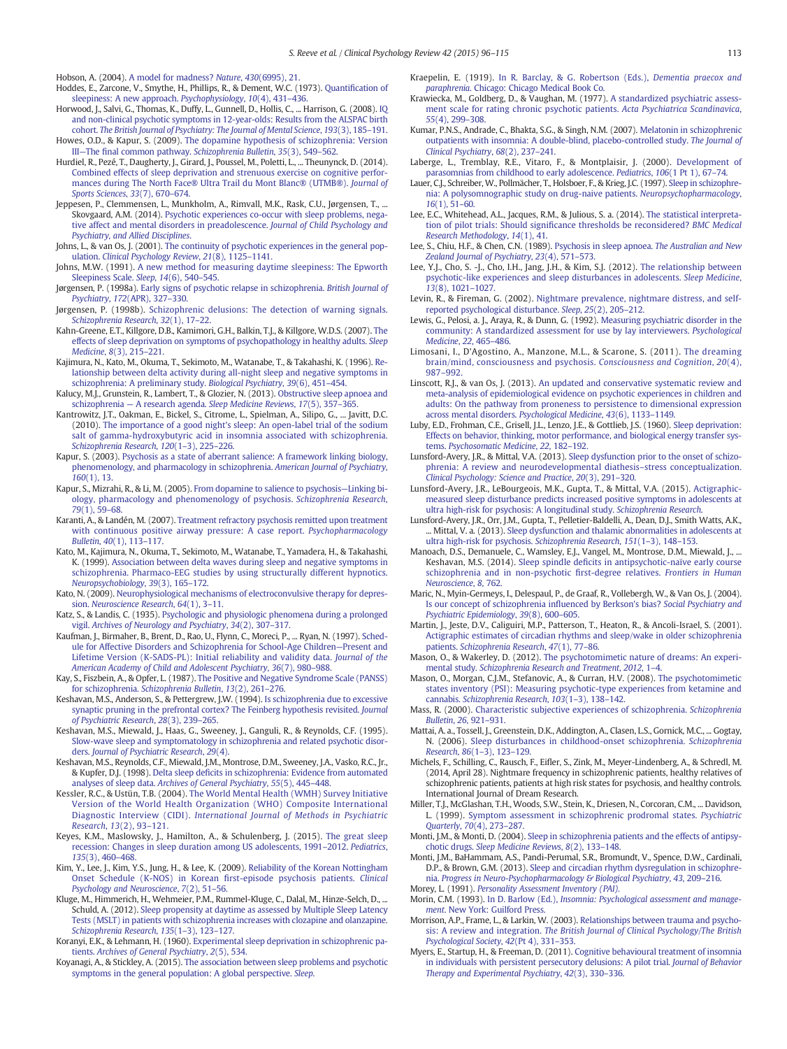<span id="page-17-0"></span>Hobson, A. (2004). [A model for madness?](http://refhub.elsevier.com/S0272-7358(15)00119-1/rf0320) Nature, 430(6995), 21.

- Hoddes, E., Zarcone, V., Smythe, H., Phillips, R., & Dement, W.C. (1973). Quantifi[cation of](http://refhub.elsevier.com/S0272-7358(15)00119-1/rf0325) [sleepiness: A new approach.](http://refhub.elsevier.com/S0272-7358(15)00119-1/rf0325) Psychophysiology, 10(4), 431–436.
- Horwood, J., Salvi, G., Thomas, K., Duffy, L., Gunnell, D., Hollis, C., ... Harrison, G. (2008). [IQ](http://refhub.elsevier.com/S0272-7358(15)00119-1/rf0330) [and non-clinical psychotic symptoms in 12-year-olds: Results from the ALSPAC birth](http://refhub.elsevier.com/S0272-7358(15)00119-1/rf0330) cohort. [The British Journal of Psychiatry: The Journal of Mental Science](http://refhub.elsevier.com/S0272-7358(15)00119-1/rf0330), 193(3), 185–191.
- Howes, O.D., & Kapur, S. (2009). [The dopamine hypothesis of schizophrenia: Version](http://refhub.elsevier.com/S0272-7358(15)00119-1/rf0335) III—The fi[nal common pathway.](http://refhub.elsevier.com/S0272-7358(15)00119-1/rf0335) Schizophrenia Bulletin, 35(3), 549–562.
- Hurdiel, R., Pezé, T., Daugherty, J., Girard, J., Poussel, M., Poletti, L., ... Theunynck, D. (2014). [Combined effects of sleep deprivation and strenuous exercise on cognitive perfor](http://refhub.elsevier.com/S0272-7358(15)00119-1/rf0340)[mances during The North Face® Ultra Trail du Mont Blanc® \(UTMB®\).](http://refhub.elsevier.com/S0272-7358(15)00119-1/rf0340) Journal of [Sports Sciences](http://refhub.elsevier.com/S0272-7358(15)00119-1/rf0340), 33(7), 670–674.
- Jeppesen, P., Clemmensen, L., Munkholm, A., Rimvall, M.K., Rask, C.U., Jørgensen, T., ... Skovgaard, A.M. (2014). [Psychotic experiences co-occur with sleep problems, nega](http://refhub.elsevier.com/S0272-7358(15)00119-1/rf0345)[tive affect and mental disorders in preadolescence.](http://refhub.elsevier.com/S0272-7358(15)00119-1/rf0345) Journal of Child Psychology and [Psychiatry, and Allied Disciplines](http://refhub.elsevier.com/S0272-7358(15)00119-1/rf0345).
- Johns, L., & van Os, J. (2001). [The continuity of psychotic experiences in the general pop](http://refhub.elsevier.com/S0272-7358(15)00119-1/rf0350)ulation. [Clinical Psychology Review](http://refhub.elsevier.com/S0272-7358(15)00119-1/rf0350), 21(8), 1125–1141.
- Johns, M.W. (1991). [A new method for measuring daytime sleepiness: The Epworth](http://refhub.elsevier.com/S0272-7358(15)00119-1/rf0355) [Sleepiness Scale.](http://refhub.elsevier.com/S0272-7358(15)00119-1/rf0355) Sleep, 14(6), 540–545.
- Jørgensen, P. (1998a). [Early signs of psychotic relapse in schizophrenia.](http://refhub.elsevier.com/S0272-7358(15)00119-1/rf0360) British Journal of Psychiatry, 172[\(APR\), 327](http://refhub.elsevier.com/S0272-7358(15)00119-1/rf0360)–330.
- Jørgensen, P. (1998b). [Schizophrenic delusions: The detection of warning signals.](http://refhub.elsevier.com/S0272-7358(15)00119-1/rf0365) [Schizophrenia Research](http://refhub.elsevier.com/S0272-7358(15)00119-1/rf0365), 32(1), 17–22.
- Kahn-Greene, E.T., Killgore, D.B., Kamimori, G.H., Balkin, T.J., & Killgore, W.D.S. (2007). [The](http://refhub.elsevier.com/S0272-7358(15)00119-1/rf0370) [effects of sleep deprivation on symptoms of psychopathology in healthy adults.](http://refhub.elsevier.com/S0272-7358(15)00119-1/rf0370) Sleep [Medicine](http://refhub.elsevier.com/S0272-7358(15)00119-1/rf0370), 8(3), 215–221.
- Kajimura, N., Kato, M., Okuma, T., Sekimoto, M., Watanabe, T., & Takahashi, K. (1996). [Re](http://refhub.elsevier.com/S0272-7358(15)00119-1/rf0375)[lationship between delta activity during all-night sleep and negative symptoms in](http://refhub.elsevier.com/S0272-7358(15)00119-1/rf0375) [schizophrenia: A preliminary study.](http://refhub.elsevier.com/S0272-7358(15)00119-1/rf0375) Biological Psychiatry, 39(6), 451–454.
- Kalucy, M.J., Grunstein, R., Lambert, T., & Glozier, N. (2013). [Obstructive sleep apnoea and](http://refhub.elsevier.com/S0272-7358(15)00119-1/rf0380) schizophrenia — A research agenda. [Sleep Medicine Reviews](http://refhub.elsevier.com/S0272-7358(15)00119-1/rf0380), 17(5), 357–365.
- Kantrowitz, J.T., Oakman, E., Bickel, S., Citrome, L., Spielman, A., Silipo, G., ... Javitt, D.C. (2010). [The importance of a good night's sleep: An open-label trial of the sodium](http://refhub.elsevier.com/S0272-7358(15)00119-1/rf0385) [salt of gamma-hydroxybutyric acid in insomnia associated with schizophrenia.](http://refhub.elsevier.com/S0272-7358(15)00119-1/rf0385) [Schizophrenia Research](http://refhub.elsevier.com/S0272-7358(15)00119-1/rf0385), 120(1–3), 225–226.
- Kapur, S. (2003). [Psychosis as a state of aberrant salience: A framework linking biology,](http://refhub.elsevier.com/S0272-7358(15)00119-1/rf0390) [phenomenology, and pharmacology in schizophrenia.](http://refhub.elsevier.com/S0272-7358(15)00119-1/rf0390) American Journal of Psychiatry, 160[\(1\), 13.](http://refhub.elsevier.com/S0272-7358(15)00119-1/rf0390)
- Kapur, S., Mizrahi, R., & Li, M. (2005). [From dopamine to salience to psychosis](http://refhub.elsevier.com/S0272-7358(15)00119-1/rf0395)—Linking bi[ology, pharmacology and phenomenology of psychosis.](http://refhub.elsevier.com/S0272-7358(15)00119-1/rf0395) Schizophrenia Research, 79[\(1\), 59](http://refhub.elsevier.com/S0272-7358(15)00119-1/rf0395)–68.
- Karanti, A., & Landén, M. (2007). [Treatment refractory psychosis remitted upon treatment](http://refhub.elsevier.com/S0272-7358(15)00119-1/rf0400) [with continuous positive airway pressure: A case report.](http://refhub.elsevier.com/S0272-7358(15)00119-1/rf0400) Psychopharmacology Bulletin, 40[\(1\), 113](http://refhub.elsevier.com/S0272-7358(15)00119-1/rf0400)–117.
- Kato, M., Kajimura, N., Okuma, T., Sekimoto, M., Watanabe, T., Yamadera, H., & Takahashi, K. (1999). [Association between delta waves during sleep and negative symptoms in](http://refhub.elsevier.com/S0272-7358(15)00119-1/rf0405) [schizophrenia. Pharmaco-EEG studies by using structurally different hypnotics.](http://refhub.elsevier.com/S0272-7358(15)00119-1/rf0405) [Neuropsychobiology](http://refhub.elsevier.com/S0272-7358(15)00119-1/rf0405), 39(3), 165–172.
- Kato, N. (2009). [Neurophysiological mechanisms of electroconvulsive therapy for depres](http://refhub.elsevier.com/S0272-7358(15)00119-1/rf0410)sion. [Neuroscience Research](http://refhub.elsevier.com/S0272-7358(15)00119-1/rf0410), 64(1), 3–11.
- Katz, S., & Landis, C. (1935). [Psychologic and physiologic phenomena during a prolonged](http://refhub.elsevier.com/S0272-7358(15)00119-1/rf0415) vigil. [Archives of Neurology and Psychiatry](http://refhub.elsevier.com/S0272-7358(15)00119-1/rf0415), 34(2), 307–317.
- Kaufman, J., Birmaher, B., Brent, D., Rao, U., Flynn, C., Moreci, P., ... Ryan, N. (1997). [Sched](http://refhub.elsevier.com/S0272-7358(15)00119-1/rf0420)[ule for Affective Disorders and Schizophrenia for School-Age Children](http://refhub.elsevier.com/S0272-7358(15)00119-1/rf0420)—Present and [Lifetime Version \(K-SADS-PL\): Initial reliability and validity data.](http://refhub.elsevier.com/S0272-7358(15)00119-1/rf0420) Journal of the [American Academy of Child and Adolescent Psychiatry](http://refhub.elsevier.com/S0272-7358(15)00119-1/rf0420), 36(7), 980–988.
- Kay, S., Fiszbein, A., & Opfer, L. (1987). [The Positive and Negative Syndrome Scale \(PANSS\)](http://refhub.elsevier.com/S0272-7358(15)00119-1/rf0425) for schizophrenia. [Schizophrenia Bulletin](http://refhub.elsevier.com/S0272-7358(15)00119-1/rf0425), 13(2), 261–276.
- Keshavan, M.S., Anderson, S., & Pettergrew, J.W. (1994). [Is schizophrenia due to excessive](http://refhub.elsevier.com/S0272-7358(15)00119-1/rf0430) [synaptic pruning in the prefrontal cortex? The Feinberg hypothesis revisited.](http://refhub.elsevier.com/S0272-7358(15)00119-1/rf0430) Journal [of Psychiatric Research](http://refhub.elsevier.com/S0272-7358(15)00119-1/rf0430), 28(3), 239–265.
- Keshavan, M.S., Miewald, J., Haas, G., Sweeney, J., Ganguli, R., & Reynolds, C.F. (1995). [Slow-wave sleep and symptomatology in schizophrenia and related psychotic disor](http://refhub.elsevier.com/S0272-7358(15)00119-1/rf0435)ders. [Journal of Psychiatric Research](http://refhub.elsevier.com/S0272-7358(15)00119-1/rf0435), 29(4).
- Keshavan, M.S., Reynolds, C.F., Miewald, J.M., Montrose, D.M., Sweeney, J.A., Vasko, R.C., Jr., & Kupfer, D.J. (1998). Delta sleep defi[cits in schizophrenia: Evidence from automated](http://refhub.elsevier.com/S0272-7358(15)00119-1/rf0440) analyses of sleep data. [Archives of General Psychiatry](http://refhub.elsevier.com/S0272-7358(15)00119-1/rf0440), 55(5), 445–448.
- Kessler, R.C., & Ustün, T.B. (2004). [The World Mental Health \(WMH\) Survey Initiative](http://refhub.elsevier.com/S0272-7358(15)00119-1/rf0445) [Version of the World Health Organization \(WHO\) Composite International](http://refhub.elsevier.com/S0272-7358(15)00119-1/rf0445) Diagnostic Interview (CIDI). [International Journal of Methods in Psychiatric](http://refhub.elsevier.com/S0272-7358(15)00119-1/rf0445) [Research](http://refhub.elsevier.com/S0272-7358(15)00119-1/rf0445), 13(2), 93–121.
- Keyes, K.M., Maslowsky, J., Hamilton, A., & Schulenberg, J. (2015). [The great sleep](http://refhub.elsevier.com/S0272-7358(15)00119-1/rf0450) [recession: Changes in sleep duration among US adolescents, 1991](http://refhub.elsevier.com/S0272-7358(15)00119-1/rf0450)–2012. Pediatrics, 135[\(3\), 460](http://refhub.elsevier.com/S0272-7358(15)00119-1/rf0450)–468.
- Kim, Y., Lee, J., Kim, Y.S., Jung, H., & Lee, K. (2009). [Reliability of the Korean Nottingham](http://refhub.elsevier.com/S0272-7358(15)00119-1/rf0455) [Onset Schedule \(K-NOS\) in Korean](http://refhub.elsevier.com/S0272-7358(15)00119-1/rf0455) first-episode psychosis patients. Clinical [Psychology and Neuroscience](http://refhub.elsevier.com/S0272-7358(15)00119-1/rf0455), 7(2), 51–56.
- Kluge, M., Himmerich, H., Wehmeier, P.M., Rummel-Kluge, C., Dalal, M., Hinze-Selch, D., ... Schuld, A. (2012). [Sleep propensity at daytime as assessed by Multiple Sleep Latency](http://refhub.elsevier.com/S0272-7358(15)00119-1/rf0460) [Tests \(MSLT\) in patients with schizophrenia increases with clozapine and olanzapine.](http://refhub.elsevier.com/S0272-7358(15)00119-1/rf0460) [Schizophrenia Research](http://refhub.elsevier.com/S0272-7358(15)00119-1/rf0460), 135(1–3), 123–127.
- Koranyi, E.K., & Lehmann, H. (1960). [Experimental sleep deprivation in schizophrenic pa](http://refhub.elsevier.com/S0272-7358(15)00119-1/rf0465)tients. [Archives of General Psychiatry](http://refhub.elsevier.com/S0272-7358(15)00119-1/rf0465), 2(5), 534.
- Koyanagi, A., & Stickley, A. (2015). [The association between sleep problems and psychotic](http://refhub.elsevier.com/S0272-7358(15)00119-1/rf0470) [symptoms in the general population: A global perspective.](http://refhub.elsevier.com/S0272-7358(15)00119-1/rf0470) Sleep.
- Kraepelin, E. (1919). [In R. Barclay, & G. Robertson \(Eds.\),](http://refhub.elsevier.com/S0272-7358(15)00119-1/rf0475) Dementia praecox and paraphrenia. [Chicago: Chicago Medical Book Co.](http://refhub.elsevier.com/S0272-7358(15)00119-1/rf0475)
- Krawiecka, M., Goldberg, D., & Vaughan, M. (1977). [A standardized psychiatric assess](http://refhub.elsevier.com/S0272-7358(15)00119-1/rf0480)[ment scale for rating chronic psychotic patients.](http://refhub.elsevier.com/S0272-7358(15)00119-1/rf0480) Acta Psychiatrica Scandinavica, 55[\(4\), 299](http://refhub.elsevier.com/S0272-7358(15)00119-1/rf0480)–308.
- Kumar, P.N.S., Andrade, C., Bhakta, S.G., & Singh, N.M. (2007). [Melatonin in schizophrenic](http://refhub.elsevier.com/S0272-7358(15)00119-1/rf0485) [outpatients with insomnia: A double-blind, placebo-controlled study.](http://refhub.elsevier.com/S0272-7358(15)00119-1/rf0485) The Journal of [Clinical Psychiatry](http://refhub.elsevier.com/S0272-7358(15)00119-1/rf0485), 68(2), 237–241.
- Laberge, L., Tremblay, R.E., Vitaro, F., & Montplaisir, J. (2000). [Development of](http://refhub.elsevier.com/S0272-7358(15)00119-1/rf0490) [parasomnias from childhood to early adolescence.](http://refhub.elsevier.com/S0272-7358(15)00119-1/rf0490) Pediatrics, 106(1 Pt 1), 67–74.
- Lauer, C.J., Schreiber, W., Pollmächer, T., Holsboer, F., & Krieg, J.C. (1997). [Sleep in schizophre](http://refhub.elsevier.com/S0272-7358(15)00119-1/rf0495)[nia: A polysomnographic study on drug-naive patients.](http://refhub.elsevier.com/S0272-7358(15)00119-1/rf0495) Neuropsychopharmacology, 16[\(1\), 51](http://refhub.elsevier.com/S0272-7358(15)00119-1/rf0495)–60.
- Lee, E.C., Whitehead, A.L., Jacques, R.M., & Julious, S. a. (2014). [The statistical interpreta](http://refhub.elsevier.com/S0272-7358(15)00119-1/rf0500)tion of pilot trials: Should signifi[cance thresholds be reconsidered?](http://refhub.elsevier.com/S0272-7358(15)00119-1/rf0500) BMC Medical [Research Methodology](http://refhub.elsevier.com/S0272-7358(15)00119-1/rf0500), 14(1), 41.
- Lee, S., Chiu, H.F., & Chen, C.N. (1989). [Psychosis in sleep apnoea.](http://refhub.elsevier.com/S0272-7358(15)00119-1/rf0505) The Australian and New [Zealand Journal of Psychiatry](http://refhub.elsevier.com/S0272-7358(15)00119-1/rf0505), 23(4), 571–573.
- Lee, Y.J., Cho, S. -J., Cho, I.H., Jang, J.H., & Kim, S.J. (2012). [The relationship between](http://refhub.elsevier.com/S0272-7358(15)00119-1/rf0510) [psychotic-like experiences and sleep disturbances in adolescents.](http://refhub.elsevier.com/S0272-7358(15)00119-1/rf0510) Sleep Medicine, 13[\(8\), 1021](http://refhub.elsevier.com/S0272-7358(15)00119-1/rf0510)–1027.
- Levin, R., & Fireman, G. (2002). [Nightmare prevalence, nightmare distress, and self](http://refhub.elsevier.com/S0272-7358(15)00119-1/rf0515)[reported psychological disturbance.](http://refhub.elsevier.com/S0272-7358(15)00119-1/rf0515) Sleep, 25(2), 205–212.
- Lewis, G., Pelosi, a. J., Araya, R., & Dunn, G. (1992). [Measuring psychiatric disorder in the](http://refhub.elsevier.com/S0272-7358(15)00119-1/rf0520) [community: A standardized assessment for use by lay interviewers.](http://refhub.elsevier.com/S0272-7358(15)00119-1/rf0520) Psychological [Medicine](http://refhub.elsevier.com/S0272-7358(15)00119-1/rf0520), 22, 465–486.
- Limosani, I., D'Agostino, A., Manzone, M.L., & Scarone, S. (2011). [The dreaming](http://refhub.elsevier.com/S0272-7358(15)00119-1/rf0525) [brain/mind, consciousness and psychosis.](http://refhub.elsevier.com/S0272-7358(15)00119-1/rf0525) Consciousness and Cognition, 20(4), 987–[992.](http://refhub.elsevier.com/S0272-7358(15)00119-1/rf0525)
- Linscott, R.J., & van Os, J. (2013). [An updated and conservative systematic review and](http://refhub.elsevier.com/S0272-7358(15)00119-1/rf0530) [meta-analysis of epidemiological evidence on psychotic experiences in children and](http://refhub.elsevier.com/S0272-7358(15)00119-1/rf0530) [adults: On the pathway from proneness to persistence to dimensional expression](http://refhub.elsevier.com/S0272-7358(15)00119-1/rf0530) [across mental disorders.](http://refhub.elsevier.com/S0272-7358(15)00119-1/rf0530) Psychological Medicine, 43(6), 1133–1149.
- Luby, E.D., Frohman, C.E., Grisell, J.L., Lenzo, J.E., & Gottlieb, J.S. (1960). [Sleep deprivation:](http://refhub.elsevier.com/S0272-7358(15)00119-1/rf0535) [Effects on behavior, thinking, motor performance, and biological energy transfer sys](http://refhub.elsevier.com/S0272-7358(15)00119-1/rf0535)tems. [Psychosomatic Medicine](http://refhub.elsevier.com/S0272-7358(15)00119-1/rf0535), 22, 182–192.
- Lunsford-Avery, J.R., & Mittal, V.A. (2013). [Sleep dysfunction prior to the onset of schizo](http://refhub.elsevier.com/S0272-7358(15)00119-1/rf0540)[phrenia: A review and neurodevelopmental diathesis](http://refhub.elsevier.com/S0272-7358(15)00119-1/rf0540)–stress conceptualization. [Clinical Psychology: Science and Practice](http://refhub.elsevier.com/S0272-7358(15)00119-1/rf0540), 20(3), 291–320.
- Lunsford-Avery, J.R., LeBourgeois, M.K., Gupta, T., & Mittal, V.A. (2015). [Actigraphic](http://refhub.elsevier.com/S0272-7358(15)00119-1/rf0545)[measured sleep disturbance predicts increased positive symptoms in adolescents at](http://refhub.elsevier.com/S0272-7358(15)00119-1/rf0545) [ultra high-risk for psychosis: A longitudinal study.](http://refhub.elsevier.com/S0272-7358(15)00119-1/rf0545) Schizophrenia Research.
- Lunsford-Avery, J.R., Orr, J.M., Gupta, T., Pelletier-Baldelli, A., Dean, D.J., Smith Watts, A.K., ... Mittal, V. a. (2013). [Sleep dysfunction and thalamic abnormalities in adolescents at](http://refhub.elsevier.com/S0272-7358(15)00119-1/rf0550) [ultra high-risk for psychosis.](http://refhub.elsevier.com/S0272-7358(15)00119-1/rf0550) Schizophrenia Research, 151(1–3), 148–153.
- Manoach, D.S., Demanuele, C., Wamsley, E.J., Vangel, M., Montrose, D.M., Miewald, J., ... Keshavan, M.S. (2014). Sleep spindle defi[cits in antipsychotic-naïve early course](http://refhub.elsevier.com/S0272-7358(15)00119-1/rf0555) [schizophrenia and in non-psychotic](http://refhub.elsevier.com/S0272-7358(15)00119-1/rf0555) first-degree relatives. Frontiers in Human [Neuroscience](http://refhub.elsevier.com/S0272-7358(15)00119-1/rf0555), 8, 762.
- Maric, N., Myin-Germeys, I., Delespaul, P., de Graaf, R., Vollebergh, W., & Van Os, J. (2004). [Is our concept of schizophrenia in](http://refhub.elsevier.com/S0272-7358(15)00119-1/rf0560)fluenced by Berkson's bias? Social Psychiatry and [Psychiatric Epidemiology](http://refhub.elsevier.com/S0272-7358(15)00119-1/rf0560), 39(8), 600–605.
- Martin, J., Jeste, D.V., Caliguiri, M.P., Patterson, T., Heaton, R., & Ancoli-Israel, S. (2001). [Actigraphic estimates of circadian rhythms and sleep/wake in older schizophrenia](http://refhub.elsevier.com/S0272-7358(15)00119-1/rf0565) patients. [Schizophrenia Research](http://refhub.elsevier.com/S0272-7358(15)00119-1/rf0565), 47(1), 77–86.
- Mason, O., & Wakerley, D. (2012). [The psychotomimetic nature of dreams: An experi](http://refhub.elsevier.com/S0272-7358(15)00119-1/rf0570)mental study. [Schizophrenia Research and Treatment](http://refhub.elsevier.com/S0272-7358(15)00119-1/rf0570), 2012, 1–4.
- Mason, O., Morgan, C.J.M., Stefanovic, A., & Curran, H.V. (2008). [The psychotomimetic](http://refhub.elsevier.com/S0272-7358(15)00119-1/rf0575) [states inventory \(PSI\): Measuring psychotic-type experiences from ketamine and](http://refhub.elsevier.com/S0272-7358(15)00119-1/rf0575) cannabis. [Schizophrenia Research](http://refhub.elsevier.com/S0272-7358(15)00119-1/rf0575), 103(1–3), 138–142.
- Mass, R. (2000). [Characteristic subjective experiences of schizophrenia.](http://refhub.elsevier.com/S0272-7358(15)00119-1/rf0580) Schizophrenia [Bulletin](http://refhub.elsevier.com/S0272-7358(15)00119-1/rf0580), 26, 921–931.
- Mattai, A. a., Tossell, J., Greenstein, D.K., Addington, A., Clasen, L.S., Gornick, M.C., ... Gogtay, N. (2006). [Sleep disturbances in childhood-onset schizophrenia.](http://refhub.elsevier.com/S0272-7358(15)00119-1/rf0585) Schizophrenia [Research](http://refhub.elsevier.com/S0272-7358(15)00119-1/rf0585), 86(1–3), 123–129.
- Michels, F., Schilling, C., Rausch, F., Eifler, S., Zink, M., Meyer-Lindenberg, A., & Schredl, M. (2014, April 28). Nightmare frequency in schizophrenic patients, healthy relatives of schizophrenic patients, patients at high risk states for psychosis, and healthy controls. International Journal of Dream Research.
- Miller, T.J., McGlashan, T.H., Woods, S.W., Stein, K., Driesen, N., Corcoran, C.M., ... Davidson, L. (1999). [Symptom assessment in schizophrenic prodromal states.](http://refhub.elsevier.com/S0272-7358(15)00119-1/rf0590) Psychiatric [Quarterly](http://refhub.elsevier.com/S0272-7358(15)00119-1/rf0590), 70(4), 273–287.
- Monti, J.M., & Monti, D. (2004). [Sleep in schizophrenia patients and the effects of antipsy](http://refhub.elsevier.com/S0272-7358(15)00119-1/rf0595)chotic drugs. [Sleep Medicine Reviews](http://refhub.elsevier.com/S0272-7358(15)00119-1/rf0595), 8(2), 133–148.
- Monti, J.M., BaHammam, A.S., Pandi-Perumal, S.R., Bromundt, V., Spence, D.W., Cardinali, D.P., & Brown, G.M. (2013). [Sleep and circadian rhythm dysregulation in schizophre](http://refhub.elsevier.com/S0272-7358(15)00119-1/rf0600)nia. [Progress in Neuro-Psychopharmacology & Biological Psychiatry](http://refhub.elsevier.com/S0272-7358(15)00119-1/rf0600), 43, 209–216.
- Morey, L. (1991). [Personality Assessment Inventory \(PAI\).](http://refhub.elsevier.com/S0272-7358(15)00119-1/rf0605)
- Morin, C.M. (1993). In D. Barlow (Ed.), [Insomnia: Psychological assessment and manage](http://refhub.elsevier.com/S0272-7358(15)00119-1/rf0610)ment[. New York: Guilford Press.](http://refhub.elsevier.com/S0272-7358(15)00119-1/rf0610)
- Morrison, A.P., Frame, L., & Larkin, W. (2003). [Relationships between trauma and psycho](http://refhub.elsevier.com/S0272-7358(15)00119-1/rf0615)sis: A review and integration. [The British Journal of Clinical Psychology/The British](http://refhub.elsevier.com/S0272-7358(15)00119-1/rf0615) [Psychological Society](http://refhub.elsevier.com/S0272-7358(15)00119-1/rf0615), 42(Pt 4), 331–353.
- Myers, E., Startup, H., & Freeman, D. (2011). [Cognitive behavioural treatment of insomnia](http://refhub.elsevier.com/S0272-7358(15)00119-1/rf0620) [in individuals with persistent persecutory delusions: A pilot trial.](http://refhub.elsevier.com/S0272-7358(15)00119-1/rf0620) Journal of Behavior [Therapy and Experimental Psychiatry](http://refhub.elsevier.com/S0272-7358(15)00119-1/rf0620), 42(3), 330–336.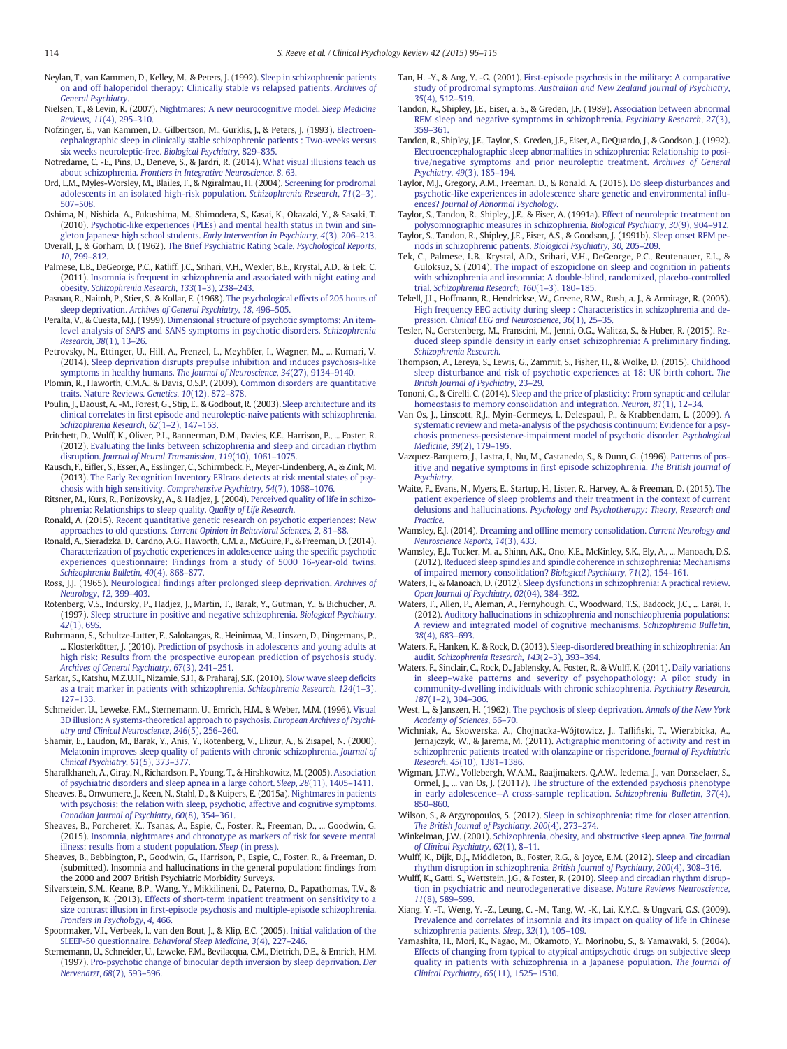<span id="page-18-0"></span>Neylan, T., van Kammen, D., Kelley, M., & Peters, J. (1992). [Sleep in schizophrenic patients](http://refhub.elsevier.com/S0272-7358(15)00119-1/rf0625) [on and off haloperidol therapy: Clinically stable vs relapsed patients.](http://refhub.elsevier.com/S0272-7358(15)00119-1/rf0625) Archives of [General Psychiatry](http://refhub.elsevier.com/S0272-7358(15)00119-1/rf0625).

Nielsen, T., & Levin, R. (2007). [Nightmares: A new neurocognitive model.](http://refhub.elsevier.com/S0272-7358(15)00119-1/rf0630) Sleep Medicine Reviews, 11[\(4\), 295](http://refhub.elsevier.com/S0272-7358(15)00119-1/rf0630)–310.

- Nofzinger, E., van Kammen, D., Gilbertson, M., Gurklis, J., & Peters, J. (1993). [Electroen](http://refhub.elsevier.com/S0272-7358(15)00119-1/rf0635)[cephalographic sleep in clinically stable schizophrenic patients : Two-weeks versus](http://refhub.elsevier.com/S0272-7358(15)00119-1/rf0635) [six weeks neuroleptic-free.](http://refhub.elsevier.com/S0272-7358(15)00119-1/rf0635) Biological Psychiatry, 829–835.
- Notredame, C. -E., Pins, D., Deneve, S., & Jardri, R. (2014). [What visual illusions teach us](http://refhub.elsevier.com/S0272-7358(15)00119-1/rf0640) about schizophrenia. [Frontiers in Integrative Neuroscience](http://refhub.elsevier.com/S0272-7358(15)00119-1/rf0640), 8, 63.
- Ord, L.M., Myles-Worsley, M., Blailes, F., & Ngiralmau, H. (2004). [Screening for prodromal](http://refhub.elsevier.com/S0272-7358(15)00119-1/rf0645) [adolescents in an isolated high-risk population.](http://refhub.elsevier.com/S0272-7358(15)00119-1/rf0645) Schizophrenia Research, 71(2–3), 507–[508.](http://refhub.elsevier.com/S0272-7358(15)00119-1/rf0645)
- Oshima, N., Nishida, A., Fukushima, M., Shimodera, S., Kasai, K., Okazaki, Y., & Sasaki, T. (2010). [Psychotic-like experiences \(PLEs\) and mental health status in twin and sin](http://refhub.elsevier.com/S0272-7358(15)00119-1/rf0650)[gleton Japanese high school students.](http://refhub.elsevier.com/S0272-7358(15)00119-1/rf0650) Early Intervention in Psychiatry, 4(3), 206–213.
- Overall, J., & Gorham, D. (1962). [The Brief Psychiatric Rating Scale.](http://refhub.elsevier.com/S0272-7358(15)00119-1/rf0655) Psychological Reports, 10[, 799](http://refhub.elsevier.com/S0272-7358(15)00119-1/rf0655)–812.
- Palmese, L.B., DeGeorge, P.C., Ratliff, J.C., Srihari, V.H., Wexler, B.E., Krystal, A.D., & Tek, C. (2011). [Insomnia is frequent in schizophrenia and associated with night eating and](http://refhub.elsevier.com/S0272-7358(15)00119-1/rf0660) obesity. [Schizophrenia Research](http://refhub.elsevier.com/S0272-7358(15)00119-1/rf0660), 133(1–3), 238–243.
- Pasnau, R., Naitoh, P., Stier, S., & Kollar, E. (1968). [The psychological effects of 205 hours of](http://refhub.elsevier.com/S0272-7358(15)00119-1/rf0665) sleep deprivation. [Archives of General Psychiatry](http://refhub.elsevier.com/S0272-7358(15)00119-1/rf0665), 18, 496–505.
- Peralta, V., & Cuesta, M.J. (1999). [Dimensional structure of psychotic symptoms: An item](http://refhub.elsevier.com/S0272-7358(15)00119-1/rf0670)[level analysis of SAPS and SANS symptoms in psychotic disorders.](http://refhub.elsevier.com/S0272-7358(15)00119-1/rf0670) Schizophrenia [Research](http://refhub.elsevier.com/S0272-7358(15)00119-1/rf0670), 38(1), 13–26.
- Petrovsky, N., Ettinger, U., Hill, A., Frenzel, L., Meyhöfer, I., Wagner, M., ... Kumari, V. (2014). [Sleep deprivation disrupts prepulse inhibition and induces psychosis-like](http://refhub.elsevier.com/S0272-7358(15)00119-1/rf0675) [symptoms in healthy humans.](http://refhub.elsevier.com/S0272-7358(15)00119-1/rf0675) The Journal of Neuroscience, 34(27), 9134–9140.
- Plomin, R., Haworth, C.M.A., & Davis, O.S.P. (2009). [Common disorders are quantitative](http://refhub.elsevier.com/S0272-7358(15)00119-1/rf0680) [traits. Nature Reviews.](http://refhub.elsevier.com/S0272-7358(15)00119-1/rf0680) Genetics, 10(12), 872–878.
- Poulin, J., Daoust, A. -M., Forest, G., Stip, E., & Godbout, R. (2003). [Sleep architecture and its](http://refhub.elsevier.com/S0272-7358(15)00119-1/rf0685) clinical correlates in fi[rst episode and neuroleptic-naive patients with schizophrenia.](http://refhub.elsevier.com/S0272-7358(15)00119-1/rf0685) [Schizophrenia Research](http://refhub.elsevier.com/S0272-7358(15)00119-1/rf0685), 62(1–2), 147–153.
- Pritchett, D., Wulff, K., Oliver, P.L., Bannerman, D.M., Davies, K.E., Harrison, P., ... Foster, R. (2012). [Evaluating the links between schizophrenia and sleep and circadian rhythm](http://refhub.elsevier.com/S0272-7358(15)00119-1/rf0690) disruption. [Journal of Neural Transmission](http://refhub.elsevier.com/S0272-7358(15)00119-1/rf0690), 119(10), 1061–1075.
- Rausch, F., Eifler, S., Esser, A., Esslinger, C., Schirmbeck, F., Meyer-Lindenberg, A., & Zink, M. (2013). [The Early Recognition Inventory ERIraos detects at risk mental states of psy](http://refhub.elsevier.com/S0272-7358(15)00119-1/rf0695)[chosis with high sensitivity.](http://refhub.elsevier.com/S0272-7358(15)00119-1/rf0695) Comprehensive Psychiatry, 54(7), 1068–1076.
- Ritsner, M., Kurs, R., Ponizovsky, A., & Hadjez, J. (2004). [Perceived quality of life in schizo](http://refhub.elsevier.com/S0272-7358(15)00119-1/rf0700)[phrenia: Relationships to sleep quality.](http://refhub.elsevier.com/S0272-7358(15)00119-1/rf0700) Quality of Life Research.
- Ronald, A. (2015). [Recent quantitative genetic research on psychotic experiences: New](http://refhub.elsevier.com/S0272-7358(15)00119-1/rf0705) approaches to old questions. [Current Opinion in Behavioral Sciences](http://refhub.elsevier.com/S0272-7358(15)00119-1/rf0705), 2, 81–88.
- Ronald, A., Sieradzka, D., Cardno, A.G., Haworth, C.M. a., McGuire, P., & Freeman, D. (2014). [Characterization of psychotic experiences in adolescence using the speci](http://refhub.elsevier.com/S0272-7358(15)00119-1/rf0710)fic psychotic [experiences questionnaire: Findings from a study of 5000 16-year-old twins.](http://refhub.elsevier.com/S0272-7358(15)00119-1/rf0710) [Schizophrenia Bulletin](http://refhub.elsevier.com/S0272-7358(15)00119-1/rf0710), 40(4), 868–877.
- Ross, J.J. (1965). Neurological fi[ndings after prolonged sleep deprivation.](http://refhub.elsevier.com/S0272-7358(15)00119-1/rf0715) Archives of [Neurology](http://refhub.elsevier.com/S0272-7358(15)00119-1/rf0715), 12, 399–403.
- Rotenberg, V.S., Indursky, P., Hadjez, J., Martin, T., Barak, Y., Gutman, Y., & Bichucher, A. (1997). [Sleep structure in positive and negative schizophrenia.](http://refhub.elsevier.com/S0272-7358(15)00119-1/rf0720) Biological Psychiatry, 42[\(1\), 69S.](http://refhub.elsevier.com/S0272-7358(15)00119-1/rf0720)
- Ruhrmann, S., Schultze-Lutter, F., Salokangas, R., Heinimaa, M., Linszen, D., Dingemans, P., ... Klosterkötter, J. (2010). [Prediction of psychosis in adolescents and young adults at](http://refhub.elsevier.com/S0272-7358(15)00119-1/rf0725) [high risk: Results from the prospective european prediction of psychosis study.](http://refhub.elsevier.com/S0272-7358(15)00119-1/rf0725) [Archives of General Psychiatry](http://refhub.elsevier.com/S0272-7358(15)00119-1/rf0725), 67(3), 241–251.
- Sarkar, S., Katshu, M.Z.U.H., Nizamie, S.H., & Praharaj, S.K. (2010). [Slow wave sleep de](http://refhub.elsevier.com/S0272-7358(15)00119-1/rf0730)ficits [as a trait marker in patients with schizophrenia.](http://refhub.elsevier.com/S0272-7358(15)00119-1/rf0730) Schizophrenia Research, 124(1–3), 127–[133.](http://refhub.elsevier.com/S0272-7358(15)00119-1/rf0730)
- Schmeider, U., Leweke, F.M., Sternemann, U., Emrich, H.M., & Weber, M.M. (1996). [Visual](http://refhub.elsevier.com/S0272-7358(15)00119-1/rf0735) [3D illusion: A systems-theoretical approach to psychosis.](http://refhub.elsevier.com/S0272-7358(15)00119-1/rf0735) European Archives of Psychi[atry and Clinical Neuroscience](http://refhub.elsevier.com/S0272-7358(15)00119-1/rf0735), 246(5), 256–260.
- Shamir, E., Laudon, M., Barak, Y., Anis, Y., Rotenberg, V., Elizur, A., & Zisapel, N. (2000). [Melatonin improves sleep quality of patients with chronic schizophrenia.](http://refhub.elsevier.com/S0272-7358(15)00119-1/rf0740) Journal of [Clinical Psychiatry](http://refhub.elsevier.com/S0272-7358(15)00119-1/rf0740), 61(5), 373–377.
- Sharafkhaneh, A., Giray, N., Richardson, P., Young, T., & Hirshkowitz, M. (2005). [Association](http://refhub.elsevier.com/S0272-7358(15)00119-1/rf0745) [of psychiatric disorders and sleep apnea in a large cohort.](http://refhub.elsevier.com/S0272-7358(15)00119-1/rf0745) Sleep, 28(11), 1405–1411.
- Sheaves, B., Onwumere, J., Keen, N., Stahl, D., & Kuipers, E. (2015a). [Nightmares in patients](http://refhub.elsevier.com/S0272-7358(15)00119-1/rf0750) [with psychosis: the relation with sleep, psychotic, affective and cognitive symptoms.](http://refhub.elsevier.com/S0272-7358(15)00119-1/rf0750) [Canadian Journal of Psychiatry](http://refhub.elsevier.com/S0272-7358(15)00119-1/rf0750), 60(8), 354–361.
- Sheaves, B., Porcheret, K., Tsanas, A., Espie, C., Foster, R., Freeman, D., ... Goodwin, G. (2015). [Insomnia, nightmares and chronotype as markers of risk for severe mental](http://refhub.elsevier.com/S0272-7358(15)00119-1/rf0755) [illness: results from a student population.](http://refhub.elsevier.com/S0272-7358(15)00119-1/rf0755) Sleep (in press).
- Sheaves, B., Bebbington, P., Goodwin, G., Harrison, P., Espie, C., Foster, R., & Freeman, D. (submitted). Insomnia and hallucinations in the general population: findings from the 2000 and 2007 British Psychiatric Morbidity Surveys.
- Silverstein, S.M., Keane, B.P., Wang, Y., Mikkilineni, D., Paterno, D., Papathomas, T.V., & Feigenson, K. (2013). [Effects of short-term inpatient treatment on sensitivity to a](http://refhub.elsevier.com/S0272-7358(15)00119-1/rf0760) size contrast illusion in fi[rst-episode psychosis and multiple-episode schizophrenia.](http://refhub.elsevier.com/S0272-7358(15)00119-1/rf0760) [Frontiers in Psychology](http://refhub.elsevier.com/S0272-7358(15)00119-1/rf0760), 4, 466.
- Spoormaker, V.I., Verbeek, I., van den Bout, J., & Klip, E.C. (2005). [Initial validation of the](http://refhub.elsevier.com/S0272-7358(15)00119-1/rf0765) SLEEP-50 questionnaire. [Behavioral Sleep Medicine](http://refhub.elsevier.com/S0272-7358(15)00119-1/rf0765), 3(4), 227–246.
- Sternemann, U., Schneider, U., Leweke, F.M., Bevilacqua, C.M., Dietrich, D.E., & Emrich, H.M. (1997). [Pro-psychotic change of binocular depth inversion by sleep deprivation.](http://refhub.elsevier.com/S0272-7358(15)00119-1/rf0770) Der [Nervenarzt](http://refhub.elsevier.com/S0272-7358(15)00119-1/rf0770), 68(7), 593–596.
- Tan, H. -Y., & Ang, Y. -G. (2001). [First-episode psychosis in the military: A comparative](http://refhub.elsevier.com/S0272-7358(15)00119-1/rf0775) study of prodromal symptoms. [Australian and New Zealand Journal of Psychiatry](http://refhub.elsevier.com/S0272-7358(15)00119-1/rf0775), 35[\(4\), 512](http://refhub.elsevier.com/S0272-7358(15)00119-1/rf0775)–519.
- Tandon, R., Shipley, J.E., Eiser, a. S., & Greden, J.F. (1989). [Association between abnormal](http://refhub.elsevier.com/S0272-7358(15)00119-1/rf0780) [REM sleep and negative symptoms in schizophrenia.](http://refhub.elsevier.com/S0272-7358(15)00119-1/rf0780) Psychiatry Research, 27(3), 359–[361.](http://refhub.elsevier.com/S0272-7358(15)00119-1/rf0780)
- Tandon, R., Shipley, J.E., Taylor, S., Greden, J.F., Eiser, A., DeQuardo, J. & Goodson, J. (1992). [Electroencephalographic sleep abnormalities in schizophrenia: Relationship to posi](http://refhub.elsevier.com/S0272-7358(15)00119-1/rf0785)[tive/negative symptoms and prior neuroleptic treatment.](http://refhub.elsevier.com/S0272-7358(15)00119-1/rf0785) Archives of General [Psychiatry](http://refhub.elsevier.com/S0272-7358(15)00119-1/rf0785), 49(3), 185–194.
- Taylor, M.J., Gregory, A.M., Freeman, D., & Ronald, A. (2015). [Do sleep disturbances and](http://refhub.elsevier.com/S0272-7358(15)00119-1/rf0790) [psychotic-like experiences in adolescence share genetic and environmental in](http://refhub.elsevier.com/S0272-7358(15)00119-1/rf0790)fluences? [Journal of Abnormal Psychology](http://refhub.elsevier.com/S0272-7358(15)00119-1/rf0790).

Taylor, S., Tandon, R., Shipley, J.E., & Eiser, A. (1991a). [Effect of neuroleptic treatment on](http://refhub.elsevier.com/S0272-7358(15)00119-1/rf0795) [polysomnographic measures in schizophrenia.](http://refhub.elsevier.com/S0272-7358(15)00119-1/rf0795) Biological Psychiatry, 30(9), 904–912.

Taylor, S., Tandon, R., Shipley, J.E., Eiser, A.S., & Goodson, J. (1991b). [Sleep onset REM pe](http://refhub.elsevier.com/S0272-7358(15)00119-1/rf0800)[riods in schizophrenic patients.](http://refhub.elsevier.com/S0272-7358(15)00119-1/rf0800) Biological Psychiatry, 30, 205–209.

- Tek, C., Palmese, L.B., Krystal, A.D., Srihari, V.H., DeGeorge, P.C., Reutenauer, E.L., & Guloksuz, S. (2014). [The impact of eszopiclone on sleep and cognition in patients](http://refhub.elsevier.com/S0272-7358(15)00119-1/rf0805) [with schizophrenia and insomnia: A double-blind, randomized, placebo-controlled](http://refhub.elsevier.com/S0272-7358(15)00119-1/rf0805) trial. [Schizophrenia Research](http://refhub.elsevier.com/S0272-7358(15)00119-1/rf0805), 160(1–3), 180–185.
- Tekell, J.L., Hoffmann, R., Hendrickse, W., Greene, R.W., Rush, a. J., & Armitage, R. (2005). [High frequency EEG activity during sleep : Characteristics in schizophrenia and de](http://refhub.elsevier.com/S0272-7358(15)00119-1/rf0810)pression. [Clinical EEG and Neuroscience](http://refhub.elsevier.com/S0272-7358(15)00119-1/rf0810), 36(1), 25–35.
- Tesler, N., Gerstenberg, M., Franscini, M., Jenni, O.G., Walitza, S., & Huber, R. (2015). [Re](http://refhub.elsevier.com/S0272-7358(15)00119-1/rf0815)[duced sleep spindle density in early onset schizophrenia: A preliminary](http://refhub.elsevier.com/S0272-7358(15)00119-1/rf0815) finding. [Schizophrenia Research](http://refhub.elsevier.com/S0272-7358(15)00119-1/rf0815).
- Thompson, A., Lereya, S., Lewis, G., Zammit, S., Fisher, H., & Wolke, D. (2015). [Childhood](http://refhub.elsevier.com/S0272-7358(15)00119-1/rf0820) [sleep disturbance and risk of psychotic experiences at 18: UK birth cohort.](http://refhub.elsevier.com/S0272-7358(15)00119-1/rf0820) The [British Journal of Psychiatry](http://refhub.elsevier.com/S0272-7358(15)00119-1/rf0820), 23–29.
- Tononi, G., & Cirelli, C. (2014). [Sleep and the price of plasticity: From synaptic and cellular](http://refhub.elsevier.com/S0272-7358(15)00119-1/rf0825) [homeostasis to memory consolidation and integration.](http://refhub.elsevier.com/S0272-7358(15)00119-1/rf0825) Neuron, 81(1), 12-34.
- Van Os, J., Linscott, R.J., Myin-Germeys, I., Delespaul, P., & Krabbendam, L. (2009). [A](http://refhub.elsevier.com/S0272-7358(15)00119-1/rf0830) [systematic review and meta-analysis of the psychosis continuum: Evidence for a psy](http://refhub.elsevier.com/S0272-7358(15)00119-1/rf0830)[chosis proneness-persistence-impairment model of psychotic disorder.](http://refhub.elsevier.com/S0272-7358(15)00119-1/rf0830) Psychological [Medicine](http://refhub.elsevier.com/S0272-7358(15)00119-1/rf0830), 39(2), 179–195.
- Vazquez-Barquero, J., Lastra, I., Nu, M., Castanedo, S., & Dunn, G. (1996). [Patterns of pos](http://refhub.elsevier.com/S0272-7358(15)00119-1/rf0835)[itive and negative symptoms in](http://refhub.elsevier.com/S0272-7358(15)00119-1/rf0835) first episode schizophrenia. The British Journal of [Psychiatry](http://refhub.elsevier.com/S0272-7358(15)00119-1/rf0835).
- Waite, F., Evans, N., Myers, E., Startup, H., Lister, R., Harvey, A., & Freeman, D. (2015). [The](http://refhub.elsevier.com/S0272-7358(15)00119-1/rf0840) [patient experience of sleep problems and their treatment in the context of current](http://refhub.elsevier.com/S0272-7358(15)00119-1/rf0840) delusions and hallucinations. [Psychology and Psychotherapy: Theory, Research and](http://refhub.elsevier.com/S0272-7358(15)00119-1/rf0840) [Practice](http://refhub.elsevier.com/S0272-7358(15)00119-1/rf0840).

Wamsley, E.J. (2014). Dreaming and offl[ine memory consolidation.](http://refhub.elsevier.com/S0272-7358(15)00119-1/rf0845) Current Neurology and [Neuroscience Reports](http://refhub.elsevier.com/S0272-7358(15)00119-1/rf0845), 14(3), 433.

- Wamsley, E.J., Tucker, M. a., Shinn, A.K., Ono, K.E., McKinley, S.K., Ely, A., ... Manoach, D.S. (2012). [Reduced sleep spindles and spindle coherence in schizophrenia: Mechanisms](http://refhub.elsevier.com/S0272-7358(15)00119-1/rf0850) [of impaired memory consolidation?](http://refhub.elsevier.com/S0272-7358(15)00119-1/rf0850) Biological Psychiatry, 71(2), 154–161.
- Waters, F., & Manoach, D. (2012). [Sleep dysfunctions in schizophrenia: A practical review.](http://refhub.elsevier.com/S0272-7358(15)00119-1/rf0855) [Open Journal of Psychiatry](http://refhub.elsevier.com/S0272-7358(15)00119-1/rf0855), 02(04), 384–392.
- Waters, F., Allen, P., Aleman, A., Fernyhough, C., Woodward, T.S., Badcock, J.C., ... Larøi, F. (2012). [Auditory hallucinations in schizophrenia and nonschizophrenia populations:](http://refhub.elsevier.com/S0272-7358(15)00119-1/rf0860) [A review and integrated model of cognitive mechanisms.](http://refhub.elsevier.com/S0272-7358(15)00119-1/rf0860) Schizophrenia Bulletin, 38[\(4\), 683](http://refhub.elsevier.com/S0272-7358(15)00119-1/rf0860)–693.
- Waters, F., Hanken, K., & Rock, D. (2013). [Sleep-disordered breathing in schizophrenia: An](http://refhub.elsevier.com/S0272-7358(15)00119-1/rf0865) audit. [Schizophrenia Research](http://refhub.elsevier.com/S0272-7358(15)00119-1/rf0865), 143(2–3), 393–394.
- Waters, F., Sinclair, C., Rock, D., Jablensky, A., Foster, R., & Wulff, K. (2011). [Daily variations](http://refhub.elsevier.com/S0272-7358(15)00119-1/rf0870) in sleep–[wake patterns and severity of psychopathology: A pilot study in](http://refhub.elsevier.com/S0272-7358(15)00119-1/rf0870) [community-dwelling individuals with chronic schizophrenia.](http://refhub.elsevier.com/S0272-7358(15)00119-1/rf0870) Psychiatry Research, 187(1–[2\), 304](http://refhub.elsevier.com/S0272-7358(15)00119-1/rf0870)–306.
- West, L., & Janszen, H. (1962). [The psychosis of sleep deprivation.](http://refhub.elsevier.com/S0272-7358(15)00119-1/rf0875) Annals of the New York [Academy of Sciences](http://refhub.elsevier.com/S0272-7358(15)00119-1/rf0875), 66–70.
- Wichniak, A., Skowerska, A., Chojnacka-Wójtowicz, J., Tafliński, T., Wierzbicka, A., Jernajczyk, W., & Jarema, M. (2011). [Actigraphic monitoring of activity and rest in](http://refhub.elsevier.com/S0272-7358(15)00119-1/rf0880) [schizophrenic patients treated with olanzapine or risperidone.](http://refhub.elsevier.com/S0272-7358(15)00119-1/rf0880) Journal of Psychiatric Research, 45[\(10\), 1381](http://refhub.elsevier.com/S0272-7358(15)00119-1/rf0880)–1386.
- Wigman, J.T.W., Vollebergh, W.A.M., Raaijmakers, Q.A.W., Iedema, J., van Dorsselaer, S., Ormel, J., ... van Os, J. (2011?). [The structure of the extended psychosis phenotype](http://refhub.elsevier.com/S0272-7358(15)00119-1/rf0885) in early adolescence—[A cross-sample replication.](http://refhub.elsevier.com/S0272-7358(15)00119-1/rf0885) Schizophrenia Bulletin, 37(4), 850–[860.](http://refhub.elsevier.com/S0272-7358(15)00119-1/rf0885)
- Wilson, S., & Argyropoulos, S. (2012). [Sleep in schizophrenia: time for closer attention.](http://refhub.elsevier.com/S0272-7358(15)00119-1/rf0890) [The British Journal of Psychiatry](http://refhub.elsevier.com/S0272-7358(15)00119-1/rf0890), 200(4), 273–274.
- Winkelman, J.W. (2001). [Schizophrenia, obesity, and obstructive sleep apnea.](http://refhub.elsevier.com/S0272-7358(15)00119-1/rf0895) The Journal [of Clinical Psychiatry](http://refhub.elsevier.com/S0272-7358(15)00119-1/rf0895), 62(1), 8–11.
- Wulff, K., Dijk, D.J., Middleton, B., Foster, R.G., & Joyce, E.M. (2012). [Sleep and circadian](http://refhub.elsevier.com/S0272-7358(15)00119-1/rf0900) [rhythm disruption in schizophrenia.](http://refhub.elsevier.com/S0272-7358(15)00119-1/rf0900) British Journal of Psychiatry, 200(4), 308–316.
- Wulff, K., Gatti, S., Wettstein, J.G., & Foster, R. (2010). [Sleep and circadian rhythm disrup](http://refhub.elsevier.com/S0272-7358(15)00119-1/rf0905)[tion in psychiatric and neurodegenerative disease.](http://refhub.elsevier.com/S0272-7358(15)00119-1/rf0905) Nature Reviews Neuroscience, 11[\(8\), 589](http://refhub.elsevier.com/S0272-7358(15)00119-1/rf0905)–599.
- Xiang, Y. -T., Weng, Y. -Z., Leung, C. -M., Tang, W. -K., Lai, K.Y.C., & Ungvari, G.S. (2009). [Prevalence and correlates of insomnia and its impact on quality of life in Chinese](http://refhub.elsevier.com/S0272-7358(15)00119-1/rf0910) [schizophrenia patients.](http://refhub.elsevier.com/S0272-7358(15)00119-1/rf0910) Sleep, 32(1), 105–109.
- Yamashita, H., Mori, K., Nagao, M., Okamoto, Y., Morinobu, S., & Yamawaki, S. (2004). [Effects of changing from typical to atypical antipsychotic drugs on subjective sleep](http://refhub.elsevier.com/S0272-7358(15)00119-1/rf0915) [quality in patients with schizophrenia in a Japanese population.](http://refhub.elsevier.com/S0272-7358(15)00119-1/rf0915) The Journal of [Clinical Psychiatry](http://refhub.elsevier.com/S0272-7358(15)00119-1/rf0915), 65(11), 1525–1530.